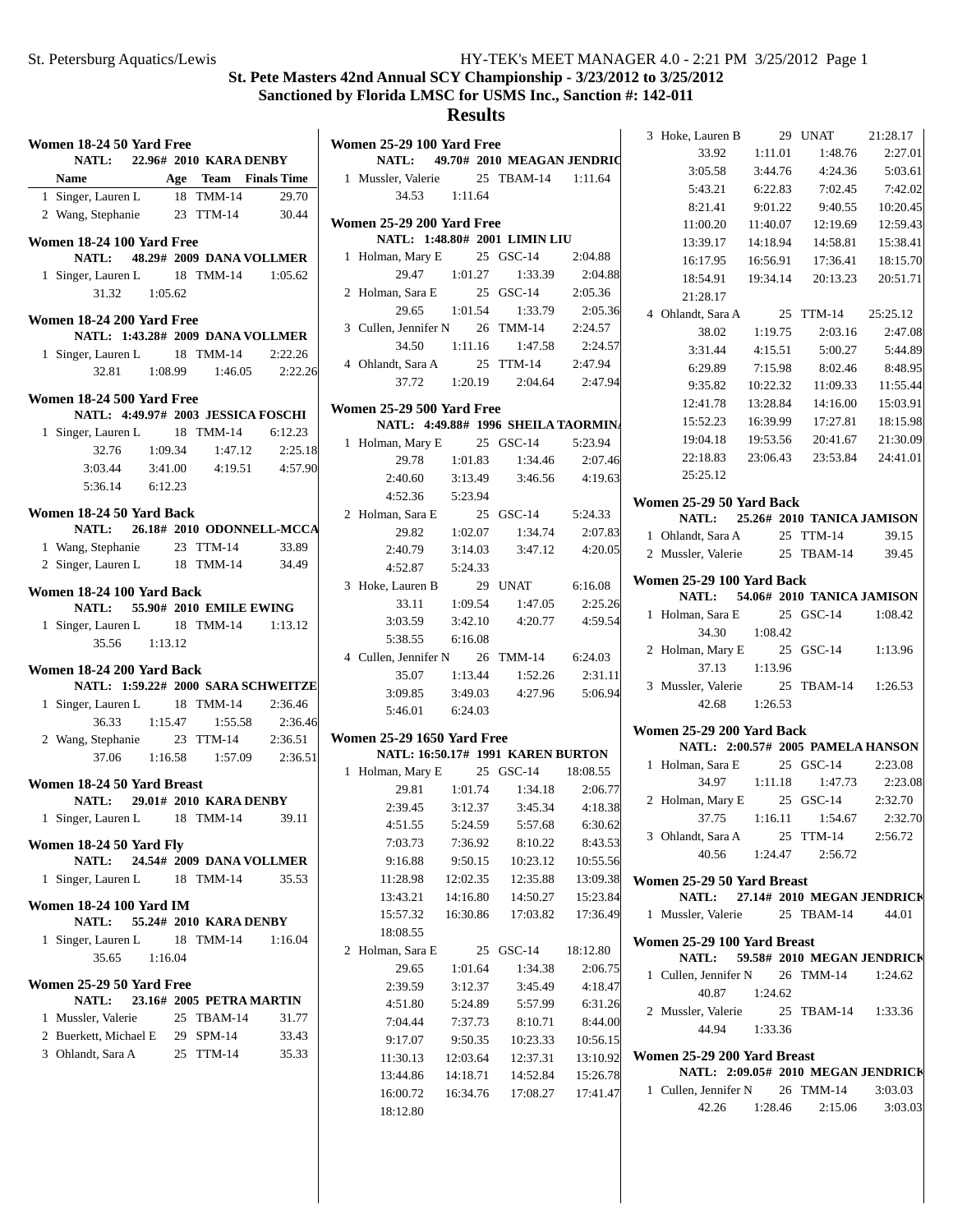#### **St. Pete Masters 42nd Annual SCY Championship - 3/23/2012 to 3/25/2012 Sanctioned by Florida LMSC for USMS Inc., Sanction #: 142-011**

|   | Women 18-24 50 Yard Free<br>NATL: 22.96# 2010 KARA DENBY        |         |                          |                                                               | $\overline{\mathbf{V}}$ |
|---|-----------------------------------------------------------------|---------|--------------------------|---------------------------------------------------------------|-------------------------|
|   |                                                                 |         |                          |                                                               |                         |
|   | Name Age Team Finals Time<br>1 Singer, Lauren L 18 TMM-14 29.70 |         |                          |                                                               |                         |
|   | 2 Wang, Stephanie 23 TTM-14 30.44                               |         |                          |                                                               |                         |
|   |                                                                 |         |                          |                                                               | V                       |
|   | Women 18-24 100 Yard Free                                       |         |                          |                                                               |                         |
|   | NATL: 48.29# 2009 DANA VOLLMER                                  |         |                          |                                                               |                         |
|   | 1 Singer, Lauren L 18 TMM-14 1:05.62                            |         |                          |                                                               |                         |
|   | 31.32 1:05.62                                                   |         |                          |                                                               |                         |
|   | Women 18-24 200 Yard Free                                       |         |                          |                                                               |                         |
|   | NATL: 1:43.28# 2009 DANA VOLLMER                                |         |                          |                                                               |                         |
|   | 1 Singer, Lauren L 18 TMM-14 2:22.26                            |         |                          |                                                               |                         |
|   |                                                                 |         |                          | 32.81 1:08.99 1:46.05 2:22.26                                 |                         |
|   |                                                                 |         |                          |                                                               |                         |
|   | Women 18-24 500 Yard Free                                       |         |                          |                                                               | V                       |
|   | NATL: 4:49.97# 2003 JESSICA FOSCHI                              |         |                          |                                                               |                         |
|   | 1 Singer, Lauren L 18 TMM-14 6:12.23                            |         |                          |                                                               |                         |
|   | 32.76                                                           |         |                          | 1:09.34 1:47.12 2:25.18<br>3:41.00 4:19.51 4:57.90<br>2:25.18 |                         |
|   | 3:03.44                                                         |         |                          |                                                               |                         |
|   | 5:36.14 6:12.23                                                 |         |                          |                                                               |                         |
|   | Women 18-24 50 Yard Back                                        |         |                          |                                                               |                         |
|   | NATL: 26.18# 2010 ODONNELL-MCCA                                 |         |                          |                                                               |                         |
|   |                                                                 |         |                          |                                                               |                         |
|   | 1 Wang, Stephanie 23 TTM-14 33.89                               |         |                          |                                                               |                         |
|   | 2 Singer, Lauren L 18 TMM-14 34.49                              |         |                          |                                                               |                         |
|   | Women 18-24 100 Yard Back<br>NATL: 55.90# 2010 EMILE EWING      |         |                          |                                                               |                         |
|   | 1 Singer, Lauren L 18 TMM-14 1:13.12                            |         |                          |                                                               |                         |
|   | 35.56 1:13.12                                                   |         |                          |                                                               |                         |
|   |                                                                 |         |                          |                                                               |                         |
|   | Women 18-24 200 Yard Back                                       |         |                          |                                                               |                         |
|   | NATL: 1:59.22# 2000 SARA SCHWEITZE                              |         |                          |                                                               |                         |
|   | 1 Singer, Lauren L 18 TMM-14 2:36.46                            |         |                          |                                                               |                         |
|   |                                                                 |         |                          | 36.33 1:15.47 1:55.58 2:36.46                                 |                         |
|   | 2 Wang, Stephanie 23 TTM-14 2:36.51                             |         |                          |                                                               | V                       |
|   |                                                                 |         |                          | 37.06  1:16.58  1:57.09  2:36.51                              |                         |
|   | Women 18-24 50 Yard Breast                                      |         |                          |                                                               |                         |
|   | NATL: 29.01# 2010 KARA DENBY                                    |         |                          |                                                               |                         |
|   | 1 Singer, Lauren L 18 TMM-14 39.11                              |         |                          |                                                               |                         |
|   |                                                                 |         |                          |                                                               |                         |
|   | Women 18-24 50 Yard Fly                                         |         |                          |                                                               |                         |
|   | <b>NATL:</b>                                                    |         | 24.54# 2009 DANA VOLLMER |                                                               |                         |
| 1 | Singer, Lauren L 18 TMM-14                                      |         |                          | 35.53                                                         |                         |
|   | <b>Women 18-24 100 Yard IM</b>                                  |         |                          |                                                               |                         |
|   | <b>NATL:</b>                                                    |         | 55.24# 2010 KARA DENBY   |                                                               |                         |
|   | 1 Singer, Lauren L 18 TMM-14                                    |         |                          | 1:16.04                                                       |                         |
|   | 35.65                                                           | 1:16.04 |                          |                                                               |                         |
|   |                                                                 |         |                          |                                                               |                         |
|   | Women 25-29 50 Yard Free                                        |         |                          |                                                               |                         |
|   | <b>NATL:</b>                                                    |         | 23.16# 2005 PETRA MARTIN |                                                               |                         |
| 1 | Mussler, Valerie                                                |         | 25 TBAM-14               | 31.77                                                         |                         |
|   | 2 Buerkett, Michael E 29 SPM-14                                 |         |                          | 33.43                                                         |                         |
|   | 3 Ohlandt, Sara A                                               |         | 25 TTM-14                | 35.33                                                         |                         |
|   |                                                                 |         |                          |                                                               |                         |
|   |                                                                 |         |                          |                                                               |                         |

|   | Women 25-29 100 Yard Free                                                                              |               |                                                                                               |          |
|---|--------------------------------------------------------------------------------------------------------|---------------|-----------------------------------------------------------------------------------------------|----------|
|   | NATL: 49.70# 2010 MEAGAN JENDRIC                                                                       |               |                                                                                               |          |
|   | 1 Mussler, Valerie                                                                                     | 34.53 1:11.64 | 25 TBAM-14 1:11.64                                                                            |          |
|   |                                                                                                        |               |                                                                                               |          |
|   | <b>Women 25-29 200 Yard Free</b><br>NATL: 1:48.80# 2001 LIMIN LIU                                      |               |                                                                                               |          |
|   | 1 Holman, Mary E 25 GSC-14 2:04.88                                                                     |               |                                                                                               |          |
|   |                                                                                                        |               |                                                                                               |          |
|   | 2 Holman, Sara E                                                                                       |               |                                                                                               |          |
|   |                                                                                                        |               | 29.47 1:01.27 1:33.39 2:04.88<br>n, Sara E 25 GSC-14 2:05.36<br>29.65 1:01.54 1:33.79 2:05.36 |          |
|   | 3 Cullen, Jennifer N 26 TMM-14 2:24.57                                                                 |               |                                                                                               |          |
|   |                                                                                                        |               | 34.50  1:11.16  1:47.58  2:24.57                                                              |          |
|   | 4 Ohlandt, Sara A                                                                                      |               | 25 TTM-14 2:47.94                                                                             |          |
|   |                                                                                                        |               | 37.72  1:20.19  2:04.64  2:47.94                                                              |          |
|   |                                                                                                        |               |                                                                                               |          |
|   | Women 25-29 500 Yard Free<br>NATL: 4:49.88# 1996 SHEILA TAORMINA                                       |               |                                                                                               |          |
|   |                                                                                                        |               |                                                                                               |          |
|   |                                                                                                        |               |                                                                                               |          |
|   | 1 Holman, Mary E 25 GSC-14 5:23.94<br>29.78 1:01.83 1:34.46 2:07.46<br>2:40.60 3:13.49 3:46.56 4:19.63 |               |                                                                                               |          |
|   | $4:52.36$ $5:23.94$                                                                                    |               |                                                                                               |          |
|   | 2 Holman, Sara E                                                                                       |               | 25 GSC-14 5:24.33                                                                             |          |
|   |                                                                                                        |               | 29.82 1:02.07 1:34.74 2:07.83                                                                 |          |
|   |                                                                                                        |               | 2:40.79 3:14.03 3:47.12 4:20.05                                                               |          |
|   | 4:52.87 5:24.33                                                                                        |               |                                                                                               |          |
|   | 3 Hoke, Lauren B 29 UNAT 6:16.08                                                                       |               |                                                                                               |          |
|   |                                                                                                        |               | 33.11   1:09.54   1:47.05   2:25.26                                                           |          |
|   |                                                                                                        |               | $3:03.59$ $3:42.10$ $4:20.77$ $4:59.54$                                                       |          |
|   | 5:38.55 6:16.08                                                                                        |               |                                                                                               |          |
|   | 4 Cullen, Jennifer N 26 TMM-14 6:24.03                                                                 |               |                                                                                               |          |
|   |                                                                                                        | 35.07 1:13.44 | 1:52.26                                                                                       | 2:31.11  |
|   | 3:09.85                                                                                                |               | $3:49.03$ $4:27.96$ $5:06.94$                                                                 |          |
|   | $5:46.01$ $6:24.03$                                                                                    |               |                                                                                               |          |
|   | <b>Women 25-29 1650 Yard Free</b>                                                                      |               |                                                                                               |          |
|   | NATL: 16:50.17# 1991 KAREN BURTON                                                                      |               |                                                                                               |          |
|   | 1 Holman, Mary E 25 GSC-14 18:08.55                                                                    |               |                                                                                               |          |
|   |                                                                                                        |               | 29.81   1:01.74   1:34.18   2:06.77                                                           |          |
|   |                                                                                                        |               | 2:39.45 3:12.37 3:45.34 4:18.38                                                               |          |
|   | 4:51.55                                                                                                |               | 5:24.59    5:57.68                                                                            | 6:30.62  |
|   | 7:03.73                                                                                                | 7:36.92       | 8:10.22                                                                                       | 8:43.53  |
|   | 9:16.88                                                                                                | 9:50.15       | 10:23.12                                                                                      | 10:55.56 |
|   | 11:28.98                                                                                               | 12:02.35      | 12:35.88                                                                                      | 13:09.38 |
|   | 13:43.21                                                                                               | 14:16.80      | 14:50.27                                                                                      | 15:23.84 |
|   | 15:57.32                                                                                               | 16:30.86      | 17:03.82                                                                                      | 17:36.49 |
|   | 18:08.55                                                                                               |               |                                                                                               |          |
| 2 | Holman, Sara E                                                                                         | 25            | GSC-14                                                                                        | 18:12.80 |
|   | 29.65                                                                                                  | 1:01.64       | 1:34.38                                                                                       | 2:06.75  |
|   | 2:39.59                                                                                                | 3:12.37       | 3:45.49                                                                                       | 4:18.47  |
|   | 4:51.80                                                                                                | 5:24.89       | 5:57.99                                                                                       | 6:31.26  |
|   | 7:04.44                                                                                                | 7:37.73       | 8:10.71                                                                                       | 8:44.00  |
|   | 9:17.07                                                                                                | 9:50.35       | 10:23.33                                                                                      | 10:56.15 |
|   | 11:30.13                                                                                               | 12:03.64      | 12:37.31                                                                                      | 13:10.92 |
|   | 13:44.86                                                                                               | 14:18.71      | 14:52.84                                                                                      | 15:26.78 |
|   | 16:00.72                                                                                               | 16:34.76      | 17:08.27                                                                                      | 17:41.47 |
|   | 18:12.80                                                                                               |               |                                                                                               |          |

| 3 Hoke, Lauren B                                               |                 | 29 UNAT                                | 21:28.17           |
|----------------------------------------------------------------|-----------------|----------------------------------------|--------------------|
| 33.92                                                          | 1:11.01         | 1:48.76                                | 2:27.01            |
|                                                                |                 | 3:05.58 3:44.76 4:24.36 5:03.61        |                    |
| 5:43.21                                                        |                 | 6:22.83 7:02.45                        | 7:42.02            |
| 8:21.41                                                        |                 | 9:01.22 9:40.55 10:20.45               |                    |
|                                                                |                 | 11:00.20  11:40.07  12:19.69  12:59.43 |                    |
|                                                                |                 | 13:39.17  14:18.94  14:58.81  15:38.41 |                    |
| 16:17.95   16:56.91                                            |                 | 17:36.41                               | 18:15.70           |
|                                                                |                 | 18:54.91  19:34.14  20:13.23  20:51.71 |                    |
| 21:28.17                                                       |                 |                                        |                    |
| 4 Ohlandt, Sara A                                              |                 | 25 TTM-14 25:25.12                     |                    |
| 38.02                                                          | 1:19.75         | 2:03.16                                | 2:47.08            |
| 3:31.44                                                        | 4:15.51         | 5:00.27                                | 5:44.89            |
| 6:29.89                                                        | 7:15.98         | 8:02.46                                | 8:48.95            |
| 9:35.82 10:22.32                                               |                 |                                        | 11:09.33 11:55.44  |
| 12:41.78  13:28.84                                             |                 |                                        | 14:16.00  15:03.91 |
| 15:52.23 16:39.99                                              |                 |                                        | 17:27.81 18:15.98  |
|                                                                |                 | 19:04.18  19:53.56  20:41.67  21:30.09 |                    |
|                                                                |                 | 22:18.83  23:06.43  23:53.84  24:41.01 |                    |
| 25:25.12                                                       |                 |                                        |                    |
| Women 25-29 50 Yard Back                                       |                 |                                        |                    |
|                                                                |                 | NATL: 25.26# 2010 TANICA JAMISON       |                    |
| 1 Ohlandt, Sara A 25 TTM-14                                    |                 |                                        | 39.15              |
| 2 Mussler, Valerie 25 TBAM-14 39.45                            |                 |                                        |                    |
| Women 25-29 100 Yard Back                                      |                 |                                        |                    |
|                                                                |                 | NATL: 54.06# 2010 TANICA JAMISON       |                    |
| 1 Holman, Sara E                                               |                 | 25 GSC-14                              | 1:08.42            |
|                                                                | 34.30   1:08.42 |                                        |                    |
| 2 Holman, Mary E                                               |                 | 25 GSC-14                              | 1:13.96            |
|                                                                | 37.13 1:13.96   |                                        |                    |
| 3 Mussler, Valerie                                             |                 | 25 TBAM-14 1:26.53                     |                    |
|                                                                | 42.68 1:26.53   |                                        |                    |
|                                                                |                 |                                        |                    |
| Women 25-29 200 Yard Back<br>NATL: 2:00.57# 2005 PAMELA HANSON |                 |                                        |                    |
|                                                                |                 |                                        |                    |
|                                                                |                 |                                        |                    |
| 1 Holman, Sara E 25 GSC-14 2:23.08                             |                 |                                        |                    |
|                                                                |                 | 34.97   1:11.18   1:47.73   2:23.08    |                    |
| 2 Holman, Mary E 25 GSC-14 2:32.70                             |                 |                                        |                    |
|                                                                |                 | 37.75 1:16.11 1:54.67 2:32.70          |                    |
| 3 Ohlandt, Sara A                                              |                 | 25 TTM-14                              | 2:56.72            |
|                                                                |                 | 40.56 1:24.47 2:56.72                  |                    |
| Women 25-29 50 Yard Breast                                     |                 |                                        |                    |
|                                                                |                 | NATL: 27.14# 2010 MEGAN JENDRICK       |                    |
| 1 Mussler, Valerie 25 TBAM-14 44.01                            |                 |                                        |                    |
| Women 25-29 100 Yard Breast                                    |                 |                                        |                    |
|                                                                |                 | NATL: 59.58# 2010 MEGAN JENDRICK       |                    |
| 1 Cullen, Jennifer N 26 TMM-14 1:24.62                         |                 |                                        |                    |
|                                                                | 40.87 1:24.62   |                                        |                    |
| 2 Mussler, Valerie                                             |                 | 25 TBAM-14 1:33.36                     |                    |
|                                                                | 44.94 1:33.36   |                                        |                    |
| Women 25-29 200 Yard Breast                                    |                 |                                        |                    |
|                                                                |                 | NATL: 2:09.05# 2010 MEGAN JENDRICK     |                    |
| 1 Cullen, Jennifer N 26 TMM-14                                 |                 |                                        | 3:03.03            |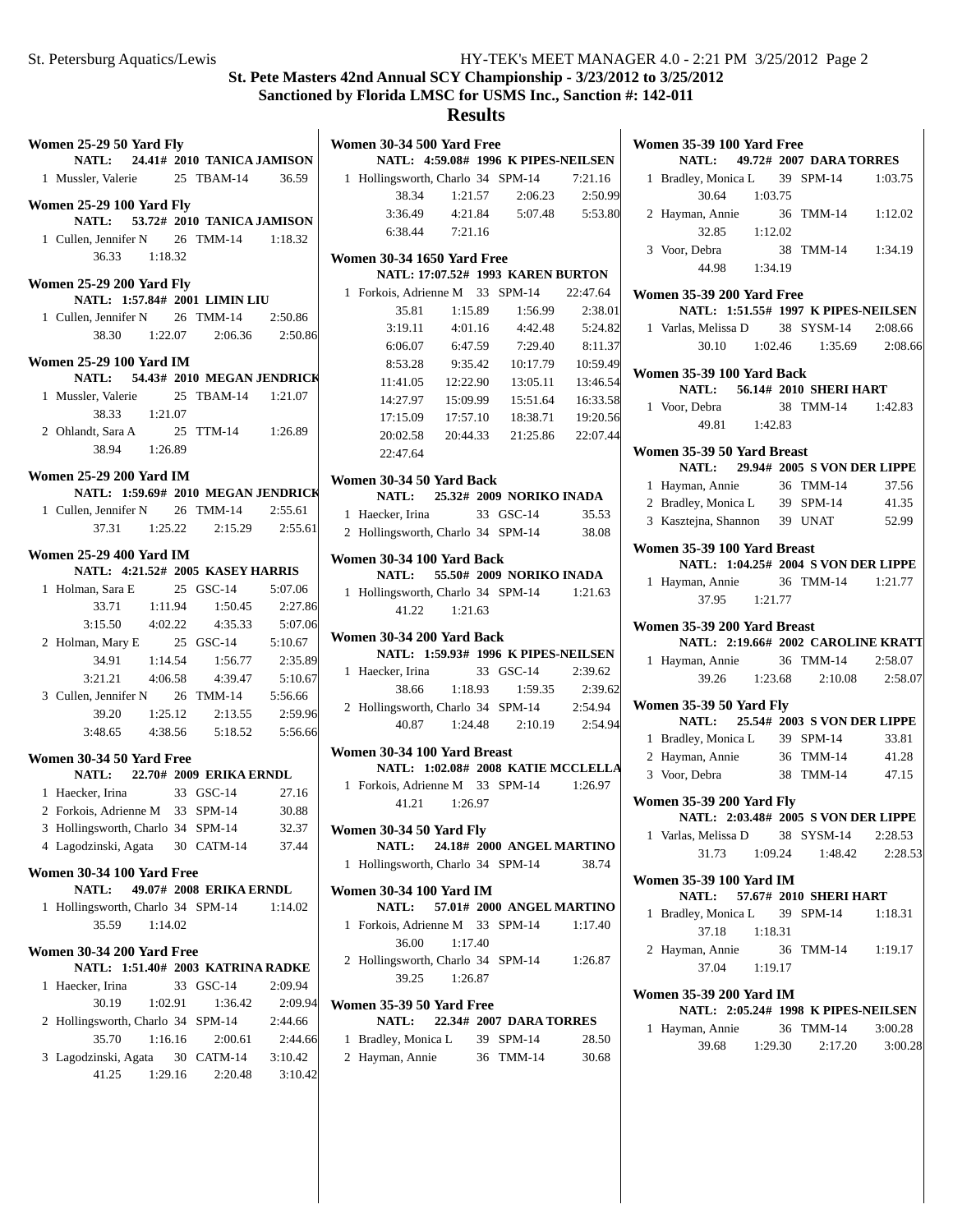|   | Women 25-29 50 Yard Fly<br>NATL: 24.41# 2010 TANICA JAMISON                                            |         |    |                                         |         | $\mathbf{V}$            |
|---|--------------------------------------------------------------------------------------------------------|---------|----|-----------------------------------------|---------|-------------------------|
|   | 1 Mussler, Valerie 25 TBAM-14 36.59                                                                    |         |    |                                         |         |                         |
|   |                                                                                                        |         |    |                                         |         |                         |
|   | <b>Women 25-29 100 Yard Fly</b>                                                                        |         |    |                                         |         |                         |
|   | NATL: 53.72# 2010 TANICA JAMISON                                                                       |         |    |                                         |         |                         |
|   | 1 Cullen, Jennifer N 26 TMM-14 1:18.32                                                                 |         |    |                                         |         |                         |
|   | 36.33 1:18.32                                                                                          |         |    |                                         |         | V                       |
|   | <b>Women 25-29 200 Yard Fly</b>                                                                        |         |    |                                         |         |                         |
|   | NATL: 1:57.84# 2001 LIMIN LIU                                                                          |         |    |                                         |         |                         |
|   | 1 Cullen, Jennifer N 26 TMM-14 2:50.86                                                                 |         |    |                                         |         |                         |
|   |                                                                                                        |         |    | 38.30 1:22.07 2:06.36 2:50.86           |         |                         |
|   |                                                                                                        |         |    |                                         |         |                         |
|   | <b>Women 25-29 100 Yard IM</b><br>NATL: 54.43# 2010 MEGAN JENDRICK                                     |         |    |                                         |         |                         |
|   | 1 Mussler, Valerie 25 TBAM-14 1:21.07                                                                  |         |    |                                         |         |                         |
|   | 38.33 1:21.07                                                                                          |         |    |                                         |         |                         |
|   |                                                                                                        |         |    |                                         |         |                         |
|   | 2 Ohlandt, Sara A 25 TTM-14 1:26.89<br>38.94 1:26.89                                                   |         |    |                                         |         |                         |
|   |                                                                                                        |         |    |                                         |         |                         |
|   | <b>Women 25-29 200 Yard IM</b>                                                                         |         |    |                                         |         | $\overline{\mathbf{V}}$ |
|   | NATL: 1:59.69# 2010 MEGAN JENDRICK                                                                     |         |    |                                         |         |                         |
|   | 1 Cullen, Jennifer N 26 TMM-14 2:55.61                                                                 |         |    |                                         |         |                         |
|   |                                                                                                        |         |    | 37.31   1:25.22   2:15.29   2:55.61     |         |                         |
|   | <b>Women 25-29 400 Yard IM</b>                                                                         |         |    |                                         |         |                         |
|   | NATL: 4:21.52# 2005 KASEY HARRIS                                                                       |         |    |                                         |         | $\overline{\mathbf{V}}$ |
|   |                                                                                                        |         |    |                                         |         |                         |
|   | 1 Holman, Sara E 25 GSC-14 5:07.06<br>33.71 1:11.94 1:50.45 2:27.86<br>3:15.50 4:02.22 4:35.33 5:07.06 |         |    |                                         |         |                         |
|   |                                                                                                        |         |    |                                         |         |                         |
|   | 2 Holman, Mary E 25 GSC-14 5:10.67                                                                     |         |    |                                         |         | $\mathbf{V}$            |
|   |                                                                                                        |         |    | 34.91  1:14.54  1:56.77  2:35.89        |         |                         |
|   |                                                                                                        |         |    | $3:21.21$ $4:06.58$ $4:39.47$ $5:10.67$ |         |                         |
|   | 3 Cullen, Jennifer N 26 TMM-14 5:56.66                                                                 |         |    |                                         |         |                         |
|   |                                                                                                        |         |    |                                         |         |                         |
|   |                                                                                                        |         |    | 39.20   1:25.12   2:13.55   2:59.96     |         |                         |
|   |                                                                                                        |         |    | 3:48.65 4:38.56 5:18.52 5:56.66         |         |                         |
|   | Women 30-34 50 Yard Free                                                                               |         |    |                                         |         | V                       |
|   | NATL: 22.70# 2009 ERIKA ERNDL                                                                          |         |    |                                         |         |                         |
|   | 1 Haecker, Irina                                                                                       |         |    | 33 GSC-14                               | 27.16   |                         |
|   | 2 Forkois, Adrienne M 33 SPM-14 30.88                                                                  |         |    |                                         |         |                         |
|   | 3 Hollingsworth, Charlo 34 SPM-14 32.37                                                                |         |    |                                         |         | $\mathbf{v}$            |
|   | 4 Lagodzinski, Agata 30 CATM-14                                                                        |         |    |                                         | 37.44   |                         |
|   | Women 30-34 100 Yard Free                                                                              |         |    |                                         |         |                         |
|   | NATL:                                                                                                  |         |    | 49.07# 2008 ERIKA ERNDL                 |         | V                       |
| 1 | Hollingsworth, Charlo 34 SPM-14                                                                        |         |    |                                         | 1:14.02 |                         |
|   | 35.59                                                                                                  | 1:14.02 |    |                                         |         |                         |
|   |                                                                                                        |         |    |                                         |         |                         |
|   | Women 30-34 200 Yard Free                                                                              |         |    |                                         |         |                         |
|   | NATL: 1:51.40# 2003 KATRINA RADKE                                                                      |         |    |                                         |         |                         |
| 1 | Haecker, Irina                                                                                         |         | 33 | $GSC-14$                                | 2:09.94 |                         |
|   | 30.19                                                                                                  | 1:02.91 |    | 1:36.42                                 | 2:09.94 |                         |
| 2 | Hollingsworth, Charlo 34 SPM-14                                                                        |         |    |                                         | 2:44.66 |                         |
|   | 35.70                                                                                                  | 1:16.16 |    | 2:00.61                                 | 2:44.66 |                         |
| 3 | Lagodzinski, Agata 30 CATM-14                                                                          |         |    |                                         | 3:10.42 |                         |
|   | 41.25                                                                                                  | 1:29.16 |    | 2:20.48                                 | 3:10.42 |                         |
|   |                                                                                                        |         |    |                                         |         |                         |

|   | Women 30-34 500 Yard Free                 |               | NATL: 4:59.08# 1996 K PIPES-NEILSEN    |                    |
|---|-------------------------------------------|---------------|----------------------------------------|--------------------|
|   | 1 Hollingsworth, Charlo 34 SPM-14 7:21.16 |               |                                        |                    |
|   |                                           |               | $38.34$ 1:21.57 2:06.23                | 2:50.99            |
|   | 3:36.49                                   |               | 4:21.84 5:07.48 5:53.80                |                    |
|   | 6:38.44 7:21.16                           |               |                                        |                    |
|   |                                           |               |                                        |                    |
|   | <b>Women 30-34 1650 Yard Free</b>         |               |                                        |                    |
|   |                                           |               | NATL: 17:07.52# 1993 KAREN BURTON      |                    |
|   | 1 Forkois, Adrienne M 33 SPM-14 22:47.64  |               |                                        |                    |
|   | 35.81<br>3:19.11                          |               | 1:15.89   1:56.99                      | 2:38.01            |
|   | 6:06.07                                   | 4:01.16       | 4:42.48<br>7:29.40                     | 5:24.82<br>8:11.37 |
|   | 8:53.28                                   | 6:47.59       | 9:35.42 10:17.79 10:59.49              |                    |
|   | 11:41.05                                  | 12:22.90      |                                        | 13:05.11 13:46.54  |
|   | 14:27.97                                  | 15:09.99      |                                        | 15:51.64  16:33.58 |
|   |                                           |               | 17:15.09  17:57.10  18:38.71  19:20.56 |                    |
|   | 20:02.58 20:44.33                         |               |                                        | 21:25.86 22:07.44  |
|   | 22:47.64                                  |               |                                        |                    |
|   |                                           |               |                                        |                    |
|   | Women 30-34 50 Yard Back                  |               |                                        |                    |
|   |                                           |               | NATL: 25.32# 2009 NORIKO INADA         |                    |
|   | 1 Haecker, Irina 33 GSC-14                |               |                                        | 35.53              |
|   | 2 Hollingsworth, Charlo 34 SPM-14         |               |                                        | 38.08              |
|   | Women 30-34 100 Yard Back                 |               | NATL: 55.50# 2009 NORIKO INADA         |                    |
|   | 1 Hollingsworth, Charlo 34 SPM-14 1:21.63 |               |                                        |                    |
|   |                                           | 41.22 1:21.63 |                                        |                    |
|   | Women 30-34 200 Yard Back                 |               |                                        |                    |
|   |                                           |               | NATL: 1:59.93# 1996 K PIPES-NEILSEN    |                    |
|   | 1 Haecker, Irina                          |               | 33 GSC-14                              | 2:39.62            |
|   |                                           |               | 38.66 1:18.93 1:59.35 2:39.62          |                    |
|   | 2 Hollingsworth, Charlo 34 SPM-14 2:54.94 |               |                                        |                    |
|   |                                           |               | 40.87 1:24.48 2:10.19 2:54.94          |                    |
|   | Women 30-34 100 Yard Breast               |               |                                        |                    |
|   |                                           |               | NATL: 1:02.08# 2008 KATIE MCCLELLA     |                    |
|   | 1 Forkois, Adrienne M 33 SPM-14 1:26.97   |               |                                        |                    |
|   |                                           | 41.21 1:26.97 |                                        |                    |
|   | <b>Women 30-34 50 Yard Fly</b>            |               |                                        |                    |
|   |                                           |               | NATL: 24.18# 2000 ANGEL MARTINO        |                    |
| 1 | Hollingsworth, Charlo 34 SPM-14           |               |                                        | 38.74              |
|   | <b>Women 30-34 100 Yard IM</b>            |               |                                        |                    |
|   | <b>NATL:</b>                              |               | 57.01# 2000 ANGEL MARTINO              |                    |
| 1 | Forkois, Adrienne M 33 SPM-14             |               |                                        | 1:17.40            |
|   | 36.00                                     | 1:17.40       |                                        |                    |
|   | 2 Hollingsworth, Charlo 34 SPM-14         |               |                                        | 1:26.87            |
|   | 39.25                                     | 1:26.87       |                                        |                    |
|   | Women 35-39 50 Yard Free                  |               |                                        |                    |
|   | <b>NATL:</b>                              |               | 22.34# 2007 DARA TORRES                |                    |
| 1 | Bradley, Monica L 39 SPM-14               |               |                                        | 28.50              |
|   | 2 Hayman, Annie                           |               | 36 TMM-14                              | 30.68              |
|   |                                           |               |                                        |                    |

|                             | <b>Women 35-39 100 Yard Free</b>                                   |         |  |                               |         |  |  |
|-----------------------------|--------------------------------------------------------------------|---------|--|-------------------------------|---------|--|--|
|                             | NATL: 49.72# 2007 DARA TORRES                                      |         |  |                               |         |  |  |
| $\mathbf{1}$                | Bradley, Monica L 39 SPM-14                                        |         |  |                               | 1:03.75 |  |  |
|                             | 30.64 1:03.75                                                      |         |  |                               |         |  |  |
|                             | 2 Hayman, Annie 36 TMM-14                                          |         |  |                               | 1:12.02 |  |  |
|                             | 32.85 1:12.02                                                      |         |  |                               |         |  |  |
|                             | 3 Voor, Debra                                                      |         |  | 38 TMM-14 1:34.19             |         |  |  |
|                             | 44.98 1:34.19                                                      |         |  |                               |         |  |  |
|                             | <b>Women 35-39 200 Yard Free</b>                                   |         |  |                               |         |  |  |
|                             | NATL: 1:51.55# 1997 K PIPES-NEILSEN                                |         |  |                               |         |  |  |
|                             | 1 Varlas, Melissa D 38 SYSM-14 2:08.66                             |         |  |                               |         |  |  |
|                             |                                                                    |         |  | 30.10 1:02.46 1:35.69 2:08.66 |         |  |  |
|                             |                                                                    |         |  |                               |         |  |  |
|                             | <b>Women 35-39 100 Yard Back</b>                                   |         |  |                               |         |  |  |
|                             | NATL: 56.14# 2010 SHERI HART                                       |         |  |                               |         |  |  |
|                             | 1 Voor, Debra                                                      |         |  | 38 TMM-14 1:42.83             |         |  |  |
|                             | 49.81 1:42.83                                                      |         |  |                               |         |  |  |
|                             | Women 35-39 50 Yard Breast                                         |         |  |                               |         |  |  |
|                             | NATL: 29.94# 2005 S VON DER LIPPE                                  |         |  |                               |         |  |  |
| $\mathbf{1}$                | Hayman, Annie                                                      |         |  | 36 TMM-14                     | 37.56   |  |  |
|                             | 2 Bradley, Monica L 39 SPM-14 41.35                                |         |  |                               |         |  |  |
|                             | 3 Kasztejna, Shannon 39 UNAT 52.99                                 |         |  |                               |         |  |  |
|                             |                                                                    |         |  |                               |         |  |  |
|                             | Women 35-39 100 Yard Breast<br>NATL: 1:04.25# 2004 S VON DER LIPPE |         |  |                               |         |  |  |
|                             |                                                                    |         |  |                               |         |  |  |
|                             | 1 Hayman, Annie 36 TMM-14 1:21.77<br>37.95 1:21.77                 |         |  |                               |         |  |  |
|                             |                                                                    |         |  |                               |         |  |  |
| Women 35-39 200 Yard Breast |                                                                    |         |  |                               |         |  |  |
|                             |                                                                    |         |  |                               |         |  |  |
|                             | NATL: 2:19.66# 2002 CAROLINE KRATT                                 |         |  |                               |         |  |  |
|                             | 1 Hayman, Annie 36 TMM-14 2:58.07                                  |         |  |                               |         |  |  |
|                             |                                                                    |         |  | 39.26 1:23.68 2:10.08 2:58.07 |         |  |  |
|                             |                                                                    |         |  |                               |         |  |  |
|                             | <b>Women 35-39 50 Yard Fly</b>                                     |         |  |                               |         |  |  |
|                             | NATL: 25.54# 2003 S VON DER LIPPE                                  |         |  |                               | 33.81   |  |  |
|                             | 1 Bradley, Monica L 39 SPM-14                                      |         |  |                               |         |  |  |
|                             | 2 Hayman, Annie 36 TMM-14 41.28<br>3 Voor, Debra                   |         |  |                               |         |  |  |
|                             |                                                                    |         |  | 38 TMM-14 47.15               |         |  |  |
|                             | <b>Women 35-39 200 Yard Fly</b>                                    |         |  |                               |         |  |  |
|                             | NATL: 2:03.48# 2005 S VON DER LIPPE                                |         |  |                               |         |  |  |
|                             | 1 Varlas, Melissa D 38 SYSM-14 2:28.53                             |         |  |                               |         |  |  |
|                             |                                                                    |         |  | 31.73 1:09.24 1:48.42         | 2:28.53 |  |  |
|                             | <b>Women 35-39 100 Yard IM</b>                                     |         |  |                               |         |  |  |
|                             | NATL: 57.67# 2010 SHERI HART                                       |         |  |                               |         |  |  |
| 1                           | Bradley, Monica L 39 SPM-14                                        |         |  |                               | 1:18.31 |  |  |
|                             | 37.18                                                              | 1:18.31 |  |                               |         |  |  |
|                             | 2 Hayman, Annie 36 TMM-14 1:19.17                                  |         |  |                               |         |  |  |
|                             | 37.04 1:19.17                                                      |         |  |                               |         |  |  |
|                             |                                                                    |         |  |                               |         |  |  |
|                             | Women 35-39 200 Yard IM                                            |         |  |                               |         |  |  |
|                             | NATL: 2:05.24# 1998 K PIPES-NEILSEN                                |         |  |                               |         |  |  |
| 1                           | Hayman, Annie                                                      |         |  | 36 TMM-14                     | 3:00.28 |  |  |
|                             |                                                                    |         |  | 39.68 1:29.30 2:17.20         | 3:00.28 |  |  |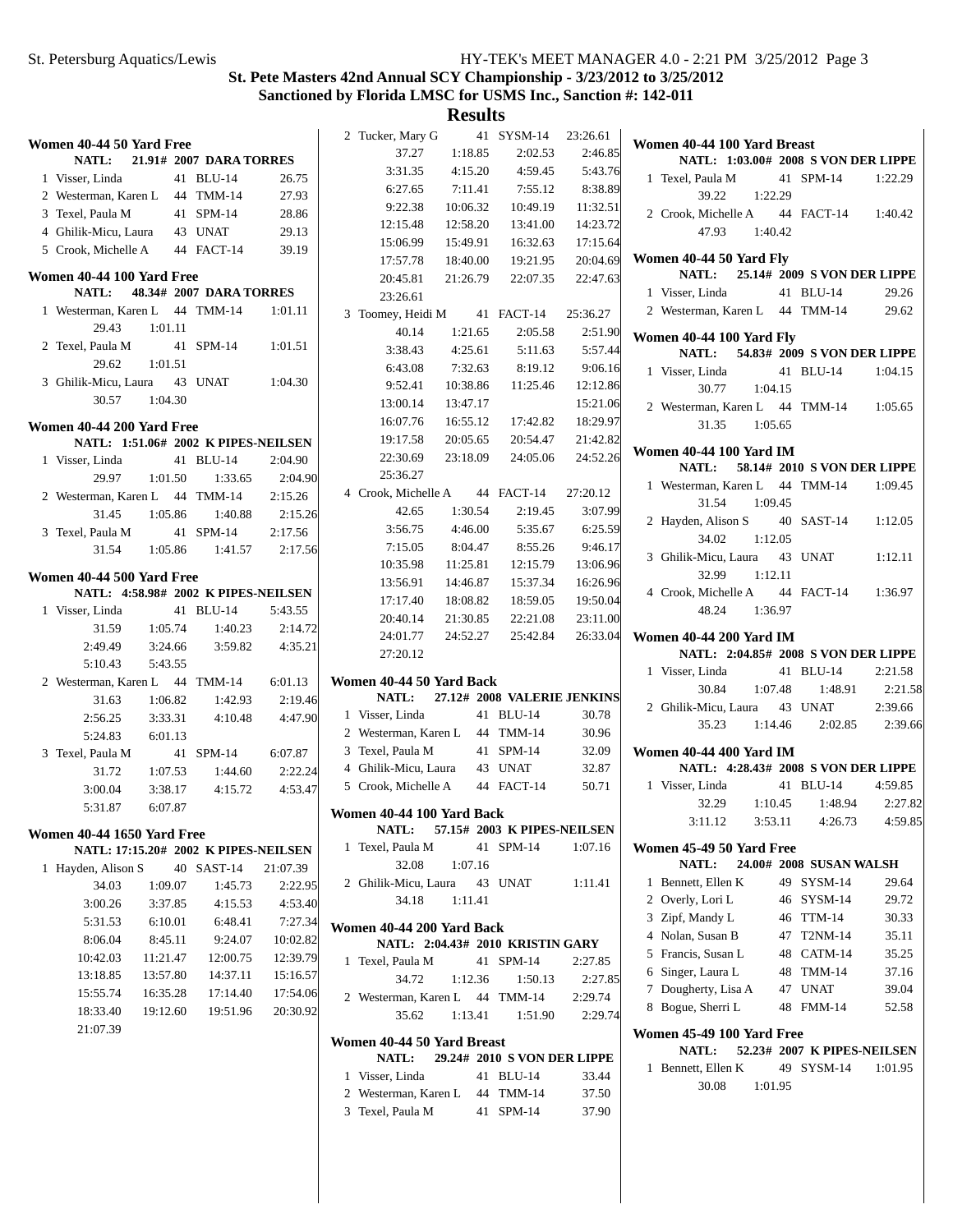# **St. Pete Masters 42nd Annual SCY Championship - 3/23/2012 to 3/25/2012 Sanctioned by Florida LMSC for USMS Inc., Sanction #: 142-011**

| Women 40-44 50 Yard Free          |          |                                      |          | 2 Tucker, Mary G                           |          | 41 SYSM-14                       | 23:26.61       | Women 40-44 100 Yard Breast                                            |
|-----------------------------------|----------|--------------------------------------|----------|--------------------------------------------|----------|----------------------------------|----------------|------------------------------------------------------------------------|
| NATL:                             |          | 21.91# 2007 DARA TORRES              |          | 37.27                                      | 1:18.85  | 2:02.53                          | 2:46.85        | NATL: 1:03.00# 2008 S VON DER LIPPE                                    |
| 1 Visser, Linda                   |          | 41 BLU-14                            | 26.75    | 3:31.35                                    | 4:15.20  | 4:59.45                          | 5:43.76        | 1 Texel, Paula M<br>41 SPM-14<br>1:22.29                               |
| 2 Westerman, Karen L              |          | 44 TMM-14                            | 27.93    | 6:27.65                                    | 7:11.41  | 7:55.12                          | 8:38.89        | 39.22<br>1:22.29                                                       |
| 3 Texel, Paula M                  |          | 41 SPM-14                            | 28.86    | 9:22.38                                    | 10:06.32 | 10:49.19                         | 11:32.51       | 2 Crook, Michelle A<br>44 FACT-14<br>1:40.42                           |
| 4 Ghilik-Micu, Laura              |          | 43 UNAT                              | 29.13    | 12:15.48                                   | 12:58.20 | 13:41.00                         | 14:23.72       | 47.93<br>1:40.42                                                       |
| 5 Crook, Michelle A               |          | 44 FACT-14                           | 39.19    | 15:06.99                                   | 15:49.91 | 16:32.63                         | 17:15.64       |                                                                        |
| Women 40-44 100 Yard Free         |          |                                      |          | 17:57.78                                   | 18:40.00 | 19:21.95                         | 20:04.69       | Women 40-44 50 Yard Fly<br>25.14# 2009 S VON DER LIPPE<br><b>NATL:</b> |
| NATL:                             |          | 48.34# 2007 DARA TORRES              |          | 20:45.81                                   | 21:26.79 | 22:07.35                         | 22:47.63       | 1 Visser, Linda<br>41 BLU-14<br>29.26                                  |
| 1 Westerman, Karen L 44 TMM-14    |          |                                      | 1:01.11  | 23:26.61                                   |          |                                  |                | 2 Westerman, Karen L 44 TMM-14<br>29.62                                |
| 29.43                             | 1:01.11  |                                      |          | 3 Toomey, Heidi M                          |          | 41 FACT-14                       | 25:36.27       |                                                                        |
| 2 Texel, Paula M                  |          | 41 SPM-14                            | 1:01.51  | 40.14                                      | 1:21.65  | 2:05.58                          | 2:51.90        | Women 40-44 100 Yard Fly                                               |
| 29.62                             | 1:01.51  |                                      |          | 3:38.43                                    | 4:25.61  | 5:11.63                          | 5:57.44        | 54.83# 2009 S VON DER LIPPE<br><b>NATL:</b>                            |
|                                   |          |                                      |          | 6:43.08                                    | 7:32.63  | 8:19.12                          | 9:06.16        | 41 BLU-14<br>1 Visser, Linda<br>1:04.15                                |
| 3 Ghilik-Micu, Laura              |          | 43 UNAT                              | 1:04.30  | 9:52.41                                    | 10:38.86 | 11:25.46                         | 12:12.86       | 30.77<br>1:04.15                                                       |
| 30.57                             | 1:04.30  |                                      |          | 13:00.14                                   | 13:47.17 |                                  | 15:21.06       | 2 Westerman, Karen L 44 TMM-14<br>1:05.65                              |
| Women 40-44 200 Yard Free         |          |                                      |          | 16:07.76                                   | 16:55.12 | 17:42.82                         | 18:29.97       | 31.35<br>1:05.65                                                       |
|                                   |          | NATL: 1:51.06# 2002 K PIPES-NEILSEN  |          | 19:17.58                                   | 20:05.65 | 20:54.47                         | 21:42.82       | <b>Women 40-44 100 Yard IM</b>                                         |
| 1 Visser, Linda                   |          | 41 BLU-14                            | 2:04.90  | 22:30.69                                   | 23:18.09 | 24:05.06                         | 24:52.26       | 58.14# 2010 S VON DER LIPPE<br><b>NATL:</b>                            |
| 29.97                             | 1:01.50  | 1:33.65                              | 2:04.90  | 25:36.27                                   |          |                                  |                | 1 Westerman, Karen L 44 TMM-14<br>1:09.45                              |
| 2 Westerman, Karen L 44 TMM-14    |          |                                      | 2:15.26  | 4 Crook, Michelle A                        |          | 44 FACT-14                       | 27:20.12       | 31.54<br>1:09.45                                                       |
| 31.45                             | 1:05.86  | 1:40.88                              | 2:15.26  | 42.65                                      | 1:30.54  | 2:19.45                          | 3:07.99        | 2 Hayden, Alison S<br>40 SAST-14<br>1:12.05                            |
| 3 Texel, Paula M                  |          | 41 SPM-14                            | 2:17.56  | 3:56.75                                    | 4:46.00  | 5:35.67                          | 6:25.59        | 34.02<br>1:12.05                                                       |
| 31.54                             | 1:05.86  | 1:41.57                              | 2:17.56  | 7:15.05                                    | 8:04.47  | 8:55.26                          | 9:46.17        | 43 UNAT                                                                |
|                                   |          |                                      |          | 10:35.98                                   | 11:25.81 | 12:15.79                         | 13:06.96       | 3 Ghilik-Micu, Laura<br>1:12.11                                        |
| Women 40-44 500 Yard Free         |          |                                      |          | 13:56.91                                   | 14:46.87 | 15:37.34                         | 16:26.96       | 32.99<br>1:12.11                                                       |
|                                   |          | NATL: 4:58.98# 2002 K PIPES-NEILSEN  |          | 17:17.40                                   | 18:08.82 | 18:59.05                         | 19:50.04       | 4 Crook, Michelle A<br>44 FACT-14<br>1:36.97                           |
| 1 Visser, Linda                   |          | 41 BLU-14                            | 5:43.55  |                                            |          |                                  |                | 48.24<br>1:36.97                                                       |
|                                   |          |                                      |          | 20:40.14                                   | 21:30.85 | 22:21.08                         | 23:11.00       |                                                                        |
| 31.59                             | 1:05.74  | 1:40.23                              | 2:14.72  | 24:01.77                                   | 24:52.27 | 25:42.84                         | 26:33.04       | <b>Women 40-44 200 Yard IM</b>                                         |
| 2:49.49                           | 3:24.66  | 3:59.82                              | 4:35.21  | 27:20.12                                   |          |                                  |                | NATL: 2:04.85# 2008 S VON DER LIPPE                                    |
| 5:10.43                           | 5:43.55  |                                      |          |                                            |          |                                  |                | 1 Visser, Linda<br>41 BLU-14<br>2:21.58                                |
| 2 Westerman, Karen L 44 TMM-14    |          |                                      | 6:01.13  | Women 40-44 50 Yard Back                   |          |                                  |                | 1:07.48<br>1:48.91<br>30.84<br>2:21.58                                 |
| 31.63                             | 1:06.82  | 1:42.93                              | 2:19.46  | <b>NATL:</b>                               |          | 27.12# 2008 VALERIE JENKINS      |                | 43 UNAT<br>2 Ghilik-Micu, Laura<br>2:39.66                             |
| 2:56.25                           | 3:33.31  | 4:10.48                              | 4:47.90  | 1 Visser, Linda                            |          | 41 BLU-14                        | 30.78          | 35.23<br>1:14.46<br>2:02.85                                            |
| 5:24.83                           | 6:01.13  |                                      |          | 2 Westerman, Karen L                       |          | 44 TMM-14                        | 30.96          |                                                                        |
| 3 Texel, Paula M                  |          | 41 SPM-14                            | 6:07.87  | 3 Texel, Paula M                           |          | 41 SPM-14                        | 32.09          | <b>Women 40-44 400 Yard IM</b>                                         |
| 31.72                             | 1:07.53  | 1:44.60                              | 2:22.24  | 4 Ghilik-Micu, Laura                       |          | 43 UNAT                          | 32.87          | NATL: 4:28.43# 2008 S VON DER LIPPE                                    |
| 3:00.04                           | 3:38.17  | 4:15.72                              | 4:53.47  | 5 Crook, Michelle A                        |          | 44 FACT-14                       | 50.71          | 41 BLU-14<br>1 Visser, Linda<br>4:59.85                                |
| 5:31.87                           | 6:07.87  |                                      |          | Women 40-44 100 Yard Back                  |          |                                  |                | 2:39.66<br>32.29<br>1:10.45<br>1:48.94<br>2:27.82                      |
|                                   |          |                                      |          | NATL:                                      |          | 57.15# 2003 K PIPES-NEILSEN      |                | 3:53.11<br>4:26.73<br>3:11.12<br>4:59.85                               |
| <b>Women 40-44 1650 Yard Free</b> |          |                                      |          | 1 Texel, Paula M                           |          | 41 SPM-14                        | 1:07.16        | Women 45-49 50 Yard Free                                               |
|                                   |          | NATL: 17:15.20# 2002 K PIPES-NEILSEN |          | 32.08                                      | 1:07.16  |                                  |                | 24.00# 2008 SUSAN WALSH<br>NATL:                                       |
| 1 Hayden, Alison S                |          | 40 SAST-14                           | 21:07.39 | 2 Ghilik-Micu, Laura                       |          | 43 UNAT                          | 1:11.41        | 1 Bennett, Ellen K<br>49 SYSM-14<br>29.64                              |
| 34.03                             | 1:09.07  | 1:45.73                              | 2:22.95  | 34.18                                      | 1:11.41  |                                  |                | 2 Overly, Lori L<br>46 SYSM-14                                         |
| 3:00.26                           | 3:37.85  | 4:15.53                              | 4:53.40  |                                            |          |                                  |                | 29.72<br>3 Zipf, Mandy L<br>46 TTM-14<br>30.33                         |
| 5:31.53                           | 6:10.01  | 6:48.41                              | 7:27.34  | Women 40-44 200 Yard Back                  |          |                                  |                |                                                                        |
| 8:06.04                           | 8:45.11  | 9:24.07                              | 10:02.82 |                                            |          | NATL: 2:04.43# 2010 KRISTIN GARY |                | 4 Nolan, Susan B<br>47 T2NM-14<br>35.11                                |
| 10:42.03                          | 11:21.47 | 12:00.75                             | 12:39.79 | 1 Texel, Paula M                           |          | 41 SPM-14                        | 2:27.85        | 5 Francis, Susan L<br>48 CATM-14<br>35.25                              |
| 13:18.85                          | 13:57.80 | 14:37.11                             | 15:16.57 | 34.72                                      | 1:12.36  | 1:50.13                          | 2:27.85        | 6 Singer, Laura L<br>48 TMM-14<br>37.16                                |
| 15:55.74                          | 16:35.28 | 17:14.40                             | 17:54.06 | 2 Westerman, Karen L 44 TMM-14             |          |                                  | 2:29.74        | 7 Dougherty, Lisa A<br>47 UNAT<br>39.04                                |
| 18:33.40                          | 19:12.60 | 19:51.96                             | 20:30.92 | 35.62                                      | 1:13.41  | 1:51.90                          | 2:29.74        | 8 Bogue, Sherri L<br>48 FMM-14<br>52.58                                |
| 21:07.39                          |          |                                      |          |                                            |          |                                  |                | Women 45-49 100 Yard Free                                              |
|                                   |          |                                      |          | Women 40-44 50 Yard Breast<br><b>NATL:</b> |          |                                  |                | 52.23# 2007 K PIPES-NEILSEN<br>NATL:                                   |
|                                   |          |                                      |          |                                            |          | 29.24# 2010 S VON DER LIPPE      |                | 1 Bennett, Ellen K<br>49 SYSM-14<br>1:01.95                            |
|                                   |          |                                      |          | 1 Visser, Linda<br>2 Westerman, Karen L    |          | 41 BLU-14<br>44 TMM-14           | 33.44<br>37.50 | 30.08<br>1:01.95                                                       |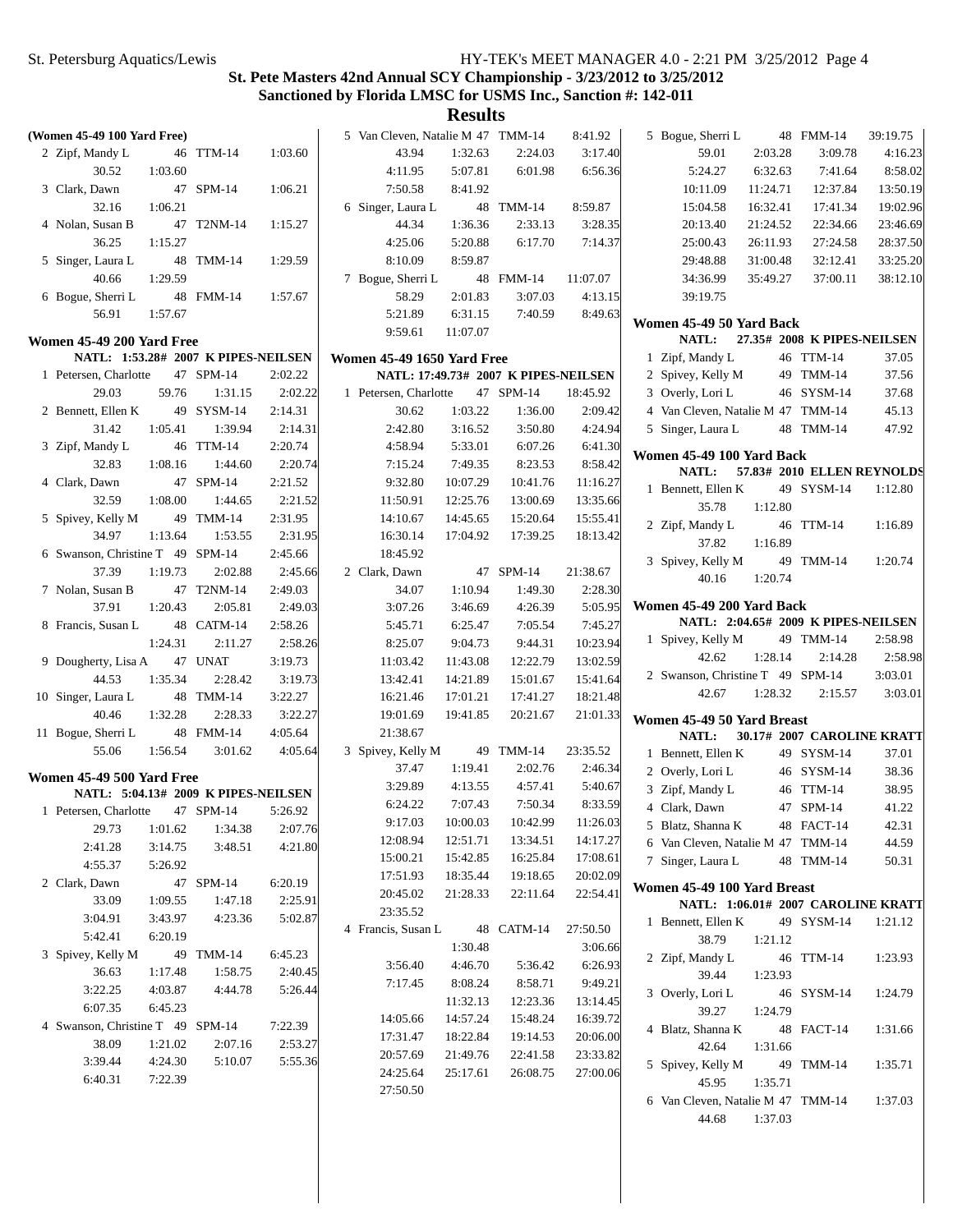# **St. Pete Masters 42nd Annual SCY Championship - 3/23/2012 to 3/25/2012 Sanctioned by Florida LMSC for USMS Inc., Sanction #: 142-011**

| (Women 45-49 100 Yard Free)                                             |         |            |         | 5 Van Cleven, Natalie M 47 TMM-14 |          |                                      | 8:41.92  | 5 Bogue, Sherri L                   |          | 48 FMM-14                   | 39:19.75 |
|-------------------------------------------------------------------------|---------|------------|---------|-----------------------------------|----------|--------------------------------------|----------|-------------------------------------|----------|-----------------------------|----------|
| 2 Zipf, Mandy L                                                         |         | 46 TTM-14  | 1:03.60 | 43.94                             | 1:32.63  | 2:24.03                              | 3:17.40  | 59.01                               | 2:03.28  | 3:09.78                     | 4:16.23  |
| 30.52                                                                   | 1:03.60 |            |         | 4:11.95                           | 5:07.81  | 6:01.98                              | 6:56.36  | 5:24.27                             | 6:32.63  | 7:41.64                     | 8:58.02  |
| 3 Clark, Dawn                                                           |         | 47 SPM-14  | 1:06.21 | 7:50.58                           | 8:41.92  |                                      |          | 10:11.09                            | 11:24.71 | 12:37.84                    | 13:50.19 |
| 32.16                                                                   | 1:06.21 |            |         | 6 Singer, Laura L                 |          | 48 TMM-14                            | 8:59.87  | 15:04.58                            | 16:32.41 | 17:41.34                    | 19:02.96 |
| 4 Nolan, Susan B                                                        |         | 47 T2NM-14 | 1:15.27 | 44.34                             | 1:36.36  | 2:33.13                              | 3:28.35  | 20:13.40                            | 21:24.52 | 22:34.66                    | 23:46.69 |
| 36.25                                                                   | 1:15.27 |            |         | 4:25.06                           | 5:20.88  | 6:17.70                              | 7:14.37  | 25:00.43                            | 26:11.93 | 27:24.58                    | 28:37.50 |
| 5 Singer, Laura L                                                       |         | 48 TMM-14  | 1:29.59 | 8:10.09                           | 8:59.87  |                                      |          | 29:48.88                            | 31:00.48 | 32:12.41                    | 33:25.20 |
| 40.66                                                                   | 1:29.59 |            |         | 7 Bogue, Sherri L                 |          | 48 FMM-14                            | 11:07.07 | 34:36.99                            | 35:49.27 | 37:00.11                    | 38:12.10 |
| 6 Bogue, Sherri L                                                       |         | 48 FMM-14  | 1:57.67 | 58.29                             | 2:01.83  | 3:07.03                              | 4:13.15  | 39:19.75                            |          |                             |          |
| 56.91                                                                   | 1:57.67 |            |         | 5:21.89                           | 6:31.15  | 7:40.59                              | 8:49.63  |                                     |          |                             |          |
|                                                                         |         |            |         | 9:59.61                           | 11:07.07 |                                      |          | Women 45-49 50 Yard Back            |          | 27.35# 2008 K PIPES-NEILSEN |          |
| Women 45-49 200 Yard Free                                               |         |            |         |                                   |          |                                      |          | NATL:                               |          |                             | 37.05    |
| NATL: 1:53.28# 2007 K PIPES-NEILSEN                                     |         |            |         | <b>Women 45-49 1650 Yard Free</b> |          |                                      |          | 1 Zipf, Mandy L                     |          | 46 TTM-14                   | 37.56    |
| 1 Petersen, Charlotte                                                   |         | 47 SPM-14  | 2:02.22 |                                   |          | NATL: 17:49.73# 2007 K PIPES-NEILSEN |          | 2 Spivey, Kelly M                   |          | 49 TMM-14                   |          |
| 29.03                                                                   | 59.76   | 1:31.15    | 2:02.22 | 1 Petersen, Charlotte             |          | 47 SPM-14                            | 18:45.92 | 3 Overly, Lori L                    |          | 46 SYSM-14                  | 37.68    |
| 2 Bennett, Ellen K                                                      |         | 49 SYSM-14 | 2:14.31 | 30.62                             | 1:03.22  | 1:36.00                              | 2:09.42  | 4 Van Cleven, Natalie M 47 TMM-14   |          |                             | 45.13    |
| 31.42                                                                   | 1:05.41 | 1:39.94    | 2:14.31 | 2:42.80                           | 3:16.52  | 3:50.80                              | 4:24.94  | 5 Singer, Laura L                   |          | 48 TMM-14                   | 47.92    |
| 3 Zipf, Mandy L                                                         |         | 46 TTM-14  | 2:20.74 | 4:58.94                           | 5:33.01  | 6:07.26                              | 6:41.30  | Women 45-49 100 Yard Back           |          |                             |          |
| 32.83                                                                   | 1:08.16 | 1:44.60    | 2:20.74 | 7:15.24                           | 7:49.35  | 8:23.53                              | 8:58.42  | NATL:                               |          | 57.83# 2010 ELLEN REYNOLDS  |          |
| 4 Clark, Dawn                                                           |         | 47 SPM-14  | 2:21.52 | 9:32.80                           | 10:07.29 | 10:41.76                             | 11:16.27 | 1 Bennett, Ellen K                  |          | 49 SYSM-14                  | 1:12.80  |
| 32.59                                                                   | 1:08.00 | 1:44.65    | 2:21.52 | 11:50.91                          | 12:25.76 | 13:00.69                             | 13:35.66 | 35.78                               | 1:12.80  |                             |          |
| 5 Spivey, Kelly M                                                       |         | 49 TMM-14  | 2:31.95 | 14:10.67                          | 14:45.65 | 15:20.64                             | 15:55.41 | 2 Zipf, Mandy L                     |          | 46 TTM-14                   | 1:16.89  |
| 34.97                                                                   | 1:13.64 | 1:53.55    | 2:31.95 | 16:30.14                          | 17:04.92 | 17:39.25                             | 18:13.42 | 37.82                               | 1:16.89  |                             |          |
| 6 Swanson, Christine T 49 SPM-14                                        |         |            | 2:45.66 | 18:45.92                          |          |                                      |          | 3 Spivey, Kelly M                   |          | 49 TMM-14                   | 1:20.74  |
| 37.39                                                                   | 1:19.73 | 2:02.88    | 2:45.66 | 2 Clark, Dawn                     |          | 47 SPM-14                            | 21:38.67 | 40.16                               | 1:20.74  |                             |          |
| 7 Nolan, Susan B                                                        |         | 47 T2NM-14 | 2:49.03 | 34.07                             | 1:10.94  | 1:49.30                              | 2:28.30  |                                     |          |                             |          |
| 37.91                                                                   | 1:20.43 | 2:05.81    | 2:49.03 | 3:07.26                           | 3:46.69  | 4:26.39                              | 5:05.95  | Women 45-49 200 Yard Back           |          |                             |          |
| 8 Francis, Susan L                                                      |         | 48 CATM-14 | 2:58.26 | 5:45.71                           | 6:25.47  | 7:05.54                              | 7:45.27  | NATL: 2:04.65# 2009 K PIPES-NEILSEN |          |                             |          |
|                                                                         | 1:24.31 | 2:11.27    | 2:58.26 | 8:25.07                           | 9:04.73  | 9:44.31                              | 10:23.94 | 1 Spivey, Kelly M                   |          | 49 TMM-14                   | 2:58.98  |
| 9 Dougherty, Lisa A                                                     |         | 47 UNAT    | 3:19.73 | 11:03.42                          | 11:43.08 | 12:22.79                             | 13:02.59 | 42.62                               | 1:28.14  | 2:14.28                     | 2:58.98  |
| 44.53                                                                   | 1:35.34 | 2:28.42    | 3:19.73 | 13:42.41                          | 14:21.89 | 15:01.67                             | 15:41.64 | 2 Swanson, Christine T 49 SPM-14    |          |                             | 3:03.01  |
| 10 Singer, Laura L                                                      |         | 48 TMM-14  | 3:22.27 | 16:21.46                          | 17:01.21 | 17:41.27                             | 18:21.48 | 42.67                               | 1:28.32  | 2:15.57                     | 3:03.01  |
| 40.46                                                                   | 1:32.28 | 2:28.33    | 3:22.27 | 19:01.69                          | 19:41.85 | 20:21.67                             | 21:01.33 | Women 45-49 50 Yard Breast          |          |                             |          |
| 11 Bogue, Sherri L                                                      |         | 48 FMM-14  | 4:05.64 | 21:38.67                          |          |                                      |          | NATL:                               |          | 30.17# 2007 CAROLINE KRATT  |          |
| 55.06                                                                   | 1:56.54 | 3:01.62    | 4:05.64 | 3 Spivey, Kelly M                 |          | 49 TMM-14                            | 23:35.52 | 1 Bennett, Ellen K                  |          | 49 SYSM-14                  | 37.01    |
|                                                                         |         |            |         | 37.47                             | 1:19.41  | 2:02.76                              | 2:46.34  | 2 Overly, Lori L                    |          | 46 SYSM-14                  | 38.36    |
| <b>Women 45-49 500 Yard Free</b><br>NATL: 5:04.13# 2009 K PIPES-NEILSEN |         |            |         | 3:29.89                           | 4:13.55  | 4:57.41                              | 5:40.67  | 3 Zipf, Mandy L                     |          | 46 TTM-14                   | 38.95    |
|                                                                         |         | 47 SPM-14  | 5:26.92 | 6:24.22                           | 7:07.43  | 7:50.34                              | 8:33.59  | 4 Clark, Dawn                       |          | 47 SPM-14                   | 41.22    |
| 1 Petersen, Charlotte                                                   |         |            |         | 9:17.03                           | 10:00.03 | 10:42.99                             | 11:26.03 | 5 Blatz, Shanna K                   |          | 48 FACT-14                  | 42.31    |
| 29.73                                                                   | 1:01.62 | 1:34.38    | 2:07.76 | 12:08.94                          | 12:51.71 | 13:34.51                             | 14:17.27 | 6 Van Cleven, Natalie M 47 TMM-14   |          |                             | 44.59    |
| 2:41.28                                                                 | 3:14.75 | 3:48.51    | 4:21.80 | 15:00.21                          | 15:42.85 | 16:25.84                             | 17:08.61 | 7 Singer, Laura L                   |          | 48 TMM-14                   | 50.31    |
| 4:55.37                                                                 | 5:26.92 |            |         | 17:51.93                          | 18:35.44 | 19:18.65                             | 20:02.09 |                                     |          |                             |          |
| 2 Clark, Dawn                                                           |         | 47 SPM-14  | 6:20.19 | 20:45.02                          | 21:28.33 | 22:11.64                             | 22:54.41 | Women 45-49 100 Yard Breast         |          |                             |          |
| 33.09                                                                   | 1:09.55 | 1:47.18    | 2:25.91 | 23:35.52                          |          |                                      |          | NATL: 1:06.01# 2007 CAROLINE KRATT  |          |                             |          |
| 3:04.91                                                                 | 3:43.97 | 4:23.36    | 5:02.87 | 4 Francis, Susan L                |          | 48 CATM-14                           | 27:50.50 | 1 Bennett, Ellen K                  |          | 49 SYSM-14                  | 1:21.12  |
| 5:42.41                                                                 | 6:20.19 |            |         |                                   | 1:30.48  |                                      | 3:06.66  | 38.79                               | 1:21.12  |                             |          |
| 3 Spivey, Kelly M                                                       |         | 49 TMM-14  | 6:45.23 | 3:56.40                           | 4:46.70  | 5:36.42                              | 6:26.93  | 2 Zipf, Mandy L                     |          | 46 TTM-14                   | 1:23.93  |
| 36.63                                                                   | 1:17.48 | 1:58.75    | 2:40.45 | 7:17.45                           | 8:08.24  | 8:58.71                              | 9:49.21  | 39.44                               | 1:23.93  |                             |          |
| 3:22.25                                                                 | 4:03.87 | 4:44.78    | 5:26.44 |                                   | 11:32.13 | 12:23.36                             | 13:14.45 | 3 Overly, Lori L                    |          | 46 SYSM-14                  | 1:24.79  |
| 6:07.35                                                                 | 6:45.23 |            |         | 14:05.66                          | 14:57.24 | 15:48.24                             | 16:39.72 | 39.27                               | 1:24.79  |                             |          |
| 4 Swanson, Christine T 49 SPM-14                                        |         |            | 7:22.39 | 17:31.47                          | 18:22.84 | 19:14.53                             | 20:06.00 | 4 Blatz, Shanna K                   |          | 48 FACT-14                  | 1:31.66  |
| 38.09                                                                   | 1:21.02 | 2:07.16    | 2:53.27 | 20:57.69                          | 21:49.76 | 22:41.58                             | 23:33.82 | 42.64                               | 1:31.66  |                             |          |
| 3:39.44                                                                 | 4:24.30 | 5:10.07    | 5:55.36 |                                   |          |                                      |          | 5 Spivey, Kelly M                   |          | 49 TMM-14                   | 1:35.71  |
| 6:40.31                                                                 | 7:22.39 |            |         | 24:25.64                          | 25:17.61 | 26:08.75                             | 27:00.06 | 45.95                               | 1:35.71  |                             |          |
|                                                                         |         |            |         | 27:50.50                          |          |                                      |          | 6 Van Cleven, Natalie M 47 TMM-14   |          |                             | 1:37.03  |
|                                                                         |         |            |         |                                   |          |                                      |          | 44.68                               | 1:37.03  |                             |          |
|                                                                         |         |            |         |                                   |          |                                      |          |                                     |          |                             |          |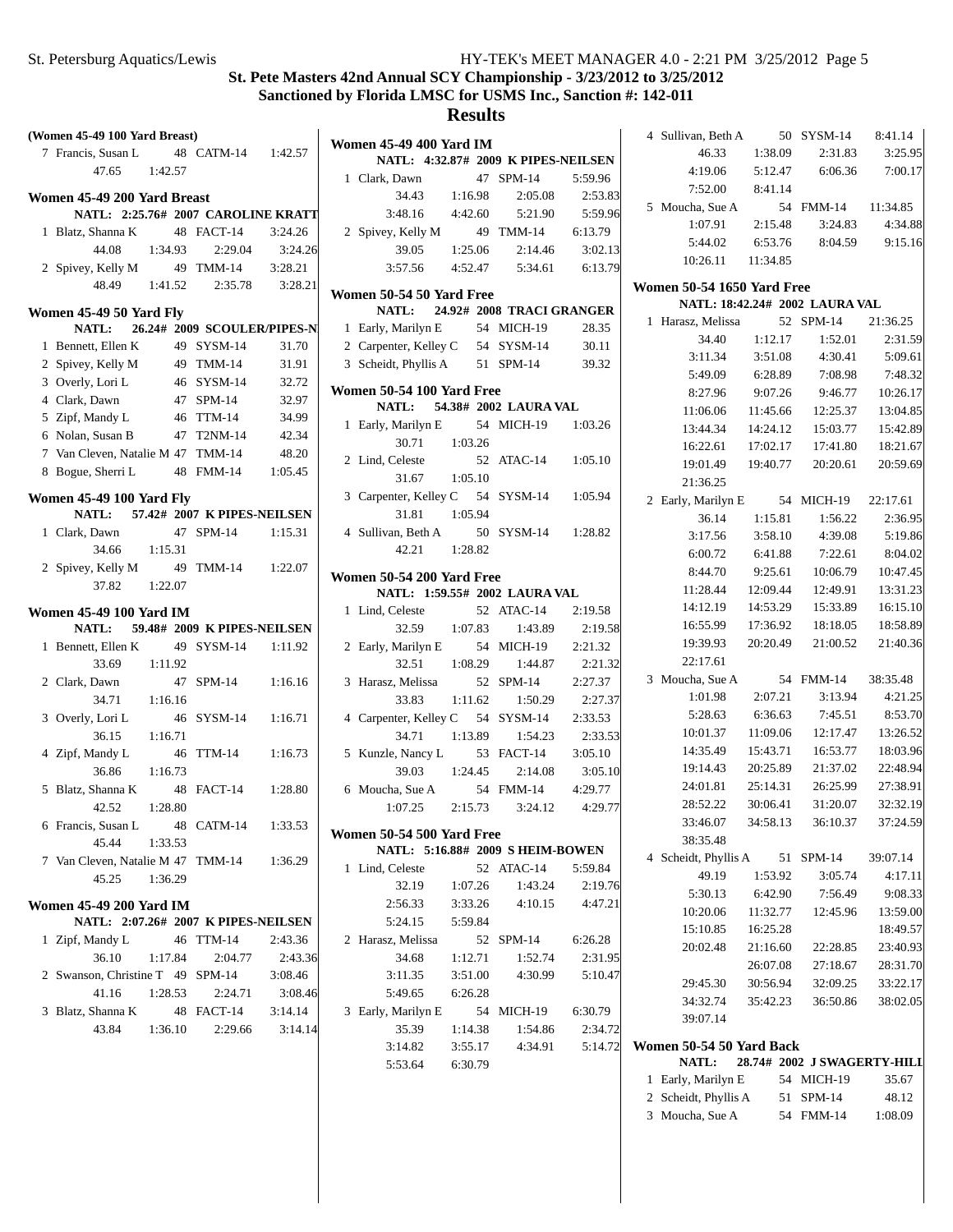| (Women 45-49 100 Yard Breast)                                     |               |                             |                    |                                           |
|-------------------------------------------------------------------|---------------|-----------------------------|--------------------|-------------------------------------------|
| 7 Francis, Susan L                                                |               | 48 CATM-14 1:42.57          |                    | <b>Women 45-49 400 Yard IM</b>            |
| 47.65                                                             | 1:42.57       |                             |                    | NATL: 4:32.87# 200<br>1 Clark, Dawn<br>47 |
|                                                                   |               |                             |                    | 34.43<br>1:16.98                          |
| Women 45-49 200 Yard Breast<br>NATL: 2:25.76# 2007 CAROLINE KRATT |               |                             |                    | 3:48.16<br>4:42.60                        |
| 1 Blatz, Shanna K                                                 |               | 48 FACT-14                  | 3:24.26            | 2 Spivey, Kelly M<br>49                   |
| 44.08                                                             |               |                             |                    | 39.05                                     |
|                                                                   | 1:34.93<br>49 | 2:29.04<br><b>TMM-14</b>    | 3:24.26<br>3:28.21 | 1:25.06<br>3:57.56<br>4:52.47             |
| 2 Spivey, Kelly M<br>48.49                                        | 1:41.52       |                             |                    |                                           |
|                                                                   |               | 2:35.78                     | 3:28.21            | Women 50-54 50 Yard Free                  |
| Women 45-49 50 Yard Fly                                           |               |                             |                    | 24.92# 200<br><b>NATL:</b>                |
| <b>NATL:</b>                                                      |               | 26.24# 2009 SCOULER/PIPES-N |                    | 1 Early, Marilyn E<br>54                  |
| 1 Bennett, Ellen K                                                |               | 49 SYSM-14                  | 31.70              | 2 Carpenter, Kelley C<br>54               |
| 2 Spivey, Kelly M                                                 |               | 49 TMM-14                   | 31.91              | 3 Scheidt, Phyllis A<br>51                |
| 3 Overly, Lori L                                                  |               | 46 SYSM-14                  | 32.72              | <b>Women 50-54 100 Yard Fre</b>           |
| 4 Clark, Dawn                                                     |               | 47 SPM-14                   | 32.97              | 54.38# 200<br><b>NATL:</b>                |
| 5 Zipf, Mandy L                                                   |               | 46 TTM-14                   | 34.99              | 1 Early, Marilyn E<br>54                  |
| 6 Nolan, Susan B                                                  |               | 47 T2NM-14                  | 42.34              | 30.71<br>1:03.26                          |
| 7 Van Cleven, Natalie M 47 TMM-14                                 |               |                             | 48.20              | 2 Lind, Celeste<br>52                     |
| 8 Bogue, Sherri L                                                 |               | 48 FMM-14                   | 1:05.45            | 1:05.10<br>31.67                          |
| <b>Women 45-49 100 Yard Fly</b>                                   |               |                             |                    | 3 Carpenter, Kelley C<br>54               |
| NATL: 57.42# 2007 K PIPES-NEILSEN                                 |               |                             |                    | 1:05.94<br>31.81                          |
| 1 Clark, Dawn                                                     |               | 47 SPM-14                   | 1:15.31            | 4 Sullivan, Beth A<br>50                  |
| 34.66                                                             | 1:15.31       |                             |                    | 42.21<br>1:28.82                          |
| 2 Spivey, Kelly M                                                 |               | 49 TMM-14 1:22.07           |                    |                                           |
| 37.82                                                             | 1:22.07       |                             |                    | <b>Women 50-54 200 Yard Fre</b>           |
|                                                                   |               |                             |                    | NATL: 1:59.55# 200                        |
| <b>Women 45-49 100 Yard IM</b>                                    |               |                             |                    | 1 Lind, Celeste<br>52                     |
| <b>NATL:</b>                                                      |               | 59.48# 2009 K PIPES-NEILSEN |                    | 32.59<br>1:07.83                          |
| 1 Bennett, Ellen K                                                |               | 49 SYSM-14                  | 1:11.92            | 2 Early, Marilyn E<br>54                  |
| 33.69                                                             | 1:11.92       |                             |                    | 32.51<br>1:08.29                          |
| 2 Clark, Dawn                                                     |               | 47 SPM-14                   | 1:16.16            | 3 Harasz, Melissa<br>52                   |
| 34.71                                                             | 1:16.16       |                             |                    | 33.83<br>1:11.62                          |
| 3 Overly, Lori L<br>36.15                                         |               | 46 SYSM-14                  | 1:16.71            | 4 Carpenter, Kelley C<br>54<br>34.71      |
|                                                                   | 1:16.71       |                             |                    | 1:13.89                                   |
| 4 Zipf, Mandy L<br>36.86                                          |               | 46 TTM-14                   | 1:16.73            | 5 Kunzle, Nancy L<br>53<br>39.03          |
|                                                                   | 1:16.73       |                             |                    | 1:24.45                                   |
| 5 Blatz, Shanna K                                                 |               | 48 FACT-14                  | 1:28.80            | 6 Moucha, Sue A<br>54                     |
| 42.52                                                             | 1:28.80       |                             |                    | 1:07.25<br>2:15.73                        |
| 6 Francis, Susan L<br>45.44                                       |               | 48 CATM-14                  | 1:33.53            | Women 50-54 500 Yard Fre                  |
|                                                                   | 1:33.53       |                             |                    | NATL: 5:16.88# 200                        |
| 7 Van Cleven, Natalie M 47 TMM-14<br>45.25                        |               |                             | 1:36.29            | 1 Lind, Celeste<br>52                     |
|                                                                   | 1:36.29       |                             |                    | 32.19<br>1:07.26                          |
| <b>Women 45-49 200 Yard IM</b>                                    |               |                             |                    | 2:56.33<br>3:33.26                        |
| NATL: 2:07.26# 2007 K PIPES-NEILSEN                               |               |                             |                    | 5:59.84<br>5:24.15                        |
| 1 Zipf, Mandy L                                                   |               | 46 TTM-14                   | 2:43.36            | 2 Harasz, Melissa<br>52                   |
| 36.10                                                             | 1:17.84       | 2:04.77                     | 2:43.36            | 34.68<br>1:12.71                          |
| 2 Swanson, Christine T 49 SPM-14                                  |               |                             | 3:08.46            | 3:11.35<br>3:51.00                        |
| 41.16                                                             | 1:28.53       | 2:24.71                     | 3:08.46            | 5:49.65<br>6:26.28                        |
| 3 Blatz, Shanna K                                                 |               | 48 FACT-14                  | 3:14.14            | 3 Early, Marilyn E<br>54                  |
| 43.84                                                             | 1:36.10       | 2:29.66                     | 3:14.14            | 35.39<br>1:14.38                          |
|                                                                   |               |                             |                    | 2.14.92<br>2.5517                         |

|   |                                          |                 |    | NATL: 4:32.87# 2009 K PIPES-NEILSEN                        |         |
|---|------------------------------------------|-----------------|----|------------------------------------------------------------|---------|
|   | 1 Clark, Dawn                            |                 |    | 47 SPM-14 5:59.96                                          |         |
|   |                                          |                 |    | 34.43 1:16.98 2:05.08 2:53.83                              |         |
|   |                                          |                 |    | 3:48.16  4:42.60  5:21.90  5:59.96                         |         |
|   | 2 Spivey, Kelly M 49 TMM-14 6:13.79      |                 |    |                                                            |         |
|   |                                          |                 |    | 39.05 1:25.06 2:14.46 3:02.13                              |         |
|   |                                          |                 |    | 3:57.56 4:52.47 5:34.61 6:13.79                            |         |
|   |                                          |                 |    |                                                            |         |
|   | Women 50-54 50 Yard Free                 |                 |    | NATL: 24.92# 2008 TRACI GRANGER                            |         |
|   | 1 Early, Marilyn E 54 MICH-19            |                 |    |                                                            | 28.35   |
|   | 2 Carpenter, Kelley C 54 SYSM-14 30.11   |                 |    |                                                            |         |
|   | 3 Scheidt, Phyllis A 51 SPM-14 39.32     |                 |    |                                                            |         |
|   |                                          |                 |    |                                                            |         |
|   | Women 50-54 100 Yard Free                |                 |    |                                                            |         |
|   |                                          |                 |    | NATL: 54.38# 2002 LAURA VAL                                |         |
|   | 1 Early, Marilyn E 54 MICH-19 1:03.26    |                 |    |                                                            |         |
|   |                                          | $30.71$ 1:03.26 |    |                                                            |         |
|   | 2 Lind, Celeste                          |                 |    | 52 ATAC-14 1:05.10                                         |         |
|   |                                          | 31.67 1:05.10   |    |                                                            |         |
|   | 3 Carpenter, Kelley C 54 SYSM-14 1:05.94 |                 |    |                                                            |         |
|   |                                          | 31.81  1:05.94  |    |                                                            |         |
|   | 4 Sullivan, Beth A 50 SYSM-14 1:28.82    |                 |    |                                                            |         |
|   |                                          | 42.21 1:28.82   |    |                                                            |         |
|   | Women 50-54 200 Yard Free                |                 |    |                                                            |         |
|   |                                          |                 |    | NATL: 1:59.55# 2002 LAURA VAL                              |         |
|   | 1 Lind, Celeste                          |                 |    | 52 ATAC-14 2:19.58                                         |         |
|   |                                          |                 |    | 32.59 1:07.83 1:43.89 2:19.58                              |         |
|   | 2 Early, Marilyn E 54 MICH-19 2:21.32    |                 |    |                                                            |         |
|   |                                          |                 |    | 32.51 1:08.29 1:44.87                                      | 2:21.32 |
|   | 3 Harasz, Melissa 52 SPM-14              |                 |    |                                                            | 2:27.37 |
|   |                                          |                 |    | 33.83 1:11.62 1:50.29 2:27.37                              |         |
|   | 4 Carpenter, Kelley C 54 SYSM-14 2:33.53 |                 |    |                                                            |         |
|   |                                          |                 |    | 34.71   1:13.89   1:54.23   2:33.53                        |         |
|   | 5 Kunzle, Nancy L 53 FACT-14 3:05.10     |                 |    |                                                            |         |
|   |                                          |                 |    |                                                            | 3:05.10 |
|   | 6 Moucha, Sue A                          |                 |    | 39.03 1:24.45 2:14.08 3:05.1<br>a, Sue A 54 FMM-14 4:29.77 |         |
|   |                                          |                 |    | $1:07.25$ $2:15.73$ $3:24.12$ $4:29.77$                    |         |
|   | Women 50-54 500 Yard Free                |                 |    |                                                            |         |
|   | NATL: 5:16.88# 2009 SHEIM-BOWEN          |                 |    |                                                            |         |
| 1 | Lind, Celeste                            |                 |    | 52 ATAC-14                                                 | 5:59.84 |
|   | 32.19                                    | 1:07.26         |    | 1:43.24                                                    | 2:19.76 |
|   | 2:56.33                                  | 3:33.26         |    | 4:10.15                                                    | 4:47.21 |
|   | 5:24.15                                  | 5:59.84         |    |                                                            |         |
| 2 | Harasz, Melissa                          |                 | 52 | SPM-14                                                     | 6:26.28 |
|   | 34.68                                    | 1:12.71         |    | 1:52.74                                                    | 2:31.95 |
|   | 3:11.35                                  | 3:51.00         |    | 4:30.99                                                    | 5:10.47 |
|   | 5:49.65                                  | 6:26.28         |    |                                                            |         |
| 3 | Early, Marilyn E                         |                 | 54 | MICH-19                                                    | 6:30.79 |
|   | 35.39                                    | 1:14.38         |    | 1:54.86                                                    | 2:34.72 |
|   | 3:14.82                                  | 3:55.17         |    | 4:34.91                                                    | 5:14.72 |
|   | 5:53.64                                  | 6:30.79         |    |                                                            |         |
|   |                                          |                 |    |                                                            |         |

|   | 4 Sullivan, Beth A 50 SYSM-14 8:41.14 |                 |                                                      |                    |
|---|---------------------------------------|-----------------|------------------------------------------------------|--------------------|
|   | 46.33                                 | 1:38.09         | 2:31.83                                              | 3:25.95            |
|   |                                       |                 | 4:19.06 5:12.47 6:06.36 7:00.17                      |                    |
|   | 7:52.00 8:41.14                       |                 |                                                      |                    |
|   | 5 Moucha, Sue A                       |                 | 54 FMM-14                                            | 11:34.85           |
|   | 1:07.91                               | 2:15.48         | 3:24.83                                              | 4:34.88            |
|   | 5:44.02                               | 6:53.76         | 8:04.59                                              | 9:15.16            |
|   | 10:26.11 11:34.85                     |                 |                                                      |                    |
|   |                                       |                 |                                                      |                    |
|   | <b>Women 50-54 1650 Yard Free</b>     |                 |                                                      |                    |
|   |                                       |                 | NATL: 18:42.24# 2002 LAURA VAL                       |                    |
| 1 | Harasz, Melissa                       |                 | 52 SPM-14                                            | 21:36.25           |
|   | 34.40                                 | 1:12.17         | 1:52.01                                              | 2:31.59            |
|   | 3:11.34                               | 3:51.08         | 4:30.41                                              | 5:09.61            |
|   | 5:49.09                               | 6:28.89         | 7:08.98                                              | 7:48.32            |
|   | 8:27.96                               | 9:07.26         | 9:46.77                                              | 10:26.17           |
|   | 11:06.06                              | 11:45.66        | 12:25.37                                             | 13:04.85           |
|   | 13:44.34                              | 14:24.12        | 15:03.77                                             | 15:42.89           |
|   | 16:22.61                              | 17:02.17        | 17:41.80                                             | 18:21.67           |
|   | 19:01.49                              | 19:40.77        | 20:20.61                                             | 20:59.69           |
|   | 21:36.25                              |                 |                                                      |                    |
|   | 2 Early, Marilyn E 54                 |                 | MICH-19                                              | 22:17.61           |
|   | 36.14                                 |                 | $1:15.81$ $1:56.22$<br>$3:17.56$ $3:58.10$ $4:39.08$ | 2:36.95<br>5:19.86 |
|   |                                       | 6:00.72 6:41.88 | 7:22.61                                              | 8:04.02            |
|   | 8:44.70                               | 9:25.61         | 10:06.79                                             | 10:47.45           |
|   | 11:28.44                              | 12:09.44        | 12:49.91                                             | 13:31.23           |
|   | 14:12.19                              | 14:53.29        | 15:33.89                                             | 16:15.10           |
|   | 16:55.99                              | 17:36.92        | 18:18.05                                             | 18:58.89           |
|   | 19:39.93                              | 20:20.49        | 21:00.52                                             | 21:40.36           |
|   | 22:17.61                              |                 |                                                      |                    |
|   | 3 Moucha, Sue A                       | 54              | FMM-14 38:35.48                                      |                    |
|   | 1:01.98                               | 2:07.21         | 3:13.94                                              | 4:21.25            |
|   | 5:28.63                               |                 | 6:36.63 7:45.51                                      | 8:53.70            |
|   | 10:01.37                              |                 | 11:09.06 12:17.47                                    | 13:26.52           |
|   | 14:35.49                              |                 | 15:43.71  16:53.77                                   | 18:03.96           |
|   |                                       |                 | 19:14.43 20:25.89 21:37.02                           | 22:48.94           |
|   | 24:01.81                              | 25:14.31        | 26:25.99 27:38.91                                    |                    |
|   | 28:52.22                              | 30:06.41        | 31:20.07                                             | 32:32.19           |
|   | 33:46.07                              |                 | 34:58.13 36:10.37                                    | 37:24.59           |
|   | 38:35.48                              |                 |                                                      |                    |
|   | 4 Scheidt, Phyllis A 51               |                 | $SPM-14$                                             | 39:07.14           |
|   | 49.19                                 | 1:53.92         | 3:05.74                                              | 4:17.11            |
|   | 5:30.13                               | 6:42.90         | 7:56.49                                              | 9:08.33            |
|   | 10:20.06                              | 11:32.77        | 12:45.96                                             | 13:59.00           |
|   | 15:10.85                              | 16:25.28        |                                                      | 18:49.57           |
|   | 20:02.48 21:16.60                     |                 | 22:28.85                                             | 23:40.93           |
|   |                                       |                 | 26:07.08 27:18.67                                    | 28:31.70           |
|   |                                       |                 | 29:45.30 30:56.94 32:09.25                           | 33:22.17           |
|   | 34:32.74                              |                 | 35:42.23 36:50.86                                    | 38:02.05           |
|   | 39:07.14                              |                 |                                                      |                    |
|   | Women 50-54 50 Yard Back              |                 |                                                      |                    |
|   | <b>NATL:</b>                          |                 | 28.74# 2002 J SWAGERTY-HILI                          |                    |
|   | 1 Early, Marilyn E                    |                 | 54 MICH-19                                           | 35.67              |
|   | 2 Scheidt, Phyllis A 51 SPM-14        |                 |                                                      | 48.12              |
|   | 3 Moucha, Sue A 54 FMM-14 1:08.09     |                 |                                                      |                    |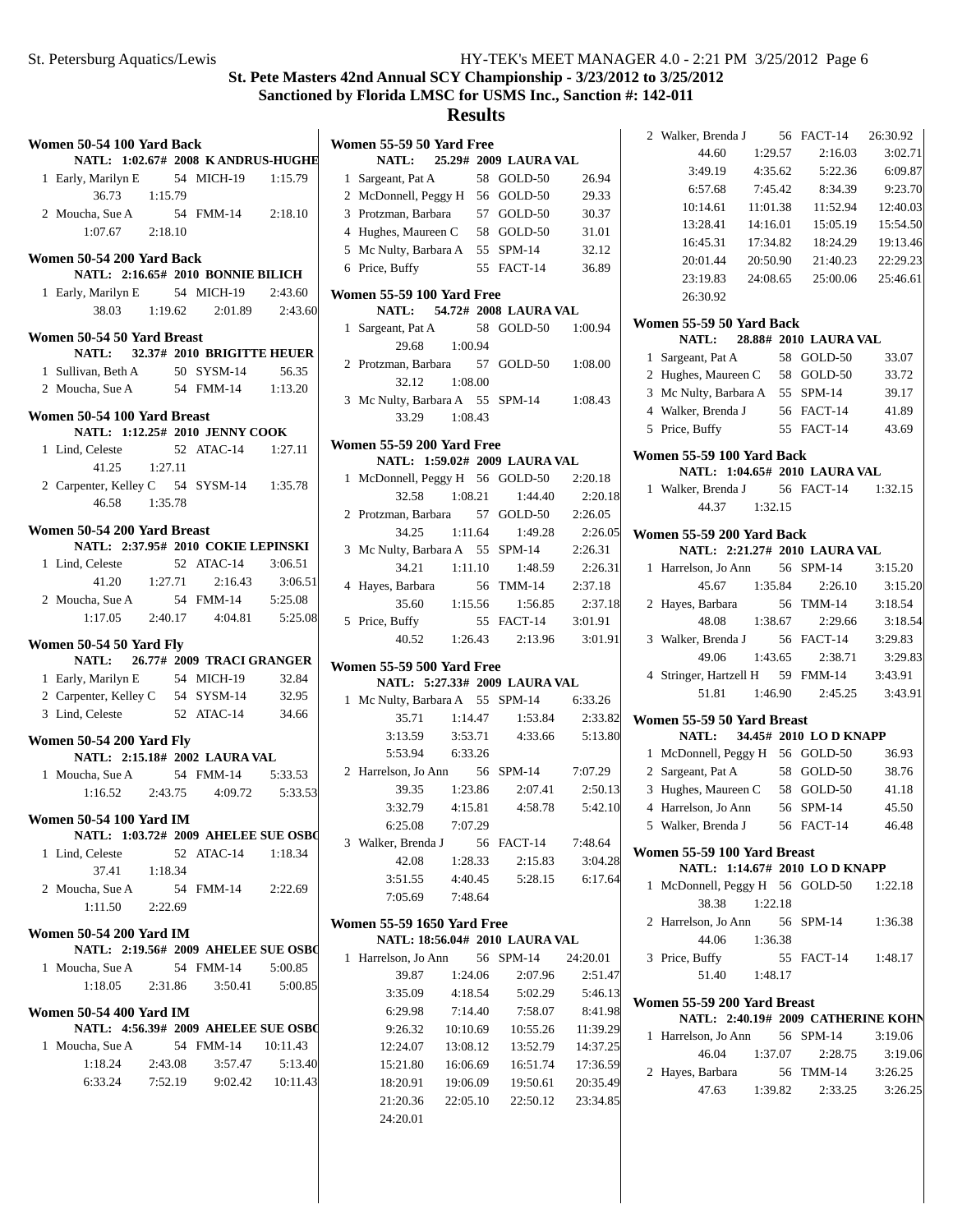| Women 50-54 100 Yard Back                                        |  |                                              |         |
|------------------------------------------------------------------|--|----------------------------------------------|---------|
| NATL: 1:02.67# 2008 KANDRUS-HUGHE                                |  |                                              |         |
| 1 Early, Marilyn E 54 MICH-19 1:15.79<br>36.73 1:15.79           |  |                                              |         |
| 2 Moucha, Sue A                                                  |  | 54 FMM-14 2:18.10                            |         |
| $1:07.67$ $2:18.10$                                              |  |                                              |         |
| Women 50-54 200 Yard Back                                        |  |                                              |         |
| <b>NATL: 2:16.65# 2010 BONNIE BILICH</b>                         |  |                                              |         |
| 1 Early, Marilyn E 54 MICH-19 2:43.60                            |  |                                              |         |
|                                                                  |  | 38.03 1:19.62 2:01.89 2:43.60                |         |
| Women 50-54 50 Yard Breast                                       |  |                                              |         |
| NATL: 32.37# 2010 BRIGITTE HEUER                                 |  |                                              |         |
| 1 Sullivan, Beth A 50 SYSM-14 56.35                              |  |                                              |         |
| 2 Moucha, Sue A 54 FMM-14 1:13.20                                |  |                                              |         |
| Women 50-54 100 Yard Breast                                      |  |                                              |         |
| NATL: 1:12.25# 2010 JENNY COOK                                   |  |                                              |         |
| 1 Lind, Celeste                                                  |  | 52 ATAC-14 1:27.11                           |         |
| $41.25$ $1:27.11$                                                |  |                                              |         |
| 2 Carpenter, Kelley C 54 SYSM-14 1:35.78                         |  |                                              |         |
| 46.58 1:35.78                                                    |  |                                              |         |
| Women 50-54 200 Yard Breast                                      |  |                                              |         |
| NATL: 2:37.95# 2010 COKIE LEPINSKI                               |  |                                              |         |
| 1 Lind, Celeste                                                  |  | 52 ATAC-14                                   | 3:06.51 |
|                                                                  |  | 41.20   1:27.71   2:16.43                    | 3:06.51 |
| 2 Moucha, Sue A                                                  |  | ha, Sue A<br>1:17.05 2:40.17 4:04.81 5:25.08 |         |
|                                                                  |  |                                              |         |
| Women 50-54 50 Yard Fly                                          |  |                                              |         |
| NATL: 26.77# 2009 TRACI GRANGER                                  |  |                                              |         |
| 1 Early, Marilyn E 54 MICH-19 32.84                              |  |                                              |         |
| 2 Carpenter, Kelley C 54 SYSM-14 32.95                           |  |                                              |         |
| 3 Lind, Celeste                                                  |  | 52 ATAC-14 34.66                             |         |
| <b>Women 50-54 200 Yard Fly</b><br>NATL: 2:15.18# 2002 LAURA VAL |  |                                              |         |
| 1 Moucha, Sue A 54 FMM-14 5:33.53                                |  |                                              |         |
|                                                                  |  | $1:16.52$ $2:43.75$ $4:09.72$                | 5:33.53 |
| <b>Women 50-54 100 Yard IM</b>                                   |  |                                              |         |
| NATL: 1:03.72# 2009 AHELEE SUE OSB(                              |  |                                              |         |
| 1 Lind, Celeste                                                  |  | 52 ATAC-14 1:18.34                           |         |
| 37.41  1:18.34                                                   |  |                                              |         |
| 2 Moucha, Sue A                                                  |  | 54 FMM-14 2:22.69                            |         |
| $1:11.50$ $2:22.69$                                              |  |                                              |         |
| <b>Women 50-54 200 Yard IM</b>                                   |  |                                              |         |
| NATL: 2:19.56# 2009 AHELEE SUE OSB(                              |  |                                              |         |
| 1 Moucha, Sue A 54 FMM-14 5:00.85                                |  |                                              |         |
|                                                                  |  | $1:18.05$ $2:31.86$ $3:50.41$ $5:00.85$      |         |
| <b>Women 50-54 400 Yard IM</b>                                   |  |                                              |         |
| NATL: 4:56.39# 2009 AHELEE SUE OSBO                              |  |                                              |         |
| 1 Moucha, Sue A                                                  |  | 54 FMM-14 10:11.43                           |         |
| $1:18.24$ 2:43.08                                                |  | 3:57.47                                      | 5:13.40 |
|                                                                  |  | 6:33.24 7:52.19 9:02.42 10:11.43             |         |
|                                                                  |  |                                              |         |
|                                                                  |  |                                              |         |

|   | Women 55-59 50 Yard Free                |          | NATL: 25.29# 2009 LAURA VAL           |          |
|---|-----------------------------------------|----------|---------------------------------------|----------|
| 1 | Sargeant, Pat A                         |          | 58 GOLD-50                            | 26.94    |
|   | 2 McDonnell, Peggy H 56 GOLD-50         |          |                                       | 29.33    |
|   | 3 Protzman, Barbara 57 GOLD-50          |          |                                       |          |
|   |                                         |          |                                       | 30.37    |
|   | 4 Hughes, Maureen C 58 GOLD-50          |          |                                       | 31.01    |
|   | 5 Mc Nulty, Barbara A 55 SPM-14         |          |                                       | 32.12    |
|   | 6 Price, Buffy                          |          | 55 FACT-14                            | 36.89    |
|   | Women 55-59 100 Yard Free               |          | NATL: 54.72# 2008 LAURA VAL           |          |
| 1 | Sargeant, Pat A                         |          | 58 GOLD-50 1:00.94                    |          |
|   | 29.68                                   | 1:00.94  |                                       |          |
|   | 2 Protzman, Barbara 57 GOLD-50          |          |                                       | 1:08.00  |
|   | 32.12 1:08.00                           |          |                                       |          |
|   | 3 Mc Nulty, Barbara A 55 SPM-14 1:08.43 |          |                                       |          |
|   | 33.29 1:08.43                           |          |                                       |          |
|   | Women 55-59 200 Yard Free               |          | NATL: 1:59.02# 2009 LAURA VAL         |          |
|   |                                         |          |                                       |          |
| 1 | McDonnell, Peggy H 56 GOLD-50           |          | $1:08.21$ $1:44.40$                   | 2:20.18  |
|   | 32.58                                   |          |                                       | 2:20.18  |
|   | 2 Protzman, Barbara 57 GOLD-50          |          |                                       | 2:26.05  |
|   | 34.25 1:11.64                           |          | 1:49.28                               | 2:26.05  |
|   | 3 Mc Nulty, Barbara A 55 SPM-14         |          |                                       | 2:26.31  |
|   | 34.21                                   |          | $1:11.10$ $1:48.59$                   | 2:26.31  |
|   | 4 Hayes, Barbara 56 TMM-14 2:37.18      |          |                                       |          |
|   |                                         |          | 35.60 1:15.56 1:56.85                 | 2:37.18  |
|   | 5 Price, Buffy                          |          | 55 FACT-14 3:01.91                    |          |
|   |                                         |          | 40.52 1:26.43 2:13.96                 | 3:01.91  |
|   | <b>Women 55-59 500 Yard Free</b>        |          |                                       |          |
|   |                                         |          | NATL: 5:27.33# 2009 LAURA VAL         |          |
|   | 1 Mc Nulty, Barbara A 55 SPM-14         |          |                                       | 6:33.26  |
|   | 35.71                                   |          | $1:14.47$ $1:53.84$                   | 2:33.82  |
|   |                                         |          | 3:13.59   3:53.71   4:33.66   5:13.80 |          |
|   | 5:53.94 6:33.26                         |          |                                       |          |
|   | 2 Harrelson, Jo Ann 56 SPM-14 7:07.29   |          |                                       |          |
|   |                                         |          | 39.35 1:23.86 2:07.41                 | 2:50.13  |
|   | $3:32.79$ $4:15.81$                     |          | 4:58.78                               | 5:42.10  |
|   | 6:25.08                                 | 7:07.29  |                                       |          |
|   | 3 Walker, Brenda J 56 FACT-14           |          |                                       | 7:48.64  |
|   | 42.08                                   | 1:28.33  | 2:15.83                               | 3:04.28  |
|   | 3:51.55                                 | 4:40.45  | 5:28.15                               | 6:17.64  |
|   | 7:05.69                                 | 7:48.64  |                                       |          |
|   | <b>Women 55-59 1650 Yard Free</b>       |          | NATL: 18:56.04# 2010 LAURA VAL        |          |
| 1 | Harrelson, Jo Ann 56 SPM-14 24:20.01    |          |                                       |          |
|   |                                         | 1:24.06  |                                       |          |
|   | 39.87<br>3:35.09                        |          | 2:07.96                               | 2:51.47  |
|   |                                         | 4:18.54  | 5:02.29                               | 5:46.13  |
|   | 6:29.98                                 | 7:14.40  | 7:58.07                               | 8:41.98  |
|   | 9:26.32                                 | 10:10.69 | 10:55.26                              | 11:39.29 |
|   | 12:24.07                                | 13:08.12 | 13:52.79                              | 14:37.25 |
|   | 15:21.80                                | 16:06.69 | 16:51.74                              | 17:36.59 |
|   | 18:20.91                                | 19:06.09 | 19:50.61                              | 20:35.49 |
|   | 21:20.36                                |          | 22:05.10 22:50.12                     | 23:34.85 |
|   | 24:20.01                                |          |                                       |          |
|   |                                         |          |                                       |          |

|   | 2 Walker, Brenda J 56                 |          | FACT-14              | 26:30.92           |
|---|---------------------------------------|----------|----------------------|--------------------|
|   | 44.60                                 | 1:29.57  | 2:16.03              | 3:02.71            |
|   | 3:49.19                               | 4:35.62  | 5:22.36              | 6:09.87            |
|   | 6:57.68                               | 7:45.42  | 8:34.39              | 9:23.70            |
|   | 10:14.61                              | 11:01.38 | 11:52.94             | 12:40.03           |
|   | 13:28.41                              | 14:16.01 | 15:05.19             | 15:54.50           |
|   | 16:45.31                              | 17:34.82 | 18:24.29             | 19:13.46           |
|   | 20:01.44                              | 20:50.90 | 21:40.23             | 22:29.23           |
|   | 23:19.83                              | 24:08.65 | 25:00.06             | 25:46.61           |
|   | 26:30.92                              |          |                      |                    |
|   | Women 55-59 50 Yard Back              |          |                      |                    |
|   | NATL: 28.88# 2010 LAURA VAL           |          |                      |                    |
|   | 1 Sargeant, Pat A                     |          | 58 GOLD-50           | 33.07              |
|   | 2 Hughes, Maureen C 58 GOLD-50        |          |                      | 33.72              |
|   | 3 Mc Nulty, Barbara A 55 SPM-14       |          |                      | 39.17              |
|   | 4 Walker, Brenda J                    |          | 56 FACT-14           | 41.89              |
|   | 5 Price, Buffy                        |          | 55 FACT-14           | 43.69              |
|   | Women 55-59 100 Yard Back             |          |                      |                    |
|   | NATL: 1:04.65# 2010 LAURA VAL         |          |                      |                    |
|   | 1 Walker, Brenda J 56 FACT-14 1:32.15 |          |                      |                    |
|   | 44.37 1:32.15                         |          |                      |                    |
|   | Women 55-59 200 Yard Back             |          |                      |                    |
|   | NATL: 2:21.27# 2010 LAURA VAL         |          |                      |                    |
| 1 | Harrelson, Jo Ann                     |          | 56 SPM-14            | 3:15.20            |
|   | 45.67                                 | 1:35.84  | 2:26.10              | 3:15.20            |
|   | 2 Hayes, Barbara                      |          | 56 TMM-14            | 3:18.54            |
|   | 48.08                                 | 1:38.67  | 2:29.66              | 3:18.54            |
|   | 3 Walker, Brenda J 56 FACT-14         |          |                      | 3:29.83            |
|   | 49.06                                 |          | 1:43.65 2:38.71      | 3:29.83            |
|   | 4 Stringer, Hartzell H 59 FMM-14      |          |                      | 3:43.91            |
|   | 51.81                                 |          | 1:46.90 2:45.25      | 3:43.91            |
|   | Women 55-59 50 Yard Breast            |          |                      |                    |
|   | NATL: 34.45# 2010 LO D KNAPP          |          |                      |                    |
|   | 1 McDonnell, Peggy H 56 GOLD-50       |          |                      | 36.93              |
|   | 2 Sargeant, Pat A                     |          | 58 GOLD-50           | 38.76              |
|   | 3 Hughes, Maureen C 58 GOLD-50        |          |                      | 41.18              |
|   | 4 Harrelson, Jo Ann                   |          | 56 SPM-14            | 45.50              |
|   | 5 Walker, Brenda J 56 FACT-14         |          |                      | 46.48              |
|   | Women 55-59 100 Yard Breast           |          |                      |                    |
|   | NATL: 1:14.67# 2010 LO D KNAPP        |          |                      |                    |
| 1 | McDonnell, Peggy H 56 GOLD-50 1:22.18 |          |                      |                    |
|   | 38.38 1:22.18                         |          |                      |                    |
|   | 2 Harrelson, Jo Ann 56 SPM-14         |          |                      | 1:36.38            |
|   | 44.06                                 | 1:36.38  |                      |                    |
|   | 3 Price, Buffy                        |          | 55 FACT-14 1:48.17   |                    |
|   | 51.40 1:48.17                         |          |                      |                    |
|   | Women 55-59 200 Yard Breast           |          |                      |                    |
|   | NATL: 2:40.19# 2009 CATHERINE KOHN    |          |                      |                    |
|   | 1 Harrelson, Jo Ann 56 SPM-14         |          |                      | 3:19.06            |
|   | 46.04                                 | 1:37.07  | 2:28.75              | 3:19.06            |
|   | 2 Hayes, Barbara<br>47.63             | 1:39.82  | 56 TMM-14<br>2:33.25 | 3:26.25<br>3:26.25 |
|   |                                       |          |                      |                    |
|   |                                       |          |                      |                    |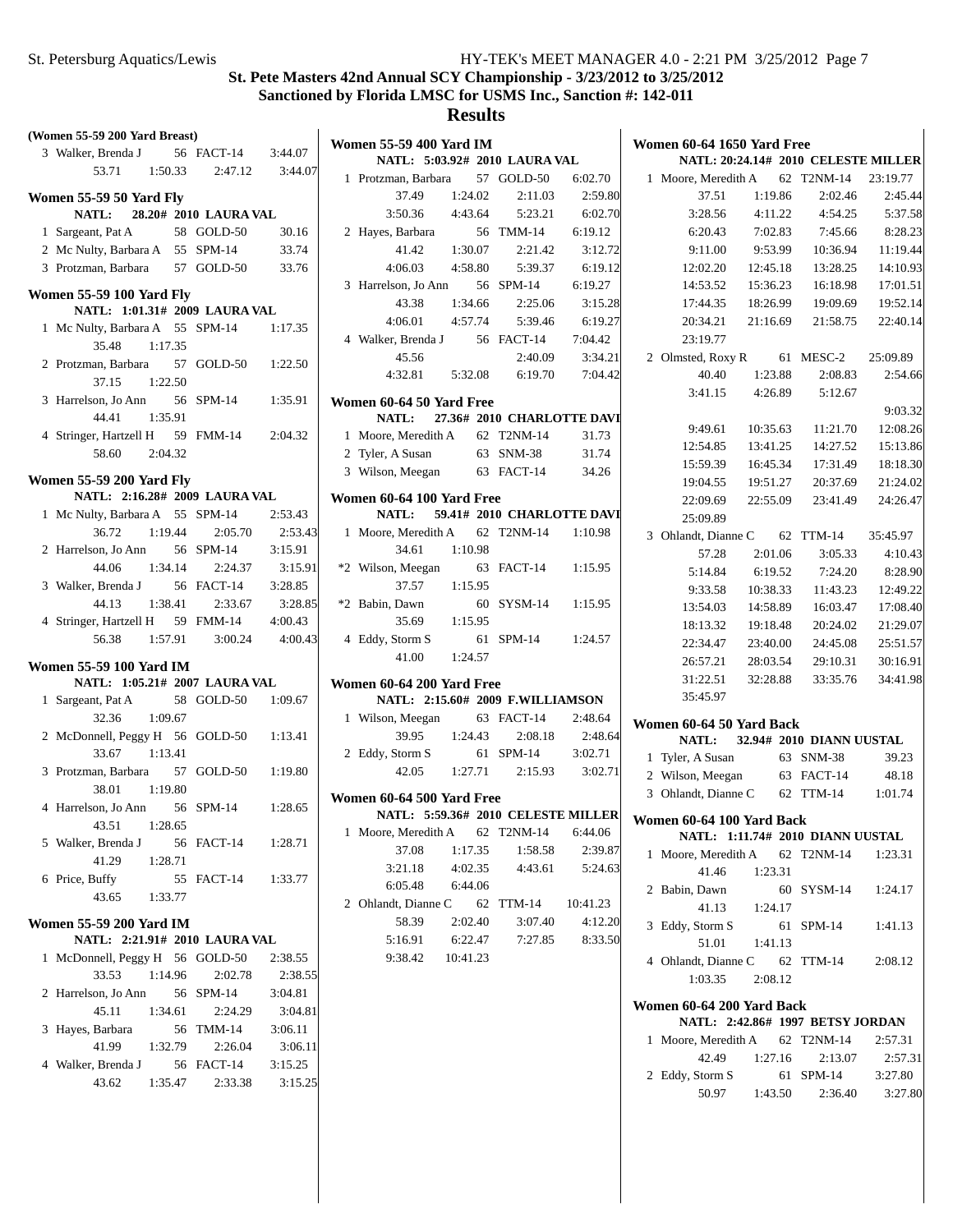# **St. Pete Masters 42nd Annual SCY Championship - 3/23/2012 to 3/25/2012 Sanctioned by Florida LMSC for USMS Inc., Sanction #: 142-011**

| (Women 55-59 200 Yard Breast)   |                       |         |                                                      |                    |                            |          |                                                                   |          |                          |          |
|---------------------------------|-----------------------|---------|------------------------------------------------------|--------------------|----------------------------|----------|-------------------------------------------------------------------|----------|--------------------------|----------|
| 3 Walker, Brenda J              | 56 FACT-14            | 3:44.07 | <b>Women 55-59 400 Yard IM</b>                       |                    |                            |          | <b>Women 60-64 1650 Yard Free</b>                                 |          |                          |          |
| 1:50.33<br>53.71                | 2:47.12               | 3:44.07 | NATL: 5:03.92# 2010 LAURA VAL<br>1 Protzman, Barbara |                    | 57 GOLD-50                 | 6:02.70  | <b>NATL: 20:24.14# 2010 CELESTE MILLER</b><br>1 Moore, Meredith A |          | 62 T2NM-14               | 23:19.77 |
|                                 |                       |         | 37.49                                                |                    | 2:11.03                    | 2:59.80  | 37.51                                                             | 1:19.86  | 2:02.46                  | 2:45.44  |
| Women 55-59 50 Yard Fly         | 28.20# 2010 LAURA VAL |         | 3:50.36                                              | 1:24.02<br>4:43.64 | 5:23.21                    | 6:02.70  | 3:28.56                                                           | 4:11.22  | 4:54.25                  | 5:37.58  |
| NATL:                           |                       |         |                                                      |                    |                            |          |                                                                   |          |                          |          |
| 1 Sargeant, Pat A               | 58 GOLD-50            | 30.16   | 2 Hayes, Barbara                                     |                    | 56 TMM-14                  | 6:19.12  | 6:20.43                                                           | 7:02.83  | 7:45.66                  | 8:28.23  |
| 2 Mc Nulty, Barbara A 55 SPM-14 |                       | 33.74   | 41.42                                                | 1:30.07            | 2:21.42                    | 3:12.72  | 9:11.00                                                           | 9:53.99  | 10:36.94                 | 11:19.44 |
| 3 Protzman, Barbara             | 57 GOLD-50            | 33.76   | 4:06.03                                              | 4:58.80            | 5:39.37                    | 6:19.12  | 12:02.20                                                          | 12:45.18 | 13:28.25                 | 14:10.93 |
| <b>Women 55-59 100 Yard Fly</b> |                       |         | 3 Harrelson, Jo Ann                                  |                    | 56 SPM-14                  | 6:19.27  | 14:53.52                                                          | 15:36.23 | 16:18.98                 | 17:01.51 |
| NATL: 1:01.31# 2009 LAURA VAL   |                       |         | 43.38                                                | 1:34.66            | 2:25.06                    | 3:15.28  | 17:44.35                                                          | 18:26.99 | 19:09.69                 | 19:52.14 |
| 1 Mc Nulty, Barbara A 55 SPM-14 |                       | 1:17.35 | 4:06.01                                              | 4:57.74            | 5:39.46                    | 6:19.27  | 20:34.21                                                          | 21:16.69 | 21:58.75                 | 22:40.14 |
| 35.48<br>1:17.35                |                       |         | 4 Walker, Brenda J                                   |                    | 56 FACT-14                 | 7:04.42  | 23:19.77                                                          |          |                          |          |
| 2 Protzman, Barbara             | 57 GOLD-50            | 1:22.50 | 45.56                                                |                    | 2:40.09                    | 3:34.21  | 2 Olmsted, Roxy R                                                 |          | 61 MESC-2                | 25:09.89 |
| 1:22.50<br>37.15                |                       |         | 4:32.81                                              | 5:32.08            | 6:19.70                    | 7:04.42  | 40.40                                                             | 1:23.88  | 2:08.83                  | 2:54.66  |
| 3 Harrelson, Jo Ann             | 56 SPM-14             | 1:35.91 | Women 60-64 50 Yard Free                             |                    |                            |          | 3:41.15                                                           | 4:26.89  | 5:12.67                  |          |
| 1:35.91<br>44.41                |                       |         | <b>NATL:</b>                                         |                    | 27.36# 2010 CHARLOTTE DAVI |          |                                                                   |          |                          | 9:03.32  |
| 4 Stringer, Hartzell H          | 59 FMM-14             | 2:04.32 | 1 Moore, Meredith A                                  |                    | 62 T2NM-14                 | 31.73    | 9:49.61                                                           | 10:35.63 | 11:21.70                 | 12:08.26 |
| 58.60<br>2:04.32                |                       |         | 2 Tyler, A Susan                                     |                    | 63 SNM-38                  | 31.74    | 12:54.85                                                          | 13:41.25 | 14:27.52                 | 15:13.86 |
|                                 |                       |         | 3 Wilson, Meegan                                     |                    | 63 FACT-14                 | 34.26    | 15:59.39                                                          | 16:45.34 | 17:31.49                 | 18:18.30 |
| <b>Women 55-59 200 Yard Fly</b> |                       |         |                                                      |                    |                            |          | 19:04.55                                                          | 19:51.27 | 20:37.69                 | 21:24.02 |
| NATL: 2:16.28# 2009 LAURA VAL   |                       |         | Women 60-64 100 Yard Free                            |                    |                            |          | 22:09.69                                                          | 22:55.09 | 23:41.49                 | 24:26.47 |
| 1 Mc Nulty, Barbara A 55 SPM-14 |                       | 2:53.43 | <b>NATL:</b>                                         |                    | 59.41# 2010 CHARLOTTE DAVI |          | 25:09.89                                                          |          |                          |          |
| 36.72<br>1:19.44                | 2:05.70               | 2:53.43 | 1 Moore, Meredith A                                  |                    | 62 T2NM-14                 | 1:10.98  | 3 Ohlandt, Dianne C                                               |          | 62 TTM-14                | 35:45.97 |
| 2 Harrelson, Jo Ann             | 56 SPM-14             | 3:15.91 | 34.61                                                | 1:10.98            |                            |          | 57.28                                                             | 2:01.06  | 3:05.33                  | 4:10.43  |
| 1:34.14<br>44.06                | 2:24.37               | 3:15.91 | *2 Wilson, Meegan                                    |                    | 63 FACT-14                 | 1:15.95  | 5:14.84                                                           | 6:19.52  | 7:24.20                  | 8:28.90  |
| 3 Walker, Brenda J              | 56 FACT-14            | 3:28.85 | 37.57                                                | 1:15.95            |                            |          | 9:33.58                                                           | 10:38.33 | 11:43.23                 | 12:49.22 |
| 44.13<br>1:38.41                | 2:33.67               | 3:28.85 | *2 Babin, Dawn                                       |                    | 60 SYSM-14                 | 1:15.95  | 13:54.03                                                          | 14:58.89 | 16:03.47                 | 17:08.40 |
| 4 Stringer, Hartzell H          | 59 FMM-14             | 4:00.43 | 35.69                                                | 1:15.95            |                            |          | 18:13.32                                                          | 19:18.48 | 20:24.02                 | 21:29.07 |
| 56.38<br>1:57.91                | 3:00.24               | 4:00.43 | 4 Eddy, Storm S                                      |                    | 61 SPM-14                  | 1:24.57  | 22:34.47                                                          | 23:40.00 | 24:45.08                 | 25:51.57 |
|                                 |                       |         | 41.00                                                | 1:24.57            |                            |          | 26:57.21                                                          | 28:03.54 | 29:10.31                 | 30:16.91 |
| <b>Women 55-59 100 Yard IM</b>  |                       |         |                                                      |                    |                            |          |                                                                   |          |                          |          |
| NATL: 1:05.21# 2007 LAURA VAL   |                       |         | Women 60-64 200 Yard Free                            |                    |                            |          | 31:22.51                                                          | 32:28.88 | 33:35.76                 | 34:41.98 |
| 1 Sargeant, Pat A               | 58 GOLD-50            | 1:09.67 | NATL: 2:15.60# 2009 F.WILLIAMSON                     |                    |                            |          | 35:45.97                                                          |          |                          |          |
| 1:09.67<br>32.36                |                       |         | 1 Wilson, Meegan                                     |                    | 63 FACT-14                 | 2:48.64  | Women 60-64 50 Yard Back                                          |          |                          |          |
| 2 McDonnell, Peggy H 56 GOLD-50 |                       | 1:13.41 | 39.95                                                | 1:24.43            | 2:08.18                    | 2:48.64  | <b>NATL:</b>                                                      |          | 32.94# 2010 DIANN UUSTAL |          |
| 33.67<br>1:13.41                |                       |         | 2 Eddy, Storm S                                      |                    | 61 SPM-14                  | 3:02.71  | 1 Tyler, A Susan                                                  |          | 63 SNM-38                | 39.23    |
| 3 Protzman, Barbara             | 57 GOLD-50            | 1:19.80 | 42.05                                                | 1:27.71            | 2:15.93                    | 3:02.71  | 2 Wilson, Meegan                                                  |          | 63 FACT-14               | 48.18    |
| 38.01<br>1:19.80                |                       |         | Women 60-64 500 Yard Free                            |                    |                            |          | 3 Ohlandt, Dianne C                                               |          | 62 TTM-14                | 1:01.74  |
| 4 Harrelson, Jo Ann             | 56 SPM-14             | 1:28.65 | <b>NATL: 5:59.36# 2010 CELESTE MILLER</b>            |                    |                            |          |                                                                   |          |                          |          |
| 1:28.65<br>43.51                |                       |         | 1 Moore, Meredith A 62 T2NM-14                       |                    |                            | 6:44.06  | Women 60-64 100 Yard Back                                         |          |                          |          |
| 5 Walker, Brenda J              | 56 FACT-14            | 1:28.71 | 37.08                                                | 1:17.35            | 1:58.58                    | 2:39.87  | NATL: 1:11.74# 2010 DIANN UUSTAL                                  |          |                          |          |
| 41.29<br>1:28.71                |                       |         | 3:21.18                                              |                    |                            | 5:24.63  | 1 Moore, Meredith A                                               |          | 62 T2NM-14               | 1:23.31  |
| 6 Price, Buffy                  | 55 FACT-14            | 1:33.77 |                                                      | 4:02.35            | 4:43.61                    |          | 41.46                                                             | 1:23.31  |                          |          |
| 43.65<br>1:33.77                |                       |         | 6:05.48                                              | 6:44.06            |                            |          | 2 Babin, Dawn                                                     |          | 60 SYSM-14               | 1:24.17  |
|                                 |                       |         | 2 Ohlandt, Dianne C                                  |                    | 62 TTM-14                  | 10:41.23 | 41.13                                                             | 1:24.17  |                          |          |
| Women 55-59 200 Yard IM         |                       |         | 58.39                                                | 2:02.40            | 3:07.40                    | 4:12.20  | 3 Eddy, Storm S                                                   |          | 61 SPM-14                | 1:41.13  |
| NATL: 2:21.91# 2010 LAURA VAL   |                       |         | 5:16.91                                              | 6:22.47            | 7:27.85                    | 8:33.50  | 51.01                                                             | 1:41.13  |                          |          |
| 1 McDonnell, Peggy H 56 GOLD-50 |                       | 2:38.55 | 9:38.42                                              | 10:41.23           |                            |          | 4 Ohlandt, Dianne C                                               |          | 62 TTM-14                | 2:08.12  |
| 33.53<br>1:14.96                | 2:02.78               | 2:38.55 |                                                      |                    |                            |          | 1:03.35                                                           | 2:08.12  |                          |          |
| 2 Harrelson, Jo Ann             | 56 SPM-14             | 3:04.81 |                                                      |                    |                            |          |                                                                   |          |                          |          |
| 45.11<br>1:34.61                | 2:24.29               | 3:04.81 |                                                      |                    |                            |          | Women 60-64 200 Yard Back                                         |          |                          |          |
| 3 Hayes, Barbara                | 56 TMM-14             | 3:06.11 |                                                      |                    |                            |          | NATL: 2:42.86# 1997 BETSY JORDAN                                  |          |                          |          |
| 41.99<br>1:32.79                | 2:26.04               | 3:06.11 |                                                      |                    |                            |          | 1 Moore, Meredith A                                               |          | 62 T2NM-14               | 2:57.31  |
| 4 Walker, Brenda J              | 56 FACT-14            | 3:15.25 |                                                      |                    |                            |          | 42.49                                                             | 1:27.16  | 2:13.07                  | 2:57.31  |
| 43.62<br>1:35.47                | 2:33.38               | 3:15.25 |                                                      |                    |                            |          | 2 Eddy, Storm S                                                   |          | 61 SPM-14                | 3:27.80  |
|                                 |                       |         |                                                      |                    |                            |          | 50.97                                                             | 1:43.50  | 2:36.40                  | 3:27.80  |
|                                 |                       |         |                                                      |                    |                            |          |                                                                   |          |                          |          |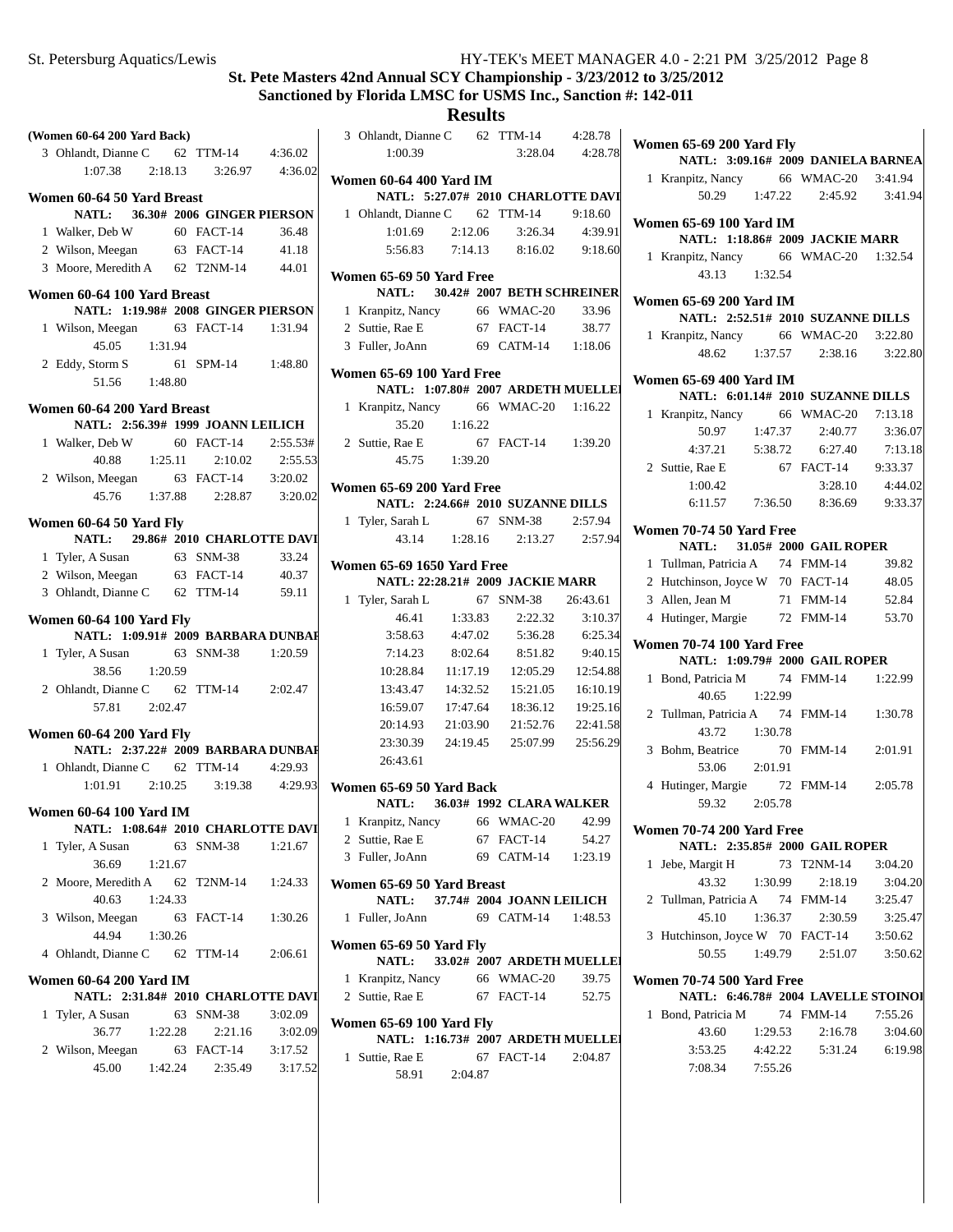| (Women 60-64 200 Yard Back)                                          |         |                               |          | 3 Ohlandt, Dia                       |
|----------------------------------------------------------------------|---------|-------------------------------|----------|--------------------------------------|
| 3 Ohlandt, Dianne C 62 TTM-14 4:36.02                                |         |                               |          | 1:00.39                              |
| 1:07.38                                                              |         | 2:18.13 3:26.97 4:36.02       |          | <b>Women 60-644</b>                  |
| Women 60-64 50 Yard Breast                                           |         |                               |          | <b>NATL:</b>                         |
| NATL: 36.30# 2006 GINGER PIERSON                                     |         |                               |          | 1 Ohlandt, Dia                       |
| 1 Walker, Deb W                                                      |         | 60 FACT-14                    | 36.48    | 1:01.69                              |
| 2 Wilson, Meegan 63 FACT-14                                          |         |                               | 41.18    | 5:56.83                              |
| 3 Moore, Meredith A 62 T2NM-14                                       |         |                               | 44.01    | <b>Women 65-69 5</b>                 |
| Women 60-64 100 Yard Breast                                          |         |                               |          | <b>NATL:</b>                         |
| NATL: 1:19.98# 2008 GINGER PIERSON                                   |         |                               |          | 1 Kranpitz, Na                       |
| 1 Wilson, Meegan                                                     |         | 63 FACT-14                    | 1:31.94  | 2 Suttie, Rae E                      |
| 45.05                                                                | 1:31.94 |                               |          | 3 Fuller, JoAnr                      |
| 2 Eddy, Storm S<br>51.56 1:48.80                                     |         | 61 SPM-14 1:48.80             |          | <b>Women 65-69 1</b>                 |
|                                                                      |         |                               |          | <b>NATL:</b>                         |
| Women 60-64 200 Yard Breast                                          |         |                               |          | 1 Kranpitz, Na                       |
| NATL: 2:56.39# 1999 JOANN LEILICH                                    |         |                               |          | 35.20                                |
| 1 Walker, Deb W                                                      |         | 60 FACT-14                    | 2:55.53# | 2 Suttie, Rae E                      |
| 40.88                                                                | 1:25.11 | 2:10.02                       | 2:55.53  | 45.75                                |
| 2 Wilson, Meegan 63 FACT-14 3:20.02                                  |         |                               |          | <b>Women 65-69 2</b>                 |
|                                                                      |         | 45.76 1:37.88 2:28.87 3:20.02 |          | <b>NATL:</b>                         |
| Women 60-64 50 Yard Fly                                              |         |                               |          | 1 Tyler, Sarah l                     |
| NATL: 29.86# 2010 CHARLOTTE DAVI                                     |         |                               |          | 43.14                                |
| 1 Tyler, A Susan 63 SNM-38                                           |         |                               | 33.24    |                                      |
| 2 Wilson, Meegan 63 FACT-14                                          |         |                               | 40.37    | <b>Women 65-69 1</b>                 |
| 3 Ohlandt, Dianne C 62 TTM-14                                        |         |                               | 59.11    | NATL: 2                              |
|                                                                      |         |                               |          | 1 Tyler, Sarah l                     |
| Women 60-64 100 Yard Fly<br>NATL: 1:09.91# 2009 BARBARA DUNBAI       |         |                               |          | 46.41                                |
|                                                                      |         |                               |          | 3:58.63                              |
| 1 Tyler, A Susan                                                     |         | 63 SNM-38                     | 1:20.59  | 7:14.23                              |
| 38.56                                                                | 1:20.59 |                               |          | 10:28.84                             |
| 2 Ohlandt, Dianne C 62 TTM-14 2:02.47<br>57.81 2:02.47               |         |                               |          | 13:43.47<br>16:59.07                 |
|                                                                      |         |                               |          | 20:14.93                             |
| Women 60-64 200 Yard Fly                                             |         |                               |          | 23:30.39                             |
| NATL: 2:37.22# 2009 BARBARA DUNBAI                                   |         |                               |          | 26:43.61                             |
| 1 Ohlandt, Dianne C 62 TTM-14                                        |         |                               | 4:29.93  |                                      |
| 1:01.91                                                              | 2:10.25 | 3:19.38                       | 4:29.93  | <b>Women 65-69 5</b><br><b>NATL:</b> |
| <b>Women 60-64 100 Yard IM</b>                                       |         |                               |          | 1 Kranpitz, Na                       |
| NATL: 1:08.64# 2010 CHARLOTTE DAVI                                   |         |                               |          | 2 Suttie, Rae E                      |
| 1 Tyler, A Susan                                                     |         | 63 SNM-38                     | 1:21.67  | 3 Fuller, JoAnr                      |
| 36.69                                                                | 1:21.67 |                               |          |                                      |
| 2 Moore, Meredith A                                                  |         | 62 T2NM-14                    | 1:24.33  | <b>Women 65-69 5</b>                 |
| 40.63                                                                | 1:24.33 |                               |          | <b>NATL:</b>                         |
| 3 Wilson, Meegan                                                     |         | 63 FACT-14                    | 1:30.26  | 1 Fuller, JoAnr                      |
| 44.94<br>4 Ohlandt, Dianne C 62 TTM-14                               | 1:30.26 |                               | 2:06.61  | <b>Women 65-69 5</b>                 |
|                                                                      |         |                               |          | NATL:<br>1 Kranpitz, Na              |
| <b>Women 60-64 200 Yard IM</b><br>NATL: 2:31.84# 2010 CHARLOTTE DAVI |         |                               |          | 2 Suttie, Rae E                      |
| 1 Tyler, A Susan                                                     |         | 63 SNM-38                     | 3:02.09  |                                      |
| 36.77                                                                | 1:22.28 | 2:21.16                       | 3:02.09  | <b>Women 65-691</b>                  |
| 2 Wilson, Meegan                                                     |         | 63 FACT-14                    | 3:17.52  | <b>NATL:</b>                         |
| 45.00                                                                | 1:42.24 | 2:35.49                       | 3:17.52  | 1 Suttie, Rae E                      |
|                                                                      |         |                               |          | 58.91                                |
|                                                                      |         |                               |          |                                      |

| 3 Ohlandt, Dianne C 62 TTM-14 4:28.78                                |          |                               |                   |  |
|----------------------------------------------------------------------|----------|-------------------------------|-------------------|--|
| 1:00.39                                                              |          |                               | 3:28.04 4:28.78   |  |
|                                                                      |          |                               |                   |  |
| <b>Women 60-64 400 Yard IM</b><br>NATL: 5:27.07# 2010 CHARLOTTE DAVI |          |                               |                   |  |
| 1 Ohlandt, Dianne C 62 TTM-14                                        |          |                               | 9:18.60           |  |
| 1:01.69                                                              | 2:12.06  | 3:26.34                       | 4:39.91           |  |
|                                                                      |          | 5:56.83 7:14.13 8:16.02       | 9:18.60           |  |
|                                                                      |          |                               |                   |  |
| Women 65-69 50 Yard Free                                             |          |                               |                   |  |
| NATL: 30.42# 2007 BETH SCHREINER                                     |          |                               |                   |  |
| 1 Kranpitz, Nancy 66 WMAC-20 33.96                                   |          |                               | 38.77             |  |
| 2 Suttie, Rae E 67 FACT-14                                           |          |                               |                   |  |
| 3 Fuller, JoAnn 69 CATM-14 1:18.06                                   |          |                               |                   |  |
| Women 65-69 100 Yard Free                                            |          |                               |                   |  |
| NATL: 1:07.80# 2007 ARDETH MUELLE                                    |          |                               |                   |  |
| 1 Kranpitz, Nancy 66 WMAC-20 1:16.22                                 |          |                               |                   |  |
| 35.20   1:16.22                                                      |          |                               |                   |  |
| 2 Suttie, Rae E                                                      |          | 67 FACT-14 1:39.20            |                   |  |
| 45.75 1:39.20                                                        |          |                               |                   |  |
| Women 65-69 200 Yard Free                                            |          |                               |                   |  |
| NATL: 2:24.66# 2010 SUZANNE DILLS                                    |          |                               |                   |  |
| 1 Tyler, Sarah L                                                     |          | 67 SNM-38 2:57.94             |                   |  |
|                                                                      |          | 43.14 1:28.16 2:13.27 2:57.94 |                   |  |
| <b>Women 65-69 1650 Yard Free</b>                                    |          |                               |                   |  |
| NATL: 22:28.21# 2009 JACKIE MARR                                     |          |                               |                   |  |
| 1 Tyler, Sarah L                                                     |          | 67 SNM-38                     | 26:43.61          |  |
|                                                                      |          | 46.41 1:33.83 2:22.32         | 3:10.37           |  |
| 3:58.63                                                              | 4:47.02  | 5:36.28                       | 6:25.34           |  |
| 7:14.23                                                              | 8:02.64  | 8:51.82                       | 9:40.15           |  |
| 10:28.84                                                             | 11:17.19 | 12:05.29                      | 12:54.88          |  |
| 13:43.47                                                             | 14:32.52 | 15:21.05                      | 16:10.19          |  |
| 16:59.07                                                             | 17:47.64 | 18:36.12                      | 19:25.16          |  |
| 20:14.93                                                             | 21:03.90 |                               | 21:52.76 22:41.58 |  |
| 23:30.39                                                             |          | 24:19.45 25:07.99 25:56.29    |                   |  |
| 26:43.61                                                             |          |                               |                   |  |
| Women 65-69 50 Yard Back                                             |          |                               |                   |  |
| NATL: 36.03# 1992 CLARA WALKER                                       |          |                               |                   |  |
| 1 Kranpitz, Nancy                                                    |          | 66 WMAC-20                    | 42.99             |  |
| 2 Suttie, Rae E                                                      |          | 67 FACT-14                    | 54.27             |  |
| 3 Fuller, JoAnn                                                      |          | 69 CATM-14 1:23.19            |                   |  |
| Women 65-69 50 Yard Breast                                           |          |                               |                   |  |
| <b>NATL:</b>                                                         |          | 37.74# 2004 JOANN LEILICH     |                   |  |
| 1 Fuller, JoAnn                                                      |          | 69 CATM-14                    | 1:48.53           |  |
|                                                                      |          |                               |                   |  |
| Women 65-69 50 Yard Fly<br>NATL:                                     |          |                               |                   |  |
|                                                                      |          | 33.02# 2007 ARDETH MUELLEI    | 39.75             |  |
| 1 Kranpitz, Nancy 66 WMAC-20<br>2 Suttie, Rae E                      |          | 67 FACT-14                    | 52.75             |  |
|                                                                      |          |                               |                   |  |
| Women 65-69 100 Yard Fly                                             |          |                               |                   |  |
| NATL: 1:16.73# 2007 ARDETH MUELLEI                                   |          |                               |                   |  |
| 1 Suttie, Rae E                                                      |          | 67 FACT-14                    | 2:04.87           |  |
| 58.91 2:04.87                                                        |          |                               |                   |  |
|                                                                      |          |                               |                   |  |

| Women 65-69 200 Yard Fly<br>NATL: 3:09.16# 2009 DANIELA BARNEA |         |  |                                     |         |  |  |
|----------------------------------------------------------------|---------|--|-------------------------------------|---------|--|--|
| 1 Kranpitz, Nancy 66 WMAC-20 3:41.94                           |         |  |                                     |         |  |  |
|                                                                |         |  | $50.29$ 1:47.22 2:45.92             | 3:41.94 |  |  |
|                                                                |         |  |                                     |         |  |  |
| <b>Women 65-69 100 Yard IM</b>                                 |         |  | NATL: 1:18.86# 2009 JACKIE MARR     |         |  |  |
| 1 Kranpitz, Nancy 66 WMAC-20 1:32.54                           |         |  |                                     |         |  |  |
| 43.13 1:32.54                                                  |         |  |                                     |         |  |  |
| Women 65-69 200 Yard IM                                        |         |  |                                     |         |  |  |
|                                                                |         |  | NATL: 2:52.51# 2010 SUZANNE DILLS   |         |  |  |
| 1 Kranpitz, Nancy 66 WMAC-20 3:22.80                           |         |  |                                     |         |  |  |
| 48.62 1:37.57                                                  |         |  | 2:38.16 3:22.80                     |         |  |  |
|                                                                |         |  |                                     |         |  |  |
| <b>Women 65-69 400 Yard IM</b>                                 |         |  | NATL: 6:01.14# 2010 SUZANNE DILLS   |         |  |  |
|                                                                |         |  |                                     | 7:13.18 |  |  |
| 1 Kranpitz, Nancy 66 WMAC-20<br>50.97                          | 1:47.37 |  | 2:40.77                             | 3:36.07 |  |  |
| 4:37.21                                                        | 5:38.72 |  | 6:27.40                             | 7:13.18 |  |  |
| 2 Suttie, Rae E                                                |         |  | 67 FACT-14                          | 9:33.37 |  |  |
| 1:00.42                                                        |         |  | 3:28.10                             | 4:44.02 |  |  |
|                                                                |         |  | 6:11.57 7:36.50 8:36.69             | 9:33.37 |  |  |
|                                                                |         |  |                                     |         |  |  |
| Women 70-74 50 Yard Free<br>NATL:                              |         |  |                                     |         |  |  |
| 1 Tullman, Patricia A 74 FMM-14                                |         |  | 31.05# 2000 GAIL ROPER              | 39.82   |  |  |
|                                                                |         |  |                                     | 48.05   |  |  |
| 2 Hutchinson, Joyce W 70 FACT-14<br>3 Allen, Jean M            |         |  | 71 FMM-14                           | 52.84   |  |  |
| 4 Hutinger, Margie 72 FMM-14                                   |         |  |                                     | 53.70   |  |  |
|                                                                |         |  |                                     |         |  |  |
| <b>Women 70-74 100 Yard Free</b>                               |         |  |                                     |         |  |  |
|                                                                |         |  | NATL: 1:09.79# 2000 GAIL ROPER      |         |  |  |
| Bond, Patricia M 74 FMM-14<br>1<br>40.65                       |         |  |                                     | 1:22.99 |  |  |
| 2 Tullman, Patricia A 74 FMM-14 1:30.78                        | 1:22.99 |  |                                     |         |  |  |
| 43.72                                                          | 1:30.78 |  |                                     |         |  |  |
| 3 Bohm, Beatrice                                               |         |  | 70 FMM-14                           | 2:01.91 |  |  |
| 53.06                                                          | 2:01.91 |  |                                     |         |  |  |
| 4 Hutinger, Margie                                             |         |  | 72 FMM-14 2:05.78                   |         |  |  |
| 59.32 2:05.78                                                  |         |  |                                     |         |  |  |
|                                                                |         |  |                                     |         |  |  |
| Women 70-74 200 Yard Free                                      |         |  | NATL: 2:35.85# 2000 GAIL ROPER      |         |  |  |
| Jebe, Margit H 73 T2NM-14<br>1                                 |         |  |                                     | 3:04.20 |  |  |
| 43.32                                                          | 1:30.99 |  | 2:18.19                             | 3:04.20 |  |  |
| 2 Tullman, Patricia A 74 FMM-14                                |         |  |                                     | 3:25.47 |  |  |
| 45.10                                                          | 1:36.37 |  | 2:30.59                             | 3:25.47 |  |  |
| Hutchinson, Joyce W 70 FACT-14<br>3                            |         |  |                                     | 3:50.62 |  |  |
|                                                                |         |  | 50.55 1:49.79 2:51.07               | 3:50.62 |  |  |
|                                                                |         |  |                                     |         |  |  |
| <b>Women 70-74 500 Yard Free</b>                               |         |  | NATL: 6:46.78# 2004 LAVELLE STOINOI |         |  |  |
| Bond, Patricia M 74 FMM-14<br>1                                |         |  |                                     | 7:55.26 |  |  |
| 43.60                                                          |         |  | $1:29.53$ $2:16.78$                 | 3:04.60 |  |  |
| 3:53.25                                                        |         |  | 4:42.22 5:31.24                     | 6:19.98 |  |  |
| 7:08.34 7:55.26                                                |         |  |                                     |         |  |  |
|                                                                |         |  |                                     |         |  |  |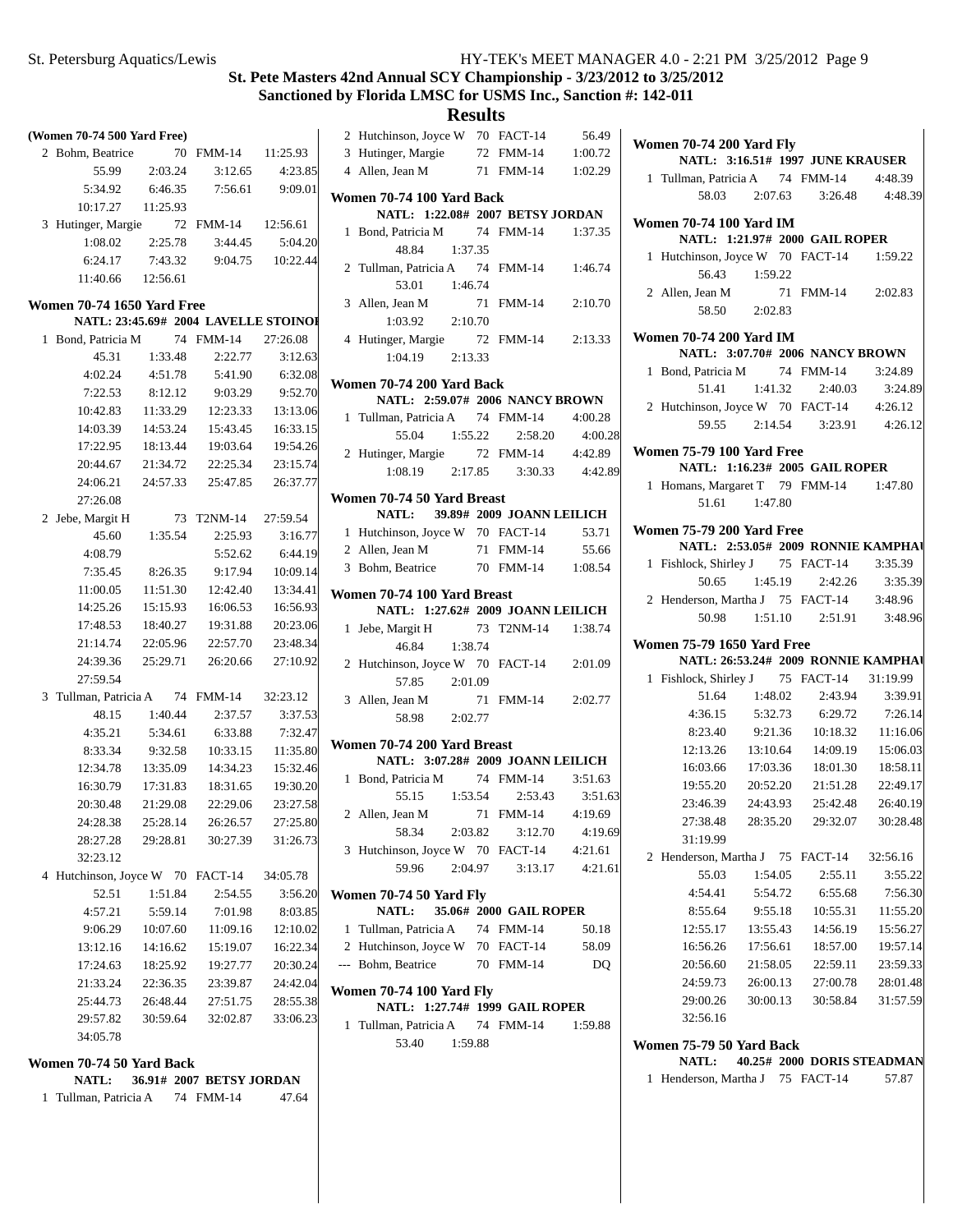# **Results**

| (Women 70-74 500 Yard Free) |                                   |                     |                                      |                     |  |  |  |
|-----------------------------|-----------------------------------|---------------------|--------------------------------------|---------------------|--|--|--|
|                             | 2 Bohm, Beatrice                  | 70                  | <b>FMM-14</b>                        | 11:25.93            |  |  |  |
|                             | 55.99                             | 2:03.24             | 3:12.65                              | 4:23.85             |  |  |  |
|                             | 5:34.92                           | 6:46.35             | 7:56.61                              | 9:09.01             |  |  |  |
|                             |                                   | 10:17.27  11:25.93  |                                      |                     |  |  |  |
|                             | 3 Hutinger, Margie 72 FMM-14      |                     |                                      | 12:56.61            |  |  |  |
|                             |                                   | $1:08.02$ $2:25.78$ | 3:44.45                              | 5:04.20             |  |  |  |
|                             |                                   | 6:24.17 7:43.32     | 9:04.75 10:22.44                     |                     |  |  |  |
|                             |                                   | 11:40.66 12:56.61   |                                      |                     |  |  |  |
|                             | <b>Women 70-74 1650 Yard Free</b> |                     |                                      |                     |  |  |  |
|                             |                                   |                     | NATL: 23:45.69# 2004 LAVELLE STOINOI |                     |  |  |  |
| 1                           | Bond, Patricia M 74               |                     | $FMM-14$                             | 27:26.08            |  |  |  |
|                             | 45.31                             | 1:33.48             | 2:22.77                              | 3:12.63             |  |  |  |
|                             | 4:02.24                           | 4:51.78             | 5:41.90                              | 6:32.08             |  |  |  |
|                             | 7:22.53                           | 8:12.12             | 9:03.29                              | 9:52.70             |  |  |  |
|                             | 10:42.83                          | 11:33.29            |                                      | 12:23.33 13:13.06   |  |  |  |
|                             | 14:03.39                          | 14:53.24            |                                      | 15:43.45   16:33.15 |  |  |  |
|                             | 17:22.95                          |                     | 18:13.44  19:03.64  19:54.26         |                     |  |  |  |
|                             | 20:44.67                          | 21:34.72            | 22:25.34                             | 23:15.74            |  |  |  |
|                             | 24:06.21                          | 24:57.33            | 25:47.85                             | 26:37.77            |  |  |  |
|                             | 27:26.08                          |                     |                                      |                     |  |  |  |
|                             | 2 Jebe, Margit H                  | 73                  | T2NM-14                              | 27:59.54            |  |  |  |
|                             | 45.60                             | 1:35.54             | 2:25.93                              | 3:16.77             |  |  |  |
|                             | 4:08.79                           |                     | 5:52.62                              | 6:44.19             |  |  |  |
|                             | 7:35.45                           | 8:26.35             | 9:17.94                              | 10:09.14            |  |  |  |
|                             | 11:00.05                          | 11:51.30            | 12:42.40                             | 13:34.41            |  |  |  |
|                             | 14:25.26                          | 15:15.93            | 16:06.53                             | 16:56.93            |  |  |  |
|                             | 17:48.53                          | 18:40.27            | 19:31.88                             | 20:23.06            |  |  |  |
|                             | 21:14.74                          | 22:05.96            | 22:57.70                             | 23:48.34            |  |  |  |
|                             | 24:39.36                          |                     | 25:29.71 26:20.66                    | 27:10.92            |  |  |  |
|                             | 27:59.54                          |                     |                                      |                     |  |  |  |
| 3                           | Tullman, Patricia A 74 FMM-14     |                     |                                      | 32:23.12            |  |  |  |
|                             | 48.15                             | 1:40.44             | 2:37.57                              | 3:37.53             |  |  |  |
|                             | 4:35.21                           | 5:34.61             | 6:33.88                              | 7:32.47             |  |  |  |
|                             | 8:33.34                           | 9:32.58             | 10:33.15                             | 11:35.80            |  |  |  |
|                             | 12:34.78                          | 13:35.09            | 14:34.23                             | 15:32.46            |  |  |  |
|                             | 16:30.79                          | 17:31.83            | 18:31.65                             | 19:30.20            |  |  |  |
|                             | 20:30.48                          | 21:29.08            | 22:29.06                             | 23:27.58            |  |  |  |
|                             | 24:28.38                          | 25:28.14            | 26:26.57                             | 27:25.80            |  |  |  |
|                             | 28:27.28                          | 29:28.81            | 30:27.39                             | 31:26.73            |  |  |  |
|                             | 32:23.12                          |                     |                                      |                     |  |  |  |
| 4                           | Hutchinson, Joyce W 70 FACT-14    |                     |                                      | 34:05.78            |  |  |  |
|                             | 52.51                             | 1:51.84             | 2:54.55                              | 3:56.20             |  |  |  |
|                             | 4:57.21                           | 5:59.14             | 7:01.98                              | 8:03.85             |  |  |  |
|                             | 9:06.29                           | 10:07.60            | 11:09.16                             | 12:10.02            |  |  |  |
|                             | 13:12.16                          | 14:16.62            | 15:19.07                             | 16:22.34            |  |  |  |
|                             | 17:24.63                          | 18:25.92            | 19:27.77                             | 20:30.24            |  |  |  |
|                             | 21:33.24                          | 22:36.35            | 23:39.87                             | 24:42.04            |  |  |  |
|                             | 25:44.73                          | 26:48.44            | 27:51.75                             | 28:55.38            |  |  |  |
|                             | 29:57.82                          | 30:59.64            | 32:02.87                             | 33:06.23            |  |  |  |
|                             | 34:05.78                          |                     |                                      |                     |  |  |  |

#### **Women 70-74 50 Yard Back**

| NATL:                 |  |           | 36.91# 2007 BETSY JORDAN |
|-----------------------|--|-----------|--------------------------|
| 1 Tullman, Patricia A |  | 74 FMM-14 | 47.64                    |

|              | 2 Hutchinson, Joyce W 70 FACT-14           |  |                           | 56.49   |  |  |  |  |  |  |
|--------------|--------------------------------------------|--|---------------------------|---------|--|--|--|--|--|--|
|              | 3 Hutinger, Margie 72 FMM-14               |  |                           | 1:00.72 |  |  |  |  |  |  |
|              | 4 Allen, Jean M                            |  | 71 FMM-14 1:02.29         |         |  |  |  |  |  |  |
|              | Women 70-74 100 Yard Back                  |  |                           |         |  |  |  |  |  |  |
|              | NATL: 1:22.08# 2007 BETSY JORDAN           |  |                           |         |  |  |  |  |  |  |
| $\mathbf{1}$ | Bond, Patricia M 74 FMM-14                 |  |                           | 1:37.35 |  |  |  |  |  |  |
|              | 48.84<br>1:37.35                           |  |                           |         |  |  |  |  |  |  |
|              | 2 Tullman, Patricia A 74 FMM-14            |  |                           | 1:46.74 |  |  |  |  |  |  |
|              | 1:46.74<br>53.01                           |  |                           |         |  |  |  |  |  |  |
|              | 3 Allen, Jean M                            |  | 71 FMM-14                 | 2:10.70 |  |  |  |  |  |  |
|              | 1:03.92<br>2:10.70                         |  |                           |         |  |  |  |  |  |  |
|              | 4 Hutinger, Margie                         |  | 72 FMM-14 2:13.33         |         |  |  |  |  |  |  |
|              | $1:04.19$ $2:13.33$                        |  |                           |         |  |  |  |  |  |  |
|              | Women 70-74 200 Yard Back                  |  |                           |         |  |  |  |  |  |  |
|              | NATL: 2:59.07# 2006 NANCY BROWN            |  |                           |         |  |  |  |  |  |  |
|              | 1 Tullman, Patricia A 74 FMM-14 4:00.28    |  |                           |         |  |  |  |  |  |  |
|              | 55.04                                      |  | 1:55.22 2:58.20           | 4:00.28 |  |  |  |  |  |  |
|              | 2 Hutinger, Margie 72 FMM-14 4:42.89       |  |                           |         |  |  |  |  |  |  |
|              | 1:08.19  2:17.85  3:30.33  4:42.89         |  |                           |         |  |  |  |  |  |  |
|              |                                            |  |                           |         |  |  |  |  |  |  |
|              | Women 70-74 50 Yard Breast<br><b>NATL:</b> |  | 39.89# 2009 JOANN LEILICH |         |  |  |  |  |  |  |
|              | 1 Hutchinson, Joyce W 70 FACT-14           |  |                           | 53.71   |  |  |  |  |  |  |
|              | 2 Allen, Jean M 71 FMM-14 55.66            |  |                           |         |  |  |  |  |  |  |
|              | 3 Bohm, Beatrice 70 FMM-14 1:08.54         |  |                           |         |  |  |  |  |  |  |
|              |                                            |  |                           |         |  |  |  |  |  |  |
|              | Women 70-74 100 Yard Breast                |  |                           |         |  |  |  |  |  |  |
|              | NATL: 1:27.62# 2009 JOANN LEILICH          |  |                           |         |  |  |  |  |  |  |
| $\mathbf{1}$ | Jebe, Margit H 73 T2NM-14 1:38.74          |  |                           |         |  |  |  |  |  |  |
|              | 46.84 1:38.74                              |  |                           |         |  |  |  |  |  |  |
|              | 2 Hutchinson, Joyce W 70 FACT-14 2:01.09   |  |                           |         |  |  |  |  |  |  |
|              | 57.85 2:01.09                              |  |                           |         |  |  |  |  |  |  |
|              | 3 Allen, Jean M                            |  | 71 FMM-14 2:02.77         |         |  |  |  |  |  |  |
|              | 58.98 2:02.77                              |  |                           |         |  |  |  |  |  |  |
|              | Women 70-74 200 Yard Breast                |  |                           |         |  |  |  |  |  |  |
|              | NATL: 3:07.28# 2009 JOANN LEILICH          |  |                           |         |  |  |  |  |  |  |
|              | 1 Bond, Patricia M                         |  | 74 FMM-14                 | 3:51.63 |  |  |  |  |  |  |
|              | 55.15 1:53.54                              |  | 2:53.43                   | 3:51.63 |  |  |  |  |  |  |
|              | 2 Allen, Jean M                            |  | 71 FMM-14                 | 4:19.69 |  |  |  |  |  |  |
|              | 58.34 2:03.82                              |  | 3:12.70                   | 4:19.69 |  |  |  |  |  |  |
|              |                                            |  |                           |         |  |  |  |  |  |  |
|              | 3 Hutchinson, Joyce W 70 FACT-14 4:21.61   |  |                           |         |  |  |  |  |  |  |

# **Women 70-74 50 Yard Fly NATL:** 35.06# 2000 **GAIL ROPER** 1 50.18 Tullman, Patricia A 74 FMM-14

| 2 Hutchinson, Joyce W 70 FACT-14 |           | 58.09          |
|----------------------------------|-----------|----------------|
| --- Bohm. Beatrice               | 70 FMM-14 | D <sub>O</sub> |

# **Women 70-74 100 Yard Fly**

**NATL: 1:27.74# 1999 GAIL ROPER** 

1 Tullman, Patricia A 74 FMM-14 1:59.88 53.40 1:59.88

|                                                                   | Women 70-74 200 Yard Fly                   |               |  |                                                                               |          |  |  |  |  |  |  |
|-------------------------------------------------------------------|--------------------------------------------|---------------|--|-------------------------------------------------------------------------------|----------|--|--|--|--|--|--|
|                                                                   |                                            |               |  | NATL: 3:16.51# 1997 JUNE KRAUSER                                              |          |  |  |  |  |  |  |
|                                                                   | 1 Tullman, Patricia A 74 FMM-14 4:48.39    |               |  |                                                                               |          |  |  |  |  |  |  |
|                                                                   |                                            |               |  | 58.03 2:07.63 3:26.48 4:48.39                                                 |          |  |  |  |  |  |  |
|                                                                   | <b>Women 70-74 100 Yard IM</b>             |               |  |                                                                               |          |  |  |  |  |  |  |
|                                                                   |                                            |               |  | NATL: 1:21.97# 2000 GAIL ROPER                                                |          |  |  |  |  |  |  |
|                                                                   | 1 Hutchinson, Joyce W 70 FACT-14 1:59.22   |               |  |                                                                               |          |  |  |  |  |  |  |
|                                                                   |                                            | 56.43 1:59.22 |  |                                                                               |          |  |  |  |  |  |  |
|                                                                   | 2 Allen, Jean M                            |               |  | 71 FMM-14 2:02.83                                                             |          |  |  |  |  |  |  |
|                                                                   |                                            | 58.50 2:02.83 |  |                                                                               |          |  |  |  |  |  |  |
|                                                                   |                                            |               |  |                                                                               |          |  |  |  |  |  |  |
| <b>Women 70-74 200 Yard IM</b><br>NATL: 3:07.70# 2006 NANCY BROWN |                                            |               |  |                                                                               |          |  |  |  |  |  |  |
|                                                                   | 1 Bond, Patricia M 74 FMM-14 3:24.89       |               |  |                                                                               |          |  |  |  |  |  |  |
|                                                                   |                                            |               |  | 51.41 1:41.32 2:40.03 3:24.89                                                 |          |  |  |  |  |  |  |
|                                                                   | 2 Hutchinson, Joyce W 70 FACT-14 $4:26.12$ |               |  |                                                                               |          |  |  |  |  |  |  |
|                                                                   |                                            |               |  | 59.55 2:14.54 3:23.91 4:26.12                                                 |          |  |  |  |  |  |  |
|                                                                   | <b>Women 75-79 100 Yard Free</b>           |               |  |                                                                               |          |  |  |  |  |  |  |
|                                                                   |                                            |               |  | NATL: 1:16.23# 2005 GAIL ROPER                                                |          |  |  |  |  |  |  |
|                                                                   | 1 Homans, Margaret T 79 FMM-14 1:47.80     |               |  |                                                                               |          |  |  |  |  |  |  |
|                                                                   |                                            | 51.61 1:47.80 |  |                                                                               |          |  |  |  |  |  |  |
|                                                                   |                                            |               |  |                                                                               |          |  |  |  |  |  |  |
|                                                                   | <b>Women 75-79 200 Yard Free</b>           |               |  |                                                                               |          |  |  |  |  |  |  |
|                                                                   |                                            |               |  | NATL: 2:53.05# 2009 RONNIE KAMPHAI                                            |          |  |  |  |  |  |  |
|                                                                   | 1 Fishlock, Shirley J 75 FACT-14 3:35.39   |               |  |                                                                               |          |  |  |  |  |  |  |
|                                                                   |                                            |               |  | 50.65 1:45.19 2:42.26                                                         | 3:35.39  |  |  |  |  |  |  |
|                                                                   | 2 Henderson, Martha J 75 FACT-14 3:48.96   |               |  |                                                                               |          |  |  |  |  |  |  |
|                                                                   |                                            |               |  | 50.98 1:51.10 2:51.91 3:48.96                                                 |          |  |  |  |  |  |  |
|                                                                   | <b>Women 75-79 1650 Yard Free</b>          |               |  |                                                                               |          |  |  |  |  |  |  |
|                                                                   |                                            |               |  | NATL: 26:53.24# 2009 RONNIE KAMPHAI                                           |          |  |  |  |  |  |  |
|                                                                   | 1 Fishlock, Shirley J 75 FACT-14 31:19.99  |               |  |                                                                               |          |  |  |  |  |  |  |
|                                                                   |                                            |               |  | 51.64 1:48.02 2:43.94 3:39.91<br>$4:36.15$ $5:32.73$ $6:29.72$ $7:26.14$      |          |  |  |  |  |  |  |
|                                                                   |                                            |               |  |                                                                               |          |  |  |  |  |  |  |
|                                                                   |                                            |               |  | 8:23.40  9:21.36  10:18.32  11:16.06                                          |          |  |  |  |  |  |  |
|                                                                   |                                            |               |  | 12:13.26  13:10.64  14:09.19  15:06.03                                        |          |  |  |  |  |  |  |
|                                                                   |                                            |               |  | 16:03.66 17:03.36 18:01.30 18:58.11                                           |          |  |  |  |  |  |  |
|                                                                   |                                            |               |  | 19:55.20 20:52.20 21:51.28 22:49.17                                           |          |  |  |  |  |  |  |
|                                                                   |                                            |               |  | 23:46.39 24:43.93 25:42.48 26:40.19<br>27:38.48  28:35.20  29:32.07  30:28.48 |          |  |  |  |  |  |  |
|                                                                   | 31:19.99                                   |               |  |                                                                               |          |  |  |  |  |  |  |
|                                                                   | 2 Henderson, Martha J 75 FACT-14           |               |  |                                                                               | 32:56.16 |  |  |  |  |  |  |
|                                                                   | 55.03                                      | 1:54.05       |  | 2:55.11                                                                       | 3:55.22  |  |  |  |  |  |  |
|                                                                   | 4:54.41                                    | 5:54.72       |  | 6:55.68                                                                       | 7:56.30  |  |  |  |  |  |  |
|                                                                   | 8:55.64                                    | 9:55.18       |  | 10:55.31                                                                      | 11:55.20 |  |  |  |  |  |  |
|                                                                   | 12:55.17                                   | 13:55.43      |  | 14:56.19                                                                      | 15:56.27 |  |  |  |  |  |  |
|                                                                   | 16:56.26                                   | 17:56.61      |  | 18:57.00                                                                      | 19:57.14 |  |  |  |  |  |  |
|                                                                   | 20:56.60                                   | 21:58.05      |  | 22:59.11                                                                      | 23:59.33 |  |  |  |  |  |  |
|                                                                   | 24:59.73                                   |               |  | 26:00.13 27:00.78                                                             | 28:01.48 |  |  |  |  |  |  |
|                                                                   | 29:00.26                                   |               |  | 30:00.13 30:58.84                                                             | 31:57.59 |  |  |  |  |  |  |
|                                                                   | 32:56.16                                   |               |  |                                                                               |          |  |  |  |  |  |  |
|                                                                   |                                            |               |  |                                                                               |          |  |  |  |  |  |  |
|                                                                   | Women 75-79 50 Yard Back                   |               |  |                                                                               |          |  |  |  |  |  |  |
|                                                                   | <b>NATL:</b>                               |               |  | 40.25# 2000 DORIS STEADMAN                                                    |          |  |  |  |  |  |  |
|                                                                   | 1 Henderson, Martha J 75 FACT-14           |               |  |                                                                               | 57.87    |  |  |  |  |  |  |

 $\mathbf{I}$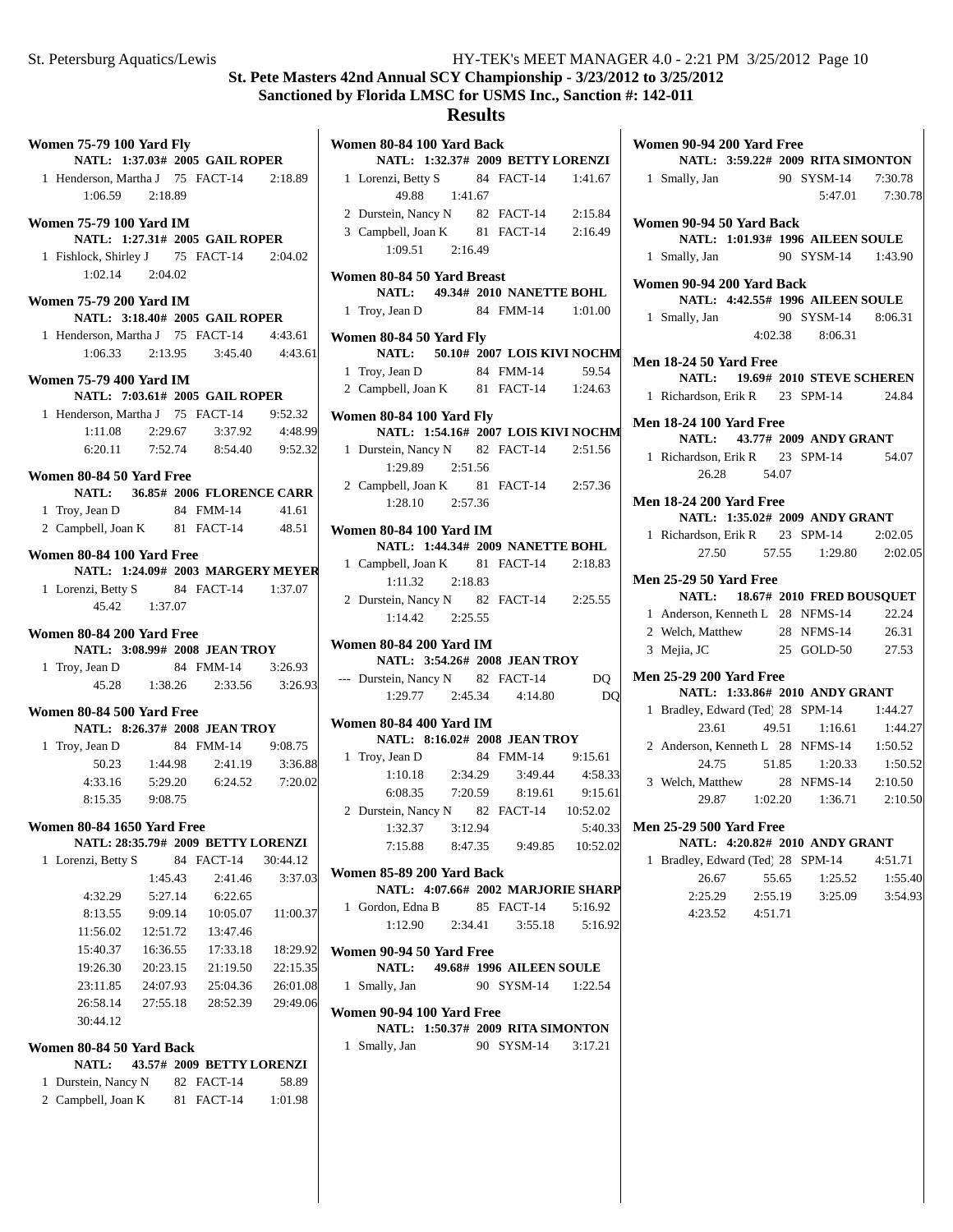# **Results**

| <b>Women 75-79 100 Yard Fly</b>          |               |                                         |          | Women         |
|------------------------------------------|---------------|-----------------------------------------|----------|---------------|
| 1 Henderson, Martha J 75 FACT-14 2:18.89 |               | NATL: 1:37.03# 2005 GAIL ROPER          |          | $1$ Los       |
| $1:06.59$ $2:18.89$                      |               |                                         |          |               |
| Women 75-79 100 Yard IM                  |               |                                         |          | $2$ Du        |
|                                          |               | NATL: 1:27.31# 2005 GAIL ROPER          |          | 3 Ca          |
| 1 Fishlock, Shirley J 75 FACT-14 2:04.02 |               |                                         |          |               |
| 1:02.14 2:04.02                          |               |                                         |          | Women         |
| Women 75-79 200 Yard IM                  |               |                                         |          | $1$ Tro       |
|                                          |               | NATL: 3:18.40# 2005 GAIL ROPER          |          |               |
| 1 Henderson, Martha J 75 FACT-14 4:43.61 |               |                                         |          | Women         |
|                                          |               | $1:06.33$ $2:13.95$ $3:45.40$ $4:43.61$ |          |               |
| Women 75-79 400 Yard IM                  |               |                                         |          | 1 Tro<br>2 Ca |
|                                          |               | NATL: 7:03.61# 2005 GAIL ROPER          |          |               |
| 1 Henderson, Martha J 75 FACT-14         |               |                                         | 9:52.32  | Women         |
| 1:11.08                                  |               | 2:29.67 3:37.92                         | 4:48.99  |               |
|                                          |               | 6:20.11 7:52.74 8:54.40 9:52.32         |          | 1 Du          |
| Women 80-84 50 Yard Free                 |               |                                         |          |               |
|                                          |               | NATL: 36.85# 2006 FLORENCE CARR         |          | 2 Ca          |
| 1 Troy, Jean D                           |               | 84 FMM-14                               | 41.61    |               |
| 2 Campbell, Joan K 81 FACT-14 48.51      |               |                                         |          | Women         |
| Women 80-84 100 Yard Free                |               | NATL: 1:24.09# 2003 MARGERY MEYER       |          | 1 Ca          |
| 1 Lorenzi, Betty S 84 FACT-14 1:37.07    |               |                                         |          |               |
|                                          | 45.42 1:37.07 |                                         |          | $2$ Du        |
| Women 80-84 200 Yard Free                |               |                                         |          |               |
|                                          |               | NATL: 3:08.99# 2008 JEAN TROY           |          | Women         |
| 1 Troy, Jean D 84 FMM-14 3:26.93         |               |                                         |          |               |
|                                          |               | 45.28 1:38.26 2:33.56 3:26.93           |          | --- Du        |
| Women 80-84 500 Yard Free                |               |                                         |          | Women         |
|                                          |               | NATL: 8:26.37# 2008 JEAN TROY           |          |               |
| 1 Troy, Jean D                           | 50.23 1:44.98 | 84 FMM-14 9:08.75<br>2:41.19            |          | 1 Tro         |
|                                          |               | 4:33.16 5:29.20 6:24.52 7:20.02         | 3:36.88  |               |
| 8:15.35 9:08.75                          |               |                                         |          |               |
|                                          |               |                                         |          | $2$ Du        |
| <b>Women 80-84 1650 Yard Free</b>        |               | NATL: 28:35.79# 2009 BETTY LORENZI      |          |               |
| 1 Lorenzi, Betty S                       |               | 84 FACT-14                              | 30:44.12 |               |
|                                          | 1:45.43       | 2:41.46                                 | 3:37.03  | Womer         |
| 4:32.29                                  | 5:27.14       | 6:22.65                                 |          |               |
| 8:13.55                                  | 9:09.14       | 10:05.07                                | 11:00.37 | $1$ Go        |
| 11:56.02                                 | 12:51.72      | 13:47.46                                |          |               |
| 15:40.37                                 | 16:36.55      | 17:33.18                                | 18:29.92 | Women         |
|                                          |               | 19:26.30 20:23.15 21:19.50              | 22:15.35 |               |
|                                          |               | 23:11.85 24:07.93 25:04.36              | 26:01.08 | $1 \,$ Sm     |
|                                          |               | 26:58.14 27:55.18 28:52.39              | 29:49.06 | Women         |
| 30:44.12                                 |               |                                         |          |               |
| Women 80-84 50 Yard Back                 |               |                                         |          | $1 \,$ Sm     |
| <b>NATL:</b>                             |               | 43.57# 2009 BETTY LORENZI               |          |               |
| 1 Durstein, Nancy N 82 FACT-14           |               |                                         | 58.89    |               |

2 Campbell, Joan K 81 FACT-14 1:01.98

| results                                                                         |                       |                    |
|---------------------------------------------------------------------------------|-----------------------|--------------------|
| Women 80-84 100 Yard Back                                                       |                       |                    |
| NATL: 1:32.37# 2009 BETTY LORENZI                                               |                       |                    |
| 1 Lorenzi, Betty S 84 FACT-14 1:41.67<br>49.88 1:41.67                          |                       |                    |
|                                                                                 |                       |                    |
| 2 Durstein, Nancy N 82 FACT-14 2:15.84<br>3 Campbell, Joan K 81 FACT-14 2:16.49 |                       |                    |
| $1:09.51$ $2:16.49$                                                             |                       |                    |
|                                                                                 |                       |                    |
| Women 80-84 50 Yard Breast                                                      |                       |                    |
| NATL: 49.34# 2010 NANETTE BOHL                                                  |                       |                    |
| 1 Troy, Jean D                                                                  | 84 FMM-14 1:01.00     |                    |
| Women 80-84 50 Yard Fly                                                         |                       |                    |
| NATL: 50.10# 2007 LOIS KIVI NOCHM                                               |                       |                    |
| 1 Troy, Jean D<br>2 Campbell, Joan K 81 FACT-14 1:24.63                         | 84 FMM-14             | 59.54              |
|                                                                                 |                       |                    |
| Women 80-84 100 Yard Fly                                                        |                       |                    |
| NATL: 1:54.16# 2007 LOIS KIVI NOCHM                                             |                       |                    |
| 1 Durstein, Nancy N 82 FACT-14 2:51.56<br>1:29.89 2:51.56                       |                       |                    |
| 2 Campbell, Joan K 81 FACT-14 2:57.36                                           |                       |                    |
| $1:28.10$ $2:57.36$                                                             |                       |                    |
|                                                                                 |                       |                    |
| <b>Women 80-84 100 Yard IM</b><br>NATL: 1:44.34# 2009 NANETTE BOHL              |                       |                    |
| 1 Campbell, Joan K 81 FACT-14 2:18.83                                           |                       |                    |
| 1:11.32 2:18.83                                                                 |                       |                    |
| 2 Durstein, Nancy N 82 FACT-14 2:25.55                                          |                       |                    |
| 1:14.42  2:25.55                                                                |                       |                    |
| <b>Women 80-84 200 Yard IM</b>                                                  |                       |                    |
| NATL: 3:54.26# 2008 JEAN TROY                                                   |                       |                    |
| --- Durstein, Nancy N 82 FACT-14                                                |                       | DQ                 |
| $1:29.77$ $2:45.34$ $4:14.80$                                                   |                       | DQ                 |
| <b>Women 80-84 400 Yard IM</b>                                                  |                       |                    |
| NATL: 8:16.02# 2008 JEAN TROY                                                   |                       |                    |
| 1 Troy, Jean D                                                                  | 84 FMM-14 9:15.61     |                    |
| 1:10.18 2:34.29 3:49.44                                                         |                       | 4:58.33            |
| 6:08.35  7:20.59  8:19.61  9:15.61                                              |                       |                    |
| 2 Durstein, Nancy N 82 FACT-14 10:52.02                                         |                       |                    |
| 3:12.94<br>1:32.37<br>7:15.88 8:47.35 9:49.85 10:52.02                          |                       | 5:40.33            |
|                                                                                 |                       |                    |
| Women 85-89 200 Yard Back                                                       |                       |                    |
| NATL: 4:07.66# 2002 MARJORIE SHARP                                              |                       |                    |
| 1 Gordon, Edna B<br>$1:12.90$ $2:34.41$                                         | 85 FACT-14<br>3:55.18 | 5:16.92<br>5:16.92 |
|                                                                                 |                       |                    |
| Women 90-94 50 Yard Free                                                        |                       |                    |
| NATL: 49.68# 1996 AILEEN SOULE                                                  | 90 SYSM-14            |                    |
| 1 Smally, Jan                                                                   |                       | 1:22.54            |
| Women 90-94 100 Yard Free                                                       |                       |                    |
| NATL: 1:50.37# 2009 RITA SIMONTON                                               |                       |                    |
| 1 Smally, Jan                                                                   | 90 SYSM-14 3:17.21    |                    |
|                                                                                 |                       |                    |
|                                                                                 |                       |                    |
|                                                                                 |                       |                    |
|                                                                                 |                       |                    |

| Women 90-94 200 Yard Free                                        |       |                    |                 |
|------------------------------------------------------------------|-------|--------------------|-----------------|
| NATL: 3:59.22# 2009 RITA SIMONTON                                |       |                    |                 |
| 1 Smally, Jan                                                    |       | 90 SYSM-14 7:30.78 |                 |
|                                                                  |       |                    | 5:47.01 7:30.78 |
| Women 90-94 50 Yard Back                                         |       |                    |                 |
| NATL: 1:01.93# 1996 AILEEN SOULE                                 |       |                    |                 |
| 1 Smally, Jan                                                    |       | 90 SYSM-14 1:43.90 |                 |
|                                                                  |       |                    |                 |
| Women 90-94 200 Yard Back                                        |       |                    |                 |
| NATL: 4:42.55# 1996 AILEEN SOULE                                 |       |                    |                 |
| 1 Smally, Jan                                                    |       | 90 SYSM-14 8:06.31 |                 |
|                                                                  |       | 4:02.38 8:06.31    |                 |
| Men 18-24 50 Yard Free                                           |       |                    |                 |
| <b>NATL:</b> 19.69# 2010 STEVE SCHEREN                           |       |                    |                 |
| 1 Richardson, Erik R 23 SPM-14                                   |       |                    | 24.84           |
| <b>Men 18-24 100 Yard Free</b>                                   |       |                    |                 |
| NATL: 43.77# 2009 ANDY GRANT                                     |       |                    |                 |
| 1 Richardson, Erik R 23 SPM-14                                   |       |                    | 54.07           |
| 26.28                                                            | 54.07 |                    |                 |
|                                                                  |       |                    |                 |
| <b>Men 18-24 200 Yard Free</b><br>NATL: 1:35.02# 2009 ANDY GRANT |       |                    |                 |
| 1 Richardson, Erik R 23 SPM-14 2:02.05                           |       |                    |                 |
| 27.50 57.55 1:29.80 2:02.05                                      |       |                    |                 |
|                                                                  |       |                    |                 |
| <b>Men 25-29 50 Yard Free</b>                                    |       |                    |                 |
| NATL: 18.67# 2010 FRED BOUSQUET                                  |       |                    |                 |
| 1 Anderson, Kenneth L 28 NFMS-14                                 |       |                    | 22.24           |
| 2 Welch, Matthew                                                 |       | 28 NFMS-14         | 26.31           |
| 3 Mejia, JC                                                      |       | 25 GOLD-50         | 27.53           |
| <b>Men 25-29 200 Yard Free</b>                                   |       |                    |                 |
| NATL: 1:33.86# 2010 ANDY GRANT                                   |       |                    |                 |
| 1 Bradley, Edward (Ted) 28 SPM-14                                |       |                    | 1:44.27         |
| 23.61                                                            | 49.51 | 1:16.61            | 1:44.27         |
| 2 Anderson, Kenneth L 28 NFMS-14 1:50.52                         |       |                    |                 |
| 51.85<br>24.75                                                   |       | 1:20.33            | 1:50.52         |
| 3 Welch, Matthew                                                 |       | 28 NFMS-14 2:10.50 |                 |
| 29.87 1:02.20 1:36.71                                            |       |                    | 2:10.50         |
| <b>Men 25-29 500 Yard Free</b>                                   |       |                    |                 |
| NATL: 4:20.82# 2010 ANDY GRANT                                   |       |                    |                 |
| Bradley, Edward (Ted) 28 SPM-14<br>1                             |       |                    | 4:51.71         |
| 26.67                                                            | 55.65 | 1:25.52            | 1:55.40         |
| 2:25.29<br>2:55.19                                               |       | 3:25.09            | 3:54.93         |
| 4:23.52<br>4:51.71                                               |       |                    |                 |
|                                                                  |       |                    |                 |
|                                                                  |       |                    |                 |
|                                                                  |       |                    |                 |
|                                                                  |       |                    |                 |
|                                                                  |       |                    |                 |
|                                                                  |       |                    |                 |

 $\mathbf{I}$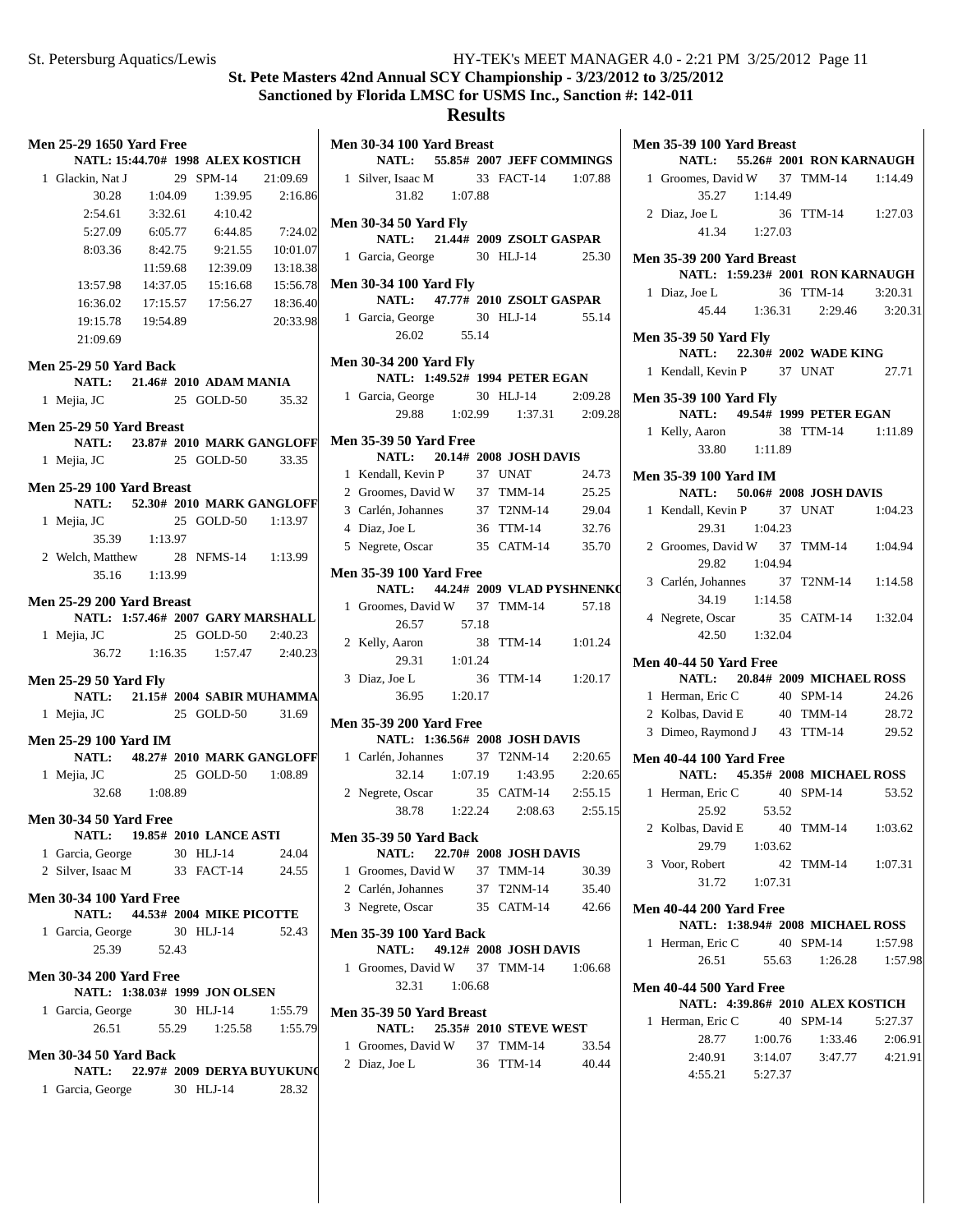| <b>Men 25-29 1650 Yard Free</b>     |               |                                     |          | <b>Men 30-</b> |
|-------------------------------------|---------------|-------------------------------------|----------|----------------|
|                                     |               | NATL: 15:44.70# 1998 ALEX KOSTICH   |          |                |
| 1 Glackin, Nat J                    |               | 29 SPM-14                           | 21:09.69 | 1 Silv         |
|                                     | 30.28 1:04.09 | 1:39.95                             | 2:16.86  |                |
|                                     |               | $2:54.61$ $3:32.61$ $4:10.42$       |          | <b>Men 30-</b> |
|                                     |               | 5:27.09 6:05.77 6:44.85 7:24.02     |          | I              |
| 8:03.36                             | 8:42.75       | 9:21.55                             | 10:01.07 | 1 Gard         |
|                                     | 11:59.68      | 12:39.09                            | 13:18.38 |                |
| 13:57.98                            | 14:37.05      | 15:16.68                            | 15:56.78 | <b>Men 30-</b> |
| 16:36.02                            | 17:15.57      | 17:56.27                            | 18:36.40 | I              |
| 19:15.78                            | 19:54.89      |                                     | 20:33.98 | 1 Gard         |
| 21:09.69                            |               |                                     |          |                |
| <b>Men 25-29 50 Yard Back</b>       |               |                                     |          | <b>Men 30-</b> |
|                                     |               | NATL: 21.46# 2010 ADAM MANIA        |          | I              |
| 1 Mejia, JC                         |               | 25 GOLD-50 35.32                    |          | 1 Gard         |
|                                     |               |                                     |          |                |
| Men 25-29 50 Yard Breast            |               |                                     |          | <b>Men 35-</b> |
|                                     |               | NATL: 23.87# 2010 MARK GANGLOFF     |          |                |
| 1 Mejia, JC                         |               | 25 GOLD-50 33.35                    |          | 1 Ken          |
| Men 25-29 100 Yard Breast           |               |                                     |          | $2$ Groe       |
|                                     |               | NATL: 52.30# 2010 MARK GANGLOFF     |          | 3 Carl         |
| 1 Mejia, JC                         |               | 25 GOLD-50 1:13.97                  |          | 4 Diaz         |
|                                     | 35.39 1:13.97 |                                     |          | 5 Neg          |
| 2 Welch, Matthew 28 NFMS-14 1:13.99 |               |                                     |          |                |
|                                     | 35.16 1:13.99 |                                     |          | <b>Men 35-</b> |
| Men 25-29 200 Yard Breast           |               |                                     |          |                |
|                                     |               | NATL: 1:57.46# 2007 GARY MARSHALL   |          | 1 Gro          |
| 1 Mejia, JC                         |               | 25 GOLD-50 2:40.23                  |          |                |
|                                     |               | 36.72   1:16.35   1:57.47   2:40.23 |          | 2 Kell         |
|                                     |               |                                     |          |                |
| <b>Men 25-29 50 Yard Fly</b>        |               |                                     |          | 3 Diaz         |
|                                     |               | NATL: 21.15# 2004 SABIR MUHAMMA     |          |                |
| 1 Mejia, JC                         |               | 25 GOLD-50 31.69                    |          | <b>Men 35-</b> |
| <b>Men 25-29 100 Yard IM</b>        |               |                                     |          | I              |
|                                     |               | NATL: 48.27# 2010 MARK GANGLOFF     |          | 1 Carl         |
| 1 Mejia, JC                         |               | 25 GOLD-50 1:08.89                  |          |                |
|                                     | 32.68 1:08.89 |                                     |          | 2 Neg          |
| <b>Men 30-34 50 Yard Free</b>       |               |                                     |          |                |
|                                     |               | NATL: 19.85# 2010 LANCE ASTI        |          | <b>Men 35-</b> |
| 1 Garcia, George                    |               | 30 HLJ-14                           | 24.04    | I              |
| 2 Silver, Isaac M 33 FACT-14 24.55  |               |                                     |          | 1 Gro          |
|                                     |               |                                     |          | 2 Carl         |
| <b>Men 30-34 100 Yard Free</b>      |               |                                     |          | 3 Neg          |
|                                     |               | NATL: 44.53# 2004 MIKE PICOTTE      |          |                |
| 1 Garcia, George 30 HLJ-14          | 25.39 52.43   |                                     | 52.43    | <b>Men 35-</b> |
|                                     |               |                                     |          | 1 Gro          |
| <b>Men 30-34 200 Yard Free</b>      |               |                                     |          |                |
|                                     |               | NATL: 1:38.03# 1999 JON OLSEN       |          |                |
| 1 Garcia, George 30 HLJ-14          |               |                                     | 1:55.79  | <b>Men 35-</b> |
|                                     |               | 26.51 55.29 1:25.58                 | 1:55.79  |                |
| <b>Men 30-34 50 Yard Back</b>       |               |                                     |          | 1 Gro          |
|                                     |               | NATL: 22.97# 2009 DERYA BUYUKUN     |          | 2 Diaz         |
| 1 Garcia, George 30 HLJ-14          |               |                                     | 28.32    |                |
|                                     |               |                                     |          |                |
|                                     |               |                                     |          |                |

| NATL: 55.85# 2007 JEFF COMMINGS                                                 |
|---------------------------------------------------------------------------------|
| 1 Silver, Isaac M 33 FACT-14 1:07.88                                            |
|                                                                                 |
|                                                                                 |
| NATL: 21.44# 2009 ZSOLT GASPAR                                                  |
| 1 Garcia, George 30 HLJ-14 25.30                                                |
|                                                                                 |
| NATL: 47.77# 2010 ZSOLT GASPAR                                                  |
| 1 Garcia, George 30 HLJ-14 55.14                                                |
|                                                                                 |
|                                                                                 |
| NATL: 1:49.52# 1994 PETER EGAN                                                  |
| 2:09.28                                                                         |
| 29.88 1:02.99 1:37.31 2:09.28                                                   |
|                                                                                 |
|                                                                                 |
| 24.73                                                                           |
| 25.25                                                                           |
| 29.04                                                                           |
| 32.76                                                                           |
| 5 Negrete, Oscar 35 CATM-14 35.70                                               |
|                                                                                 |
| NATL: 44.24# 2009 VLAD PYSHNENKO                                                |
| 1 Groomes, David W 37 TMM-14 57.18                                              |
|                                                                                 |
|                                                                                 |
| 2 Kelly, Aaron 38 TTM-14 1:01.24<br>29.31 1:01.24                               |
| 36 TTM-14 1:20.17                                                               |
|                                                                                 |
|                                                                                 |
|                                                                                 |
|                                                                                 |
| 1 Carlén, Johannes 37 T2NM-14 2:20.65                                           |
|                                                                                 |
| 32.14 1:07.19 1:43.95 2:20.65                                                   |
| 2 Negrete, Oscar 35 CATM-14 2:55.15<br>38.78 1:22.24 2:08.63 2:55.1:<br>2:55.15 |
|                                                                                 |
|                                                                                 |
| 30.39                                                                           |
| 35.40                                                                           |
| 35 CATM-14 42.66                                                                |
|                                                                                 |
|                                                                                 |
| 1 Groomes, David W 37 TMM-14 1:06.68                                            |
|                                                                                 |
|                                                                                 |
|                                                                                 |
| 33.54                                                                           |
| 40.44                                                                           |
|                                                                                 |
|                                                                                 |

| <b>Men 35-39 100 Yard Breast</b>                    |         | NATL: 55.26# 2001 RON KARNAUGH      |         |
|-----------------------------------------------------|---------|-------------------------------------|---------|
| 1 Groomes, David W 37 TMM-14 1:14.49                |         |                                     |         |
|                                                     |         |                                     |         |
| 35.27   1:14.49<br>2 Diaz, Joe L                    |         | 36 TTM-14 1:27.03                   |         |
| $41.34$ $1:27.03$                                   |         |                                     |         |
|                                                     |         |                                     |         |
| <b>Men 35-39 200 Yard Breast</b>                    |         |                                     |         |
|                                                     |         | NATL: 1:59.23# 2001 RON KARNAUGH    |         |
| 1 Diaz, Joe L                                       |         | 36 TTM-14                           | 3:20.31 |
|                                                     |         | 45.44   1:36.31   2:29.46   3:20.31 |         |
| <b>Men 35-39 50 Yard Fly</b>                        |         |                                     |         |
|                                                     |         | NATL: 22.30# 2002 WADE KING         |         |
| 1 Kendall, Kevin P 37 UNAT                          |         |                                     | 27.71   |
|                                                     |         |                                     |         |
| <b>Men 35-39 100 Yard Fly</b>                       |         | NATL: 49.54# 1999 PETER EGAN        |         |
|                                                     |         |                                     |         |
| 1 Kelly, Aaron 38 TTM-14 1:11.89<br>33.80   1:11.89 |         |                                     |         |
|                                                     |         |                                     |         |
| Men 35-39 100 Yard IM                               |         |                                     |         |
|                                                     |         | NATL: 50.06# 2008 JOSH DAVIS        |         |
| 1 Kendall, Kevin P 37 UNAT 1:04.23                  |         |                                     |         |
| 29.31 1:04.23                                       |         |                                     |         |
| 2 Groomes, David W 37 TMM-14 1:04.94                |         |                                     |         |
| 29.82 1:04.94                                       |         |                                     |         |
| 3 Carlén, Johannes 37 T2NM-14 1:14.58               |         |                                     |         |
| 34.19  1:14.58                                      |         |                                     |         |
| 4 Negrete, Oscar 35 CATM-14 1:32.04                 |         |                                     |         |
| 42.50  1:32.04                                      |         |                                     |         |
| <b>Men 40-44 50 Yard Free</b>                       |         |                                     |         |
|                                                     |         | NATL: 20.84# 2009 MICHAEL ROSS      |         |
| 1 Herman, Eric C 40 SPM-14                          |         |                                     | 24.26   |
| 2 Kolbas, David E 40 TMM-14 28.72                   |         |                                     |         |
| 3 Dimeo, Raymond J 43 TTM-14 29.52                  |         |                                     |         |
| <b>Men 40-44 100 Yard Free</b>                      |         |                                     |         |
|                                                     |         | NATL: 45.35# 2008 MICHAEL ROSS      |         |
|                                                     |         | 40 SPM-14                           | 53.52   |
| 1 Herman, Eric C 40<br>25.92 53.52                  |         |                                     |         |
| 2 Kolbas, David E 40 TMM-14 1:03.62                 |         |                                     |         |
| 29.79                                               | 1:03.62 |                                     |         |
| 3 Voor, Robert                                      |         | 42 TMM-14 1:07.31                   |         |
| 31.72 1:07.31                                       |         |                                     |         |
|                                                     |         |                                     |         |
| <b>Men 40-44 200 Yard Free</b>                      |         |                                     |         |
|                                                     |         | NATL: 1:38.94# 2008 MICHAEL ROSS    |         |
| 1 Herman, Eric C 40 SPM-14                          |         |                                     | 1:57.98 |
|                                                     |         | 26.51 55.63 1:26.28                 | 1:57.98 |
| <b>Men 40-44 500 Yard Free</b>                      |         |                                     |         |
|                                                     |         | NATL: 4:39.86# 2010 ALEX KOSTICH    |         |
| 1 Herman, Eric C 40 SPM-14                          |         |                                     | 5:27.37 |
|                                                     |         | 28.77 1:00.76 1:33.46               | 2:06.91 |
|                                                     |         | 2:40.91 3:14.07 3:47.77 4:21.91     |         |
| 4:55.21 5:27.37                                     |         |                                     |         |
|                                                     |         |                                     |         |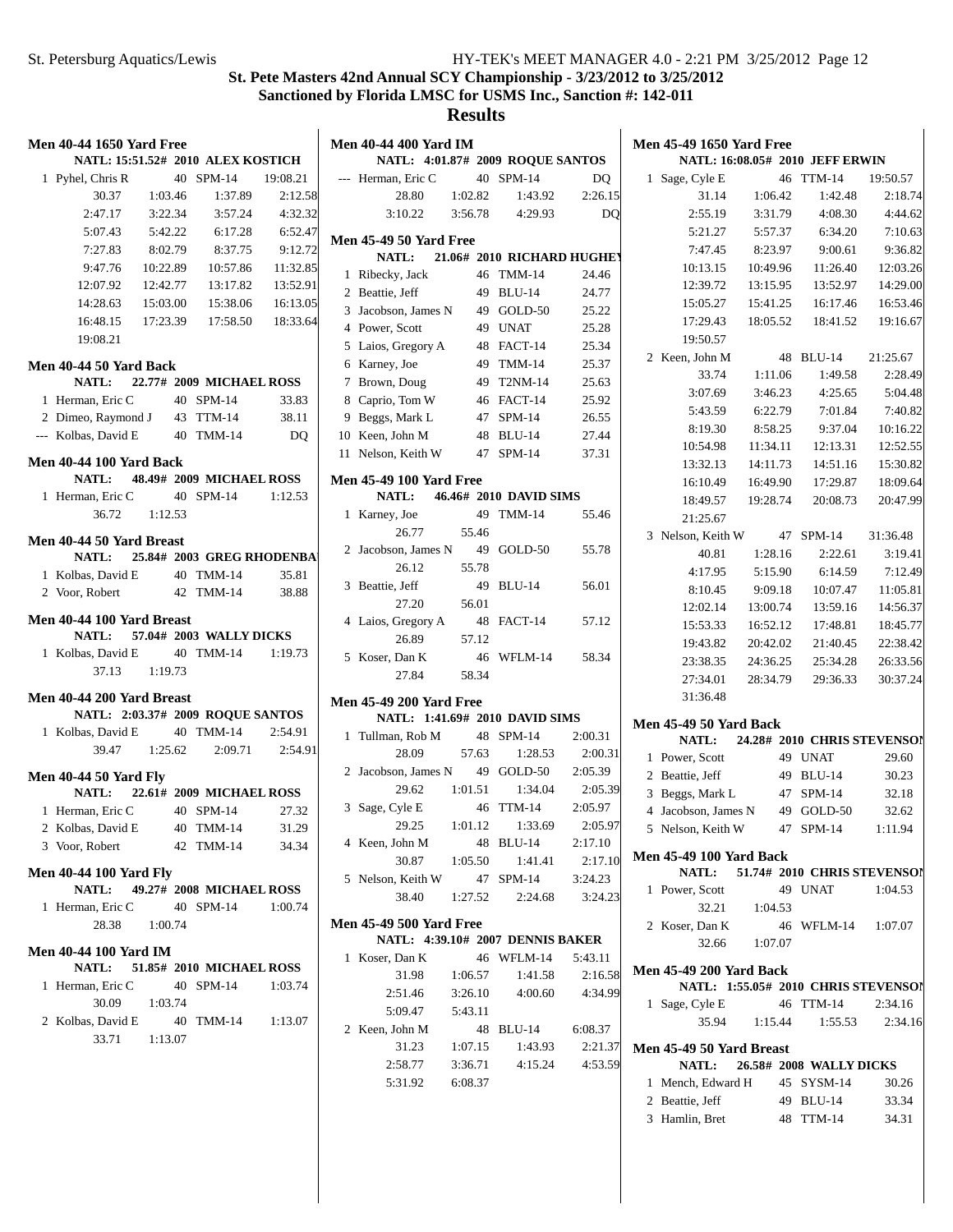|              | Men 40-44 1650 Yard Free                                   |         |                                        |         |
|--------------|------------------------------------------------------------|---------|----------------------------------------|---------|
|              | NATL: 15:51.52# 2010 ALEX KOSTICH                          |         |                                        |         |
|              | 1 Pyhel, Chris R                                           |         | 40 SPM-14 19:08.21                     |         |
|              |                                                            |         | 30.37 1:03.46 1:37.89                  | 2:12.58 |
|              | 2:47.17                                                    |         | 3:22.34 3:57.24 4:32.32                |         |
|              |                                                            |         | 5:07.43 5:42.22 6:17.28 6:52.47        |         |
|              |                                                            |         | 7:27.83 8:02.79 8:37.75 9:12.72        |         |
|              |                                                            |         | 9:47.76  10:22.89  10:57.86  11:32.85  |         |
|              | 12:07.92  12:42.77  13:17.82  13:52.91                     |         |                                        |         |
|              | $14:28.63 \qquad 15:03.00 \qquad 15:38.06 \qquad 16:13.05$ |         |                                        |         |
|              | 16:48.15                                                   |         | 17:23.39   17:58.50   18:33.64         |         |
|              | 19:08.21                                                   |         |                                        |         |
|              | Men 40-44 50 Yard Back                                     |         |                                        |         |
|              | NATL: 22.77# 2009 MICHAEL ROSS                             |         |                                        |         |
|              | 1 Herman, Eric C 40 SPM-14                                 |         |                                        | 33.83   |
|              | 2 Dimeo, Raymond J 43 TTM-14 38.11                         |         |                                        |         |
|              | --- Kolbas, David E 40 TMM-14                              |         |                                        | DO      |
|              |                                                            |         |                                        |         |
|              | <b>Men 40-44 100 Yard Back</b>                             |         |                                        |         |
|              | NATL: 48.49# 2009 MICHAEL ROSS                             |         | 40 SPM-14 1:12.53                      |         |
|              | 1 Herman, Eric C<br>36.72 1:12.53                          |         |                                        |         |
|              |                                                            |         |                                        |         |
|              | Men 40-44 50 Yard Breast                                   |         |                                        |         |
|              | NATL: 25.84# 2003 GREG RHODENBA                            |         |                                        |         |
|              | 1 Kolbas, David E 40 TMM-14 35.81                          |         |                                        |         |
|              | 2 Voor, Robert 42 TMM-14                                   |         |                                        | 38.88   |
|              | Men 40-44 100 Yard Breast                                  |         |                                        |         |
|              | NATL: 57.04# 2003 WALLY DICKS                              |         |                                        |         |
|              | 1 Kolbas, David E 40 TMM-14 1:19.73                        |         |                                        |         |
|              | 37.13 1:19.73                                              |         |                                        |         |
|              | Men 40-44 200 Yard Breast                                  |         |                                        |         |
|              | NATL: 2:03.37# 2009 ROQUE SANTOS                           |         |                                        |         |
|              |                                                            |         |                                        |         |
|              | 1 Kolbas, David E 40 TMM-14 2:54.91                        |         | 39.47    1:25.62    2:09.71    2:54.91 |         |
|              |                                                            |         |                                        |         |
|              | <b>Men 40-44 50 Yard Fly</b>                               |         |                                        |         |
|              | NATL: 22.61# 2009 MICHAEL ROSS                             |         |                                        |         |
|              | 1 Herman, Eric C 40 SPM-14                                 |         |                                        | 27.32   |
|              | 2 Kolbas, David E 40 TMM-14                                |         |                                        | 31.29   |
|              | 3 Voor, Robert                                             |         | 42 TMM-14                              | 34.34   |
|              | <b>Men 40-44 100 Yard Fly</b>                              |         |                                        |         |
|              | NATL: 49.27# 2008 MICHAEL ROSS                             |         |                                        |         |
| $\mathbf{1}$ | Herman, Eric C 40 SPM-14                                   |         |                                        | 1:00.74 |
|              | 28.38 1:00.74                                              |         |                                        |         |
|              | Men 40-44 100 Yard IM                                      |         |                                        |         |
|              | NATL: 51.85# 2010 MICHAEL ROSS                             |         |                                        |         |
| $\mathbf{1}$ | Herman, Eric C                                             |         | 40 SPM-14                              | 1:03.74 |
|              | 30.09                                                      | 1:03.74 |                                        |         |
|              | 2 Kolbas, David E                                          |         | 40 TMM-14 1:13.07                      |         |
|              | 33.71 1:13.07                                              |         |                                        |         |
|              |                                                            |         |                                        |         |
|              |                                                            |         |                                        |         |
|              |                                                            |         |                                        |         |

|   | <b>Men 40-44 400 Yard IM</b>                                     |         |       |                                 |         |  |  |  |  |  |  |
|---|------------------------------------------------------------------|---------|-------|---------------------------------|---------|--|--|--|--|--|--|
|   | NATL: 4:01.87# 2009 ROQUE SANTOS                                 |         |       |                                 |         |  |  |  |  |  |  |
|   | --- Herman, Eric C 40 SPM-14                                     |         |       |                                 | DQ      |  |  |  |  |  |  |
|   | 28.80 1:02.82                                                    |         |       | 1:43.92                         | 2:26.15 |  |  |  |  |  |  |
|   | 3:10.22                                                          | 3:56.78 |       | 4:29.93                         | DQ      |  |  |  |  |  |  |
|   | <b>Men 45-49 50 Yard Free</b>                                    |         |       |                                 |         |  |  |  |  |  |  |
|   | NATL: 21.06# 2010 RICHARD HUGHEY                                 |         |       |                                 |         |  |  |  |  |  |  |
| 1 | Ribecky, Jack                                                    |         |       | 46 TMM-14                       | 24.46   |  |  |  |  |  |  |
|   | 2 Beattie, Jeff                                                  |         |       | 49 BLU-14                       | 24.77   |  |  |  |  |  |  |
|   | 3 Jacobson, James N 49 GOLD-50                                   |         |       |                                 | 25.22   |  |  |  |  |  |  |
|   | 4 Power, Scott                                                   |         |       | 49 UNAT                         | 25.28   |  |  |  |  |  |  |
|   | 5 Laios, Gregory A                                               |         |       | 48 FACT-14                      | 25.34   |  |  |  |  |  |  |
| 6 | Karney, Joe                                                      |         |       | 49 TMM-14                       | 25.37   |  |  |  |  |  |  |
| 7 | Brown, Doug                                                      |         |       | 49 T2NM-14                      | 25.63   |  |  |  |  |  |  |
|   | 8 Caprio, Tom W                                                  |         |       | 46 FACT-14                      | 25.92   |  |  |  |  |  |  |
|   | 9 Beggs, Mark L                                                  |         |       | 47 SPM-14                       | 26.55   |  |  |  |  |  |  |
|   | 10 Keen, John M                                                  |         |       | 48 BLU-14                       | 27.44   |  |  |  |  |  |  |
|   | 11 Nelson, Keith W                                               |         |       | 47 SPM-14                       | 37.31   |  |  |  |  |  |  |
|   |                                                                  |         |       |                                 |         |  |  |  |  |  |  |
|   | <b>Men 45-49 100 Yard Free</b><br>NATL: 46.46# 2010 DAVID SIMS   |         |       |                                 |         |  |  |  |  |  |  |
| 1 | Karney, Joe                                                      |         |       | 49 TMM-14                       | 55.46   |  |  |  |  |  |  |
|   | 26.77                                                            |         | 55.46 |                                 |         |  |  |  |  |  |  |
|   | 2 Jacobson, James N                                              |         |       | 49 GOLD-50                      | 55.78   |  |  |  |  |  |  |
|   | 26.12                                                            |         | 55.78 |                                 |         |  |  |  |  |  |  |
|   | 3 Beattie, Jeff                                                  |         |       | 49 BLU-14                       | 56.01   |  |  |  |  |  |  |
|   | 27.20                                                            |         | 56.01 |                                 |         |  |  |  |  |  |  |
|   | 4 Laios, Gregory A                                               |         |       | 48 FACT-14                      | 57.12   |  |  |  |  |  |  |
|   | 26.89                                                            | 57.12   |       |                                 |         |  |  |  |  |  |  |
|   | 5 Koser, Dan K                                                   |         |       | 46 WFLM-14                      | 58.34   |  |  |  |  |  |  |
|   | 27.84                                                            |         | 58.34 |                                 |         |  |  |  |  |  |  |
|   |                                                                  |         |       |                                 |         |  |  |  |  |  |  |
|   | <b>Men 45-49 200 Yard Free</b><br>NATL: 1:41.69# 2010 DAVID SIMS |         |       |                                 |         |  |  |  |  |  |  |
|   | 1 Tullman, Rob M                                                 |         |       | 48 SPM-14                       | 2:00.31 |  |  |  |  |  |  |
|   | 28.09                                                            |         | 57.63 | 1:28.53                         | 2:00.31 |  |  |  |  |  |  |
|   | 2 Jacobson, James N 49 GOLD-50                                   |         |       |                                 | 2:05.39 |  |  |  |  |  |  |
|   |                                                                  |         |       |                                 |         |  |  |  |  |  |  |
|   | 29.62 1:01.51                                                    |         |       | 1:34.04                         | 2:05.39 |  |  |  |  |  |  |
|   | 3 Sage, Cyle E                                                   |         |       | 46 TTM-14                       | 2:05.97 |  |  |  |  |  |  |
|   |                                                                  |         |       | 29.25 1:01.12 1:33.69           | 2:05.97 |  |  |  |  |  |  |
|   | 4 Keen, John M                                                   |         |       | 48 BLU-14 2:17.10               |         |  |  |  |  |  |  |
|   | 30.87 1:05.50                                                    |         |       | 1:41.41                         | 2:17.10 |  |  |  |  |  |  |
|   | 5 Nelson, Keith W                                                |         |       | 47 SPM-14                       | 3:24.23 |  |  |  |  |  |  |
|   | 38.40                                                            |         |       | 1:27.52 2:24.68                 | 3:24.23 |  |  |  |  |  |  |
|   | <b>Men 45-49 500 Yard Free</b>                                   |         |       |                                 |         |  |  |  |  |  |  |
|   | NATL: 4:39.10# 2007 DENNIS BAKER                                 |         |       |                                 |         |  |  |  |  |  |  |
|   | 1 Koser, Dan K                                                   |         |       | 46 WFLM-14 5:43.11              |         |  |  |  |  |  |  |
|   | 31.98 1:06.57                                                    |         |       | 1:41.58                         | 2:16.58 |  |  |  |  |  |  |
|   |                                                                  |         |       | 2:51.46 3:26.10 4:00.60 4:34.99 |         |  |  |  |  |  |  |
|   | 5:09.47   5:43.11                                                |         |       |                                 |         |  |  |  |  |  |  |
|   | 2 Keen, John M                                                   |         |       | 48 BLU-14 6:08.37               |         |  |  |  |  |  |  |
|   | 31.23 1:07.15                                                    |         |       | 1:43.93                         | 2:21.37 |  |  |  |  |  |  |
|   | 2:58.77                                                          |         |       | 3:36.71 4:15.24 4:53.59         |         |  |  |  |  |  |  |
|   | 5:31.92 6:08.37                                                  |         |       |                                 |         |  |  |  |  |  |  |
|   |                                                                  |         |       |                                 |         |  |  |  |  |  |  |

|        | <b>Men 45-49 1650 Yard Free</b><br>NATL: 16:08.05# 2010 JEFF ERWIN |                                      |               |                                                            |                 |  |  |  |  |
|--------|--------------------------------------------------------------------|--------------------------------------|---------------|------------------------------------------------------------|-----------------|--|--|--|--|
|        |                                                                    |                                      |               | 46 TTM-14                                                  |                 |  |  |  |  |
|        | $\mathbf{1}$                                                       | Sage, Cyle E                         |               |                                                            | 19:50.57        |  |  |  |  |
|        |                                                                    |                                      | 31.14 1:06.42 | 1:42.48                                                    | 2:18.74         |  |  |  |  |
|        |                                                                    | 2:55.19                              |               | 3:31.79 4:08.30 4:44.62                                    |                 |  |  |  |  |
|        |                                                                    |                                      |               | 5:21.27 5:57.37 6:34.20 7:10.63                            |                 |  |  |  |  |
|        |                                                                    | 7:47.45                              | 8:23.97       | 9:00.61                                                    | 9:36.82         |  |  |  |  |
|        |                                                                    |                                      |               | 10:13.15  10:49.96  11:26.40  12:03.26                     |                 |  |  |  |  |
|        |                                                                    | 12:39.72                             | 13:15.95      | 13:52.97                                                   | 14:29.00        |  |  |  |  |
|        |                                                                    | 15:05.27                             | 15:41.25      | 16:17.46                                                   | 16:53.46        |  |  |  |  |
|        |                                                                    | 17:29.43                             |               | 18:05.52  18:41.52                                         | 19:16.67        |  |  |  |  |
|        |                                                                    | 19:50.57                             |               |                                                            |                 |  |  |  |  |
|        |                                                                    | 2 Keen, John M 48                    |               | <b>BLU-14</b>                                              | 21:25.67        |  |  |  |  |
|        |                                                                    | 33.74                                | 1:11.06       | 1:49.58                                                    | 2:28.49         |  |  |  |  |
|        |                                                                    | 3:07.69                              |               | 3:46.23 4:25.65 5:04.48                                    |                 |  |  |  |  |
|        |                                                                    | 5:43.59                              | 6:22.79       |                                                            | 7:01.84 7:40.82 |  |  |  |  |
|        |                                                                    | 8:19.30                              | 8:58.25       | 9:37.04                                                    | 10:16.22        |  |  |  |  |
|        |                                                                    | 10:54.98                             |               | 11:34.11  12:13.31                                         | 12:52.55        |  |  |  |  |
|        |                                                                    |                                      |               | 13:32.13  14:11.73  14:51.16  15:30.82                     |                 |  |  |  |  |
|        |                                                                    |                                      |               | $16:10.49 \qquad 16:49.90 \qquad 17:29.87 \qquad 18:09.64$ |                 |  |  |  |  |
|        |                                                                    | 18:49.57                             |               | 19:28.74 20:08.73                                          | 20:47.99        |  |  |  |  |
|        |                                                                    | 21:25.67                             |               |                                                            |                 |  |  |  |  |
|        |                                                                    | 3 Nelson, Keith W 47 SPM-14 31:36.48 |               |                                                            |                 |  |  |  |  |
|        |                                                                    | 40.81                                | 1:28.16       | 2:22.61                                                    | 3:19.41         |  |  |  |  |
|        |                                                                    | 4:17.95                              |               | 5:15.90 6:14.59                                            | 7:12.49         |  |  |  |  |
|        |                                                                    |                                      |               | 8:10.45 9:09.18 10:07.47                                   | 11:05.81        |  |  |  |  |
|        |                                                                    |                                      |               | 12:02.14  13:00.74  13:59.16                               | 14:56.37        |  |  |  |  |
|        |                                                                    |                                      |               | 15:53.33  16:52.12  17:48.81                               | 18:45.77        |  |  |  |  |
|        |                                                                    |                                      |               | 19:43.82  20:42.02  21:40.45                               | 22:38.42        |  |  |  |  |
|        |                                                                    |                                      |               | 23:38.35 24:36.25 25:34.28 26:33.56                        |                 |  |  |  |  |
|        |                                                                    |                                      |               | 27:34.01  28:34.79  29:36.33  30:37.24                     |                 |  |  |  |  |
|        |                                                                    | 31:36.48                             |               |                                                            |                 |  |  |  |  |
|        |                                                                    | <b>Men 45-49 50 Yard Back</b>        |               |                                                            |                 |  |  |  |  |
|        |                                                                    |                                      |               | NATL: 24.28# 2010 CHRIS STEVENSO!                          |                 |  |  |  |  |
| 1      |                                                                    | 1 Power, Scott                       |               | 49 UNAT                                                    | 29.60           |  |  |  |  |
|        |                                                                    | 2 Beattie, Jeff                      |               | 49 BLU-14 30.23                                            |                 |  |  |  |  |
| 9      |                                                                    | 3 Beggs, Mark L                      |               | 47 SPM-14 32.18                                            |                 |  |  |  |  |
|        |                                                                    | 4 Jacobson, James N 49 GOLD-50       |               |                                                            | 32.62           |  |  |  |  |
| 7      |                                                                    | 5 Nelson, Keith W 47 SPM-14          |               |                                                            | 1:11.94         |  |  |  |  |
|        |                                                                    | <b>Men 45-49 100 Yard Back</b>       |               |                                                            |                 |  |  |  |  |
| 0      |                                                                    |                                      |               | NATL: 51.74# 2010 CHRIS STEVENSO!                          |                 |  |  |  |  |
| 3      | 1                                                                  | Power, Scott                         |               | 49 UNAT                                                    | 1:04.53         |  |  |  |  |
|        |                                                                    | 32.21                                | 1:04.53       |                                                            |                 |  |  |  |  |
|        |                                                                    | 2 Koser, Dan K                       |               | 46 WFLM-14                                                 | 1:07.07         |  |  |  |  |
|        |                                                                    |                                      | 32.66 1:07.07 |                                                            |                 |  |  |  |  |
|        |                                                                    | <b>Men 45-49 200 Yard Back</b>       |               |                                                            |                 |  |  |  |  |
| 8<br>9 |                                                                    |                                      |               | NATL: 1:55.05# 2010 CHRIS STEVENSO!                        |                 |  |  |  |  |
|        |                                                                    | 1 Sage, Cyle E                       |               | 46 TTM-14                                                  | 2:34.16         |  |  |  |  |
|        |                                                                    |                                      | 35.94 1:15.44 | 1:55.53                                                    | 2:34.16         |  |  |  |  |
| 7      |                                                                    | Men 45-49 50 Yard Breast             |               |                                                            |                 |  |  |  |  |
| 9      |                                                                    | <b>NATL:</b>                         |               | 26.58# 2008 WALLY DICKS                                    |                 |  |  |  |  |
|        |                                                                    | 1 Mench, Edward H 45 SYSM-14         |               |                                                            | 30.26           |  |  |  |  |
|        |                                                                    | 2 Beattie, Jeff                      |               | 49 BLU-14                                                  | 33.34           |  |  |  |  |
|        |                                                                    | 3 Hamlin, Bret                       |               | 48 TTM-14                                                  | 34.31           |  |  |  |  |
|        |                                                                    |                                      |               |                                                            |                 |  |  |  |  |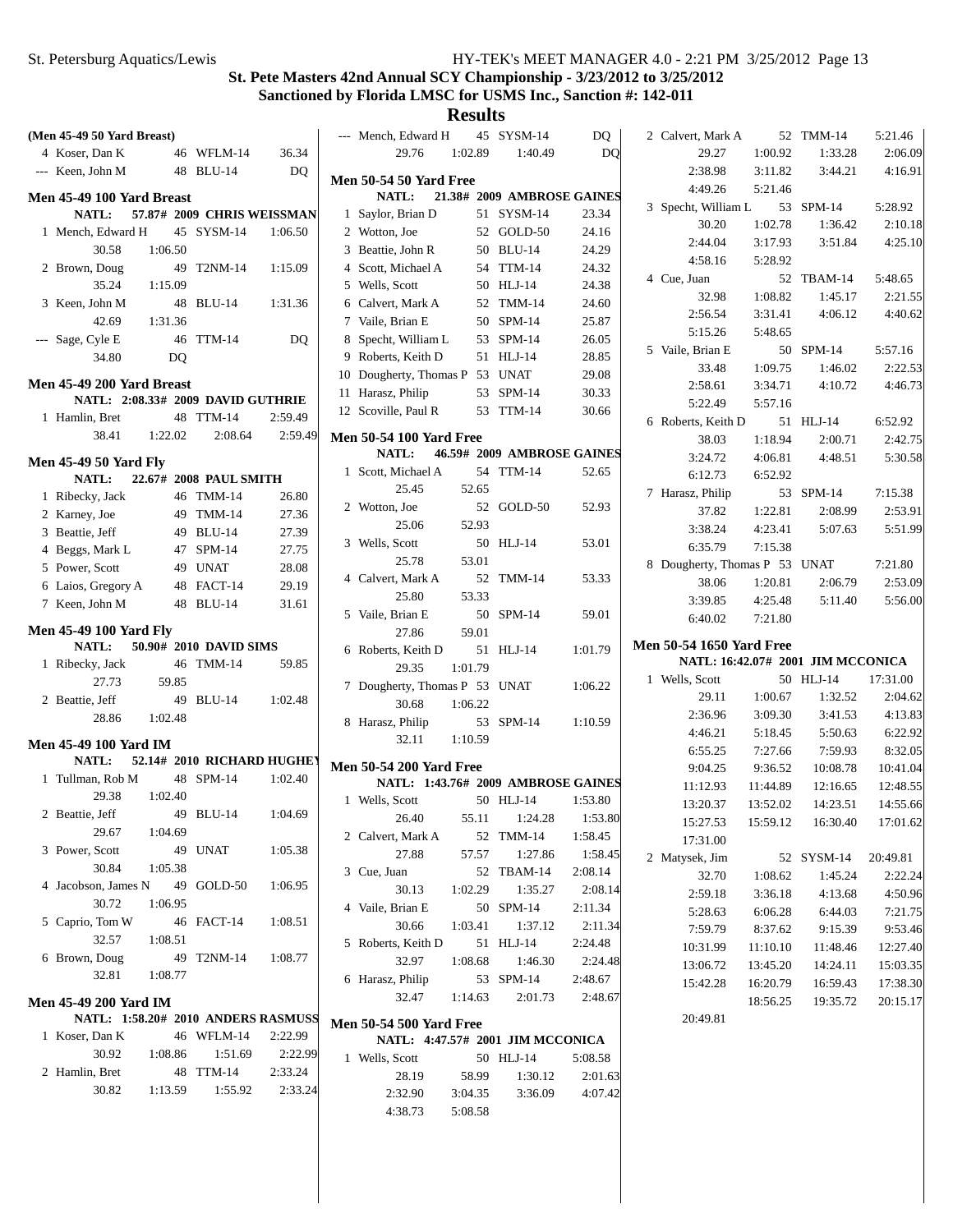| (Men 45-49 50 Yard Breast)    |                |                                    |                | --- Mench, Edward H                                  |                    | 45 SYSM-14                 | DQ                           | 2 Calvert, Mark A                 |          | 52 TMM-14  | 5:21.46  |
|-------------------------------|----------------|------------------------------------|----------------|------------------------------------------------------|--------------------|----------------------------|------------------------------|-----------------------------------|----------|------------|----------|
| 4 Koser, Dan K                |                | 46 WFLM-14                         | 36.34          | 29.76                                                | 1:02.89            | 1:40.49                    | D <sub>O</sub>               | 29.27                             | 1:00.92  | 1:33.28    | 2:06.09  |
| --- Keen, John M              |                | 48 BLU-14                          | D <sub>O</sub> |                                                      |                    |                            |                              | 2:38.98                           | 3:11.82  | 3:44.21    | 4:16.91  |
|                               |                |                                    |                | <b>Men 50-54 50 Yard Free</b>                        |                    |                            |                              | 4:49.26                           | 5:21.46  |            |          |
| Men 45-49 100 Yard Breast     |                |                                    |                | NATL:                                                |                    | 21.38# 2009 AMBROSE GAINES |                              | 3 Specht, William L               |          | 53 SPM-14  | 5:28.92  |
| <b>NATL:</b>                  |                | 57.87# 2009 CHRIS WEISSMAN         |                | 1 Saylor, Brian D                                    |                    | 51 SYSM-14                 | 23.34                        | 30.20                             | 1:02.78  | 1:36.42    | 2:10.18  |
| 1 Mench, Edward H             |                | 45 SYSM-14                         | 1:06.50        | 2 Wotton, Joe                                        |                    | 52 GOLD-50                 | 24.16                        | 2:44.04                           | 3:17.93  | 3:51.84    | 4:25.10  |
| 30.58                         | 1:06.50        |                                    |                | 3 Beattie, John R                                    |                    | 50 BLU-14                  | 24.29                        | 4:58.16                           | 5:28.92  |            |          |
| 2 Brown, Doug                 |                | 49 T2NM-14                         | 1:15.09        | 4 Scott, Michael A                                   |                    | 54 TTM-14                  | 24.32                        | 4 Cue, Juan                       |          | 52 TBAM-14 | 5:48.65  |
| 35.24                         | 1:15.09        |                                    |                | 5 Wells, Scott                                       |                    | 50 HLJ-14                  | 24.38                        | 32.98                             | 1:08.82  | 1:45.17    | 2:21.55  |
| 3 Keen, John M                |                | 48 BLU-14                          | 1:31.36        | 6 Calvert, Mark A                                    |                    | 52 TMM-14                  | 24.60                        | 2:56.54                           | 3:31.41  | 4:06.12    | 4:40.62  |
| 42.69                         | 1:31.36        |                                    |                | 7 Vaile, Brian E                                     |                    | 50 SPM-14                  | 25.87                        | 5:15.26                           | 5:48.65  |            |          |
| --- Sage, Cyle E              |                | 46 TTM-14                          | DQ.            | 8 Specht, William L                                  |                    | 53 SPM-14                  | 26.05                        | 5 Vaile, Brian E                  |          | 50 SPM-14  | 5:57.16  |
| 34.80                         | D <sub>O</sub> |                                    |                | 9 Roberts, Keith D                                   |                    | 51 HLJ-14                  | 28.85                        | 33.48                             | 1:09.75  | 1:46.02    | 2:22.53  |
| Men 45-49 200 Yard Breast     |                |                                    |                | 10 Dougherty, Thomas P 53 UNAT                       |                    |                            | 29.08                        | 2:58.61                           | 3:34.71  | 4:10.72    | 4:46.73  |
|                               |                | NATL: 2:08.33# 2009 DAVID GUTHRIE  |                | 11 Harasz, Philip                                    |                    | 53 SPM-14                  | 30.33                        | 5:22.49                           | 5:57.16  |            |          |
| 1 Hamlin, Bret                |                | 48 TTM-14                          | 2:59.49        | 12 Scoville, Paul R                                  |                    | 53 TTM-14                  | 30.66                        | 6 Roberts, Keith D                |          | 51 HLJ-14  | 6:52.92  |
| 38.41                         | 1:22.02        | 2:08.64                            | 2:59.49        | <b>Men 50-54 100 Yard Free</b>                       |                    |                            |                              | 38.03                             | 1:18.94  | 2:00.71    | 2:42.75  |
| <b>Men 45-49 50 Yard Fly</b>  |                |                                    |                | NATL:                                                |                    | 46.59# 2009 AMBROSE GAINES |                              | 3:24.72                           | 4:06.81  | 4:48.51    | 5:30.58  |
| <b>NATL:</b>                  |                | 22.67# 2008 PAUL SMITH             |                | 1 Scott, Michael A                                   |                    | 54 TTM-14                  | 52.65                        | 6:12.73                           | 6:52.92  |            |          |
| 1 Ribecky, Jack               |                | 46 TMM-14                          | 26.80          | 25.45                                                | 52.65              |                            |                              | 7 Harasz, Philip                  |          | 53 SPM-14  | 7:15.38  |
| 2 Karney, Joe                 |                | 49 TMM-14                          | 27.36          | 2 Wotton, Joe                                        |                    | 52 GOLD-50                 | 52.93                        | 37.82                             | 1:22.81  | 2:08.99    | 2:53.91  |
| 3 Beattie, Jeff               |                | 49 BLU-14                          | 27.39          | 25.06                                                | 52.93              |                            |                              | 3:38.24                           | 4:23.41  | 5:07.63    | 5:51.99  |
| 4 Beggs, Mark L               |                | 47 SPM-14                          | 27.75          | 3 Wells, Scott                                       |                    | 50 HLJ-14                  | 53.01                        | 6:35.79                           | 7:15.38  |            |          |
| 5 Power, Scott                |                | 49 UNAT                            | 28.08          | 25.78                                                | 53.01              |                            |                              | 8 Dougherty, Thomas P 53 UNAT     |          |            | 7:21.80  |
| 6 Laios, Gregory A            |                | 48 FACT-14                         | 29.19          | 4 Calvert, Mark A                                    |                    | 52 TMM-14                  | 53.33                        | 38.06                             | 1:20.81  | 2:06.79    | 2:53.09  |
| 7 Keen, John M                |                | 48 BLU-14                          | 31.61          | 25.80                                                | 53.33              |                            |                              | 3:39.85                           | 4:25.48  | 5:11.40    | 5:56.00  |
|                               |                |                                    |                |                                                      |                    | 50 SPM-14                  |                              |                                   |          |            |          |
|                               |                |                                    |                | 5 Vaile, Brian E                                     |                    |                            | 59.01                        | 6:40.02                           | 7:21.80  |            |          |
| <b>Men 45-49 100 Yard Fly</b> |                |                                    |                | 27.86                                                | 59.01              |                            |                              |                                   |          |            |          |
| <b>NATL:</b>                  |                | 50.90# 2010 DAVID SIMS             |                | 6 Roberts, Keith D                                   |                    | 51 HLJ-14                  | 1:01.79                      | Men 50-54 1650 Yard Free          |          |            |          |
| 1 Ribecky, Jack               |                | 46 TMM-14                          | 59.85          | 29.35                                                | 1:01.79            |                            |                              | NATL: 16:42.07# 2001 JIM MCCONICA |          |            |          |
| 27.73                         | 59.85          |                                    |                | 7 Dougherty, Thomas P 53 UNAT                        |                    |                            | 1:06.22                      | 1 Wells, Scott                    |          | 50 HLJ-14  | 17:31.00 |
| 2 Beattie, Jeff               |                | 49 BLU-14                          | 1:02.48        | 30.68                                                | 1:06.22            |                            |                              | 29.11                             | 1:00.67  | 1:32.52    | 2:04.62  |
| 28.86                         | 1:02.48        |                                    |                | 8 Harasz, Philip                                     |                    | 53 SPM-14                  | 1:10.59                      | 2:36.96                           | 3:09.30  | 3:41.53    | 4:13.83  |
| <b>Men 45-49 100 Yard IM</b>  |                |                                    |                | 32.11                                                | 1:10.59            |                            |                              | 4:46.21                           | 5:18.45  | 5:50.63    | 6:22.92  |
| <b>NATL:</b>                  |                | 52.14# 2010 RICHARD HUGHEY         |                |                                                      |                    |                            |                              | 6:55.25                           | 7:27.66  | 7:59.93    | 8:32.05  |
| 1 Tullman, Rob M              |                | 48 SPM-14                          | 1:02.40        | <b>Men 50-54 200 Yard Free</b>                       |                    |                            |                              | 9:04.25                           | 9:36.52  | 10:08.78   | 10:41.04 |
| 29.38                         | 1:02.40        |                                    |                | NATL: 1:43.76# 2009 AMBROSE GAINES<br>1 Wells, Scott |                    | 50 HLJ-14                  | 1:53.80                      | 11:12.93                          | 11:44.89 | 12:16.65   | 12:48.55 |
| 2 Beattie, Jeff               |                | 49 BLU-14                          | 1:04.69        | 26.40                                                |                    |                            |                              | 13:20.37                          | 13:52.02 | 14:23.51   | 14:55.66 |
| 29.67                         | 1:04.69        |                                    |                | 2 Calvert, Mark A                                    | 55.11              | 52 TMM-14                  | 1:24.28   1:53.80<br>1:58.45 | 15:27.53                          | 15:59.12 | 16:30.40   | 17:01.62 |
| 3 Power, Scott                |                | 49 UNAT                            | 1:05.38        | 27.88                                                | 57.57              | 1:27.86                    | 1:58.45                      | 17:31.00                          |          |            |          |
| 30.84                         | 1:05.38        |                                    |                | 3 Cue, Juan                                          |                    | 52 TBAM-14                 | 2:08.14                      | 2 Matysek, Jim                    |          | 52 SYSM-14 | 20:49.81 |
| 4 Jacobson, James N           |                | 49 GOLD-50                         | 1:06.95        | 30.13                                                | 1:02.29            | 1:35.27                    | 2:08.14                      | 32.70                             | 1:08.62  | 1:45.24    | 2:22.24  |
| 30.72                         | 1:06.95        |                                    |                | 4 Vaile, Brian E                                     |                    | 50 SPM-14                  | 2:11.34                      | 2:59.18                           | 3:36.18  | 4:13.68    | 4:50.96  |
| 5 Caprio, Tom W               |                | 46 FACT-14                         | 1:08.51        | 30.66                                                | 1:03.41            | 1:37.12                    | 2:11.34                      | 5:28.63                           | 6:06.28  | 6:44.03    | 7:21.75  |
| 32.57                         | 1:08.51        |                                    |                |                                                      |                    | 51 HLJ-14                  | 2:24.48                      | 7:59.79                           | 8:37.62  | 9:15.39    | 9:53.46  |
| 6 Brown, Doug                 |                | 49 T2NM-14                         | 1:08.77        | 5 Roberts, Keith D<br>32.97                          | 1:08.68            | 1:46.30                    | 2:24.48                      | 10:31.99                          | 11:10.10 | 11:48.46   | 12:27.40 |
| 32.81                         | 1:08.77        |                                    |                | 6 Harasz, Philip                                     |                    | 53 SPM-14                  | 2:48.67                      | 13:06.72                          | 13:45.20 | 14:24.11   | 15:03.35 |
|                               |                |                                    |                | 32.47                                                | 1:14.63            | 2:01.73                    | 2:48.67                      | 15:42.28                          | 16:20.79 | 16:59.43   | 17:38.30 |
| Men 45-49 200 Yard IM         |                |                                    |                |                                                      |                    |                            |                              |                                   | 18:56.25 | 19:35.72   | 20:15.17 |
|                               |                | NATL: 1:58.20# 2010 ANDERS RASMUSS |                | <b>Men 50-54 500 Yard Free</b>                       |                    |                            |                              | 20:49.81                          |          |            |          |
| 1 Koser, Dan K                |                | 46 WFLM-14                         | 2:22.99        | NATL: 4:47.57# 2001 JIM MCCONICA                     |                    |                            |                              |                                   |          |            |          |
| 30.92                         | 1:08.86        | 1:51.69                            | 2:22.99        | 1 Wells, Scott                                       |                    | 50 HLJ-14                  | 5:08.58                      |                                   |          |            |          |
| 2 Hamlin, Bret                |                | 48 TTM-14                          | 2:33.24        | 28.19                                                | 58.99              | 1:30.12                    | 2:01.63                      |                                   |          |            |          |
| 30.82                         | 1:13.59        | 1:55.92                            | 2:33.24        | 2:32.90<br>4:38.73                                   | 3:04.35<br>5:08.58 | 3:36.09                    | 4:07.42                      |                                   |          |            |          |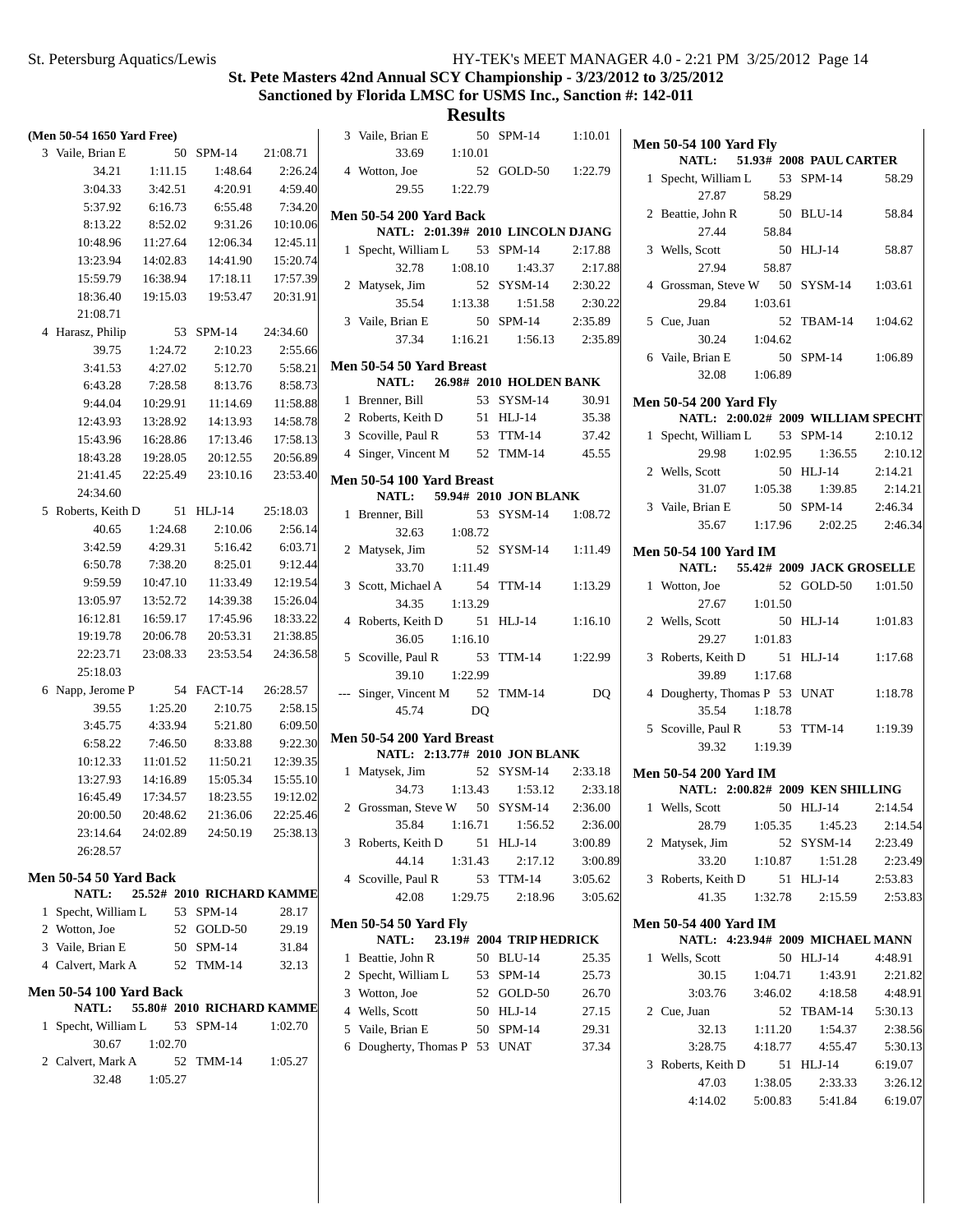|                | (Men 50-54 1650 Yard Free)                    |          |                           |                   |     |
|----------------|-----------------------------------------------|----------|---------------------------|-------------------|-----|
|                | 3 Vaile, Brian E                              | 50       | $SPM-14$                  | 21:08.71          |     |
|                | 34.21                                         | 1:11.15  | 1:48.64                   | 2:26.24           |     |
|                | 3:04.33                                       | 3:42.51  | 4:20.91                   | 4:59.40           |     |
|                | 5:37.92                                       | 6:16.73  | 6:55.48                   | 7:34.20           |     |
|                | 8:13.22                                       | 8:52.02  | 9:31.26                   | 10:10.06          | IV. |
|                | 10:48.96                                      | 11:27.64 | 12:06.34                  | 12:45.11          |     |
|                | 13:23.94                                      | 14:02.83 | 14:41.90                  | 15:20.74          |     |
|                | 15:59.79                                      |          | 16:38.94 17:18.11         | 17:57.39          |     |
|                | 18:36.40                                      | 19:15.03 |                           | 19:53.47 20:31.91 |     |
|                | 21:08.71                                      |          |                           |                   |     |
| $\overline{4}$ | Harasz, Philip                                | 53       | $SPM-14$                  | 24:34.60          |     |
|                | 39.75                                         | 1:24.72  | 2:10.23                   | 2:55.66           |     |
|                | 3:41.53                                       | 4:27.02  | 5:12.70                   | 5:58.21           | IV. |
|                | 6:43.28                                       | 7:28.58  | 8:13.76                   | 8:58.73           |     |
|                | 9:44.04                                       | 10:29.91 | 11:14.69                  | 11:58.88          |     |
|                | 12:43.93                                      | 13:28.92 | 14:13.93                  | 14:58.78          |     |
|                | 15:43.96                                      | 16:28.86 | 17:13.46                  | 17:58.13          |     |
|                | 18:43.28                                      | 19:28.05 | 20:12.55                  | 20:56.89          |     |
|                | 21:41.45                                      |          | 22:25.49 23:10.16         | 23:53.40          |     |
|                | 24:34.60                                      |          |                           |                   | IV. |
| 5              | Roberts, Keith D                              | 51       | $HLJ-14$                  | 25:18.03          |     |
|                | 40.65                                         | 1:24.68  | 2:10.06                   | 2:56.14           |     |
|                | 3:42.59                                       | 4:29.31  | 5:16.42                   | 6:03.71           |     |
|                | 6:50.78                                       | 7:38.20  | 8:25.01                   | 9:12.44           |     |
|                | 9:59.59                                       | 10:47.10 | 11:33.49                  | 12:19.54          |     |
|                | 13:05.97                                      | 13:52.72 | 14:39.38                  | 15:26.04          |     |
|                | 16:12.81                                      | 16:59.17 | 17:45.96                  | 18:33.22          |     |
|                | 19:19.78                                      | 20:06.78 | 20:53.31                  | 21:38.85          |     |
|                | 22:23.71                                      | 23:08.33 | 23:53.54                  | 24:36.58          |     |
|                | 25:18.03                                      |          |                           |                   |     |
| 6              | Napp, Jerome P                                | 54       | FACT-14                   | 26:28.57          |     |
|                | 39.55                                         | 1:25.20  | 2:10.75                   | 2:58.15           |     |
|                | 3:45.75                                       | 4:33.94  | 5:21.80                   | 6:09.50           |     |
|                | 6:58.22                                       | 7:46.50  | 8:33.88                   | 9:22.30           |     |
|                | 10:12.33                                      |          | 11:01.52   11:50.21       | 12:39.35          |     |
|                | 13:27.93                                      |          | 14:16.89  15:05.34        | 15:55.10          |     |
|                | 16:45.49                                      | 17:34.57 | 18:23.55                  | 19:12.02          |     |
|                | 20:00.50                                      | 20:48.62 | 21:36.06                  | 22:25.46          |     |
|                | 23:14.64                                      |          | 24:02.89 24:50.19         | 25:38.13          |     |
|                | 26:28.57                                      |          |                           |                   |     |
|                |                                               |          |                           |                   |     |
|                | <b>Men 50-54 50 Yard Back</b><br><b>NATL:</b> |          | 25.52# 2010 RICHARD KAMME |                   |     |
|                | 1 Specht, William L 53 SPM-14                 |          |                           | 28.17             |     |
|                | 2 Wotton, Joe                                 |          |                           |                   | N.  |
|                | 3 Vaile, Brian E                              |          | 52 GOLD-50<br>50 SPM-14   | 29.19             |     |
|                | 4 Calvert, Mark A                             |          | 52 TMM-14                 | 31.84<br>32.13    |     |
|                |                                               |          |                           |                   |     |
|                | <b>Men 50-54 100 Yard Back</b>                |          |                           |                   |     |
|                | <b>NATL:</b>                                  |          | 55.80# 2010 RICHARD KAMME |                   |     |
| 1              | Specht, William L                             |          | 53 SPM-14                 | 1:02.70           |     |
|                | 30.67                                         | 1:02.70  |                           |                   |     |
|                | 2 Calvert, Mark A                             |          | 52 TMM-14                 | 1:05.27           |     |
|                | 32.48                                         | 1:05.27  |                           |                   |     |
|                |                                               |          |                           |                   |     |

|   | 3 Vaile, Brian E<br>33.69 1:10.01            |         | 50 | $SPM-14$                      | 1:10.01        |
|---|----------------------------------------------|---------|----|-------------------------------|----------------|
|   | 4 Wotton, Joe                                |         | 52 | GOLD-50 1:22.79               |                |
|   | 29.55 1:22.79                                |         |    |                               |                |
|   | <b>Men 50-54 200 Yard Back</b>               |         |    |                               |                |
|   | NATL: 2:01.39# 2010 LINCOLN DJANG            |         |    |                               |                |
|   | 1 Specht, William L 53 SPM-14                |         |    |                               | 2:17.88        |
|   | 32.78 1:08.10                                |         |    | 1:43.37                       | 2:17.88        |
|   | 2 Matysek, Jim                               |         |    | 52 SYSM-14 2:30.22            |                |
|   | 35.54 1:13.38                                |         |    | 1:51.58                       | 2:30.22        |
|   | 3 Vaile, Brian E                             |         |    | 50 SPM-14 2:35.89             |                |
|   |                                              |         |    | 37.34 1:16.21 1:56.13 2:35.89 |                |
|   | Men 50-54 50 Yard Breast                     |         |    |                               |                |
|   | NATL: 26.98# 2010 HOLDEN BANK                |         |    |                               |                |
|   | 1 Brenner, Bill                              |         |    | 53 SYSM-14                    | 30.91          |
|   | 2 Roberts, Keith D 51 HLJ-14                 |         |    |                               | 35.38          |
|   | 3 Scoville, Paul R 53 TTM-14 37.42           |         |    |                               |                |
|   | 4 Singer, Vincent M 52 TMM-14 45.55          |         |    |                               |                |
|   | Men 50-54 100 Yard Breast                    |         |    |                               |                |
|   | NATL: 59.94# 2010 JON BLANK                  |         |    |                               |                |
| 1 | Brenner, Bill                                |         |    | 53 SYSM-14 1:08.72            |                |
|   | 32.63 1:08.72                                |         |    |                               |                |
|   | 2 Matysek, Jim                               |         |    | 52 SYSM-14 1:11.49            |                |
|   | $33.70$ 1:11.49                              |         |    |                               |                |
|   | 3 Scott, Michael A                           |         |    | 54 TTM-14                     | 1:13.29        |
|   | 34.35                                        | 1:13.29 |    |                               |                |
|   | 4 Roberts, Keith D 51 HLJ-14                 |         |    |                               | 1:16.10        |
|   | 36.05                                        | 1:16.10 |    |                               |                |
|   | 5 Scoville, Paul R                           |         |    | 53 TTM-14 1:22.99             |                |
|   | 39.10                                        | 1:22.99 |    |                               |                |
|   | --- Singer, Vincent M 52 TMM-14              |         |    |                               | DQ             |
|   | 45.74                                        |         | DO |                               |                |
|   | Men 50-54 200 Yard Breast                    |         |    |                               |                |
|   | NATL: 2:13.77# 2010 JON BLANK                |         |    |                               |                |
|   | 1 Matysek, Jim                               |         |    | 52 SYSM-14 2:33.18            |                |
|   |                                              |         |    | 34.73 1:13.43 1:53.12         | 2:33.18        |
|   | 2 Grossman, Steve W 50 SYSM-14 2:36.00       |         |    |                               |                |
|   | 35.84                                        | 1:16.71 |    | 1:56.52                       | 2:36.00        |
| 3 | Roberts, Keith D                             |         | 51 | $HLJ-14$                      | 3:00.89        |
|   | 44.14                                        | 1:31.43 |    | 2:17.12                       | 3:00.89        |
|   | 4 Scoville, Paul R                           |         | 53 | <b>TTM-14</b>                 | 3:05.62        |
|   | 42.08                                        | 1:29.75 |    | 2:18.96                       | 3:05.62        |
|   |                                              |         |    |                               |                |
|   | <b>Men 50-54 50 Yard Fly</b><br><b>NATL:</b> |         |    | 23.19# 2004 TRIP HEDRICK      |                |
| 1 | Beattie, John R                              |         |    | 50 BLU-14                     | 25.35          |
|   | 2 Specht, William L                          |         |    | 53 SPM-14                     | 25.73          |
|   | 3 Wotton, Joe                                |         |    | 52 GOLD-50                    | 26.70          |
|   | 4 Wells, Scott                               |         |    | 50 HLJ-14                     | 27.15          |
|   | 5 Vaile, Brian E                             |         |    | 50 SPM-14                     |                |
|   | 6 Dougherty, Thomas P 53 UNAT                |         |    |                               | 29.31<br>37.34 |
|   |                                              |         |    |                               |                |
|   |                                              |         |    |                               |                |
|   |                                              |         |    |                               |                |

|              | <b>Men 50-54 100 Yard Fly</b>                                       |         |    |                               |                 |
|--------------|---------------------------------------------------------------------|---------|----|-------------------------------|-----------------|
|              | NATL: 51.93# 2008 PAUL CARTER                                       |         |    |                               |                 |
| 1            | Specht, William L 53 SPM-14<br>27.87                                | 58.29   |    |                               | 58.29           |
|              | 2 Beattie, John R                                                   |         |    | 50 BLU-14                     | 58.84           |
|              | 27.44<br>3 Wells, Scott                                             | 58.84   |    | 50 HLJ-14                     | 58.87           |
|              | 27.94                                                               | 58.87   |    |                               |                 |
|              | 4 Grossman, Steve W 50 SYSM-14<br>29.84 1:03.61                     |         |    |                               | 1:03.61         |
|              | 5 Cue, Juan                                                         |         |    | 52 TBAM-14 1:04.62            |                 |
|              | 30.24 1:04.62<br>6 Vaile, Brian E                                   |         |    | 50 SPM-14 1:06.89             |                 |
|              | 32.08                                                               | 1:06.89 |    |                               |                 |
|              | <b>Men 50-54 200 Yard Fly</b><br>NATL: 2:00.02# 2009 WILLIAM SPECHT |         |    |                               |                 |
| $\mathbf{1}$ | Specht, William L 53 SPM-14                                         |         |    |                               | 2:10.12         |
|              |                                                                     |         |    |                               |                 |
|              | 29.98 1:02.95                                                       |         |    |                               | 1:36.55 2:10.12 |
|              | 2 Wells, Scott                                                      |         |    | 50 HLJ-14 2:14.21             |                 |
|              | 31.07 1:05.38                                                       |         |    | 1:39.85                       | 2:14.21         |
|              | 3 Vaile, Brian E                                                    |         |    | 50 SPM-14 2:46.34             |                 |
|              |                                                                     |         |    | 35.67 1:17.96 2:02.25 2:46.34 |                 |
|              | <b>Men 50-54 100 Yard IM</b><br>NATL: 55.42# 2009 JACK GROSELLE     |         |    |                               |                 |
| 1            | Wotton, Joe                                                         |         | 52 | GOLD-50 1:01.50               |                 |
|              | 27.67 1:01.50                                                       |         |    |                               |                 |
| $\mathbf{2}$ | Wells, Scott<br>29.27 1:01.83                                       |         | 50 | $HLJ-14$                      | 1:01.83         |
|              | 3 Roberts, Keith D                                                  |         |    | 51 HLJ-14                     | 1:17.68         |
|              | 39.89                                                               | 1:17.68 |    |                               |                 |
|              | 4 Dougherty, Thomas P 53 UNAT                                       |         |    |                               | 1:18.78         |
|              | 35.54                                                               | 1:18.78 |    |                               |                 |
|              | 5 Scoville, Paul R                                                  |         | 53 | TTM-14 1:19.39                |                 |
|              | 39.32 1:19.39                                                       |         |    |                               |                 |
|              | Men 50-54 200 Yard IM<br>NATL: 2:00.82# 2009 KEN SHILLING           |         |    |                               |                 |
|              | 1 Wells, Scott                                                      |         |    | 50 HLJ-14                     | 2:14.54         |
|              |                                                                     |         |    | 28.79 1:05.35 1:45.23         | 2:14.54         |
|              | 2 Matysek, Jim                                                      |         |    | 52 SYSM-14                    | 2:23.49         |
|              | 33.20                                                               | 1:10.87 |    | 1:51.28                       | 2:23.49         |
| 3            | Roberts, Keith D                                                    |         |    | 51 HLJ-14                     | 2:53.83         |
|              | 41.35                                                               |         |    | 1:32.78 2:15.59               | 2:53.83         |
|              | <b>Men 50-54 400 Yard IM</b><br>NATL: 4:23.94# 2009 MICHAEL MANN    |         |    |                               |                 |
| 1            | Wells, Scott                                                        |         |    | 50 HLJ-14                     | 4:48.91         |
|              |                                                                     |         |    |                               |                 |
|              | 30.15 1:04.71                                                       |         |    | 1:43.91                       | 2:21.82         |
|              | 3:03.76                                                             |         |    | $3:46.02$ $4:18.58$           | 4:48.91         |
|              | 2 Cue, Juan                                                         |         |    | 52 TBAM-14                    | 5:30.13         |
|              | 32.13 1:11.20                                                       |         |    | 1:54.37                       | 2:38.56         |
|              | 3:28.75                                                             | 4:18.77 |    | 4:55.47                       | 5:30.13         |
|              | 3 Roberts, Keith D                                                  |         |    | 51 HLJ-14                     | 6:19.07         |
|              | 47.03                                                               | 1:38.05 |    | 2:33.33                       | 3:26.12         |
|              | 4:14.02                                                             |         |    | 5:00.83 5:41.84 6:19.07       |                 |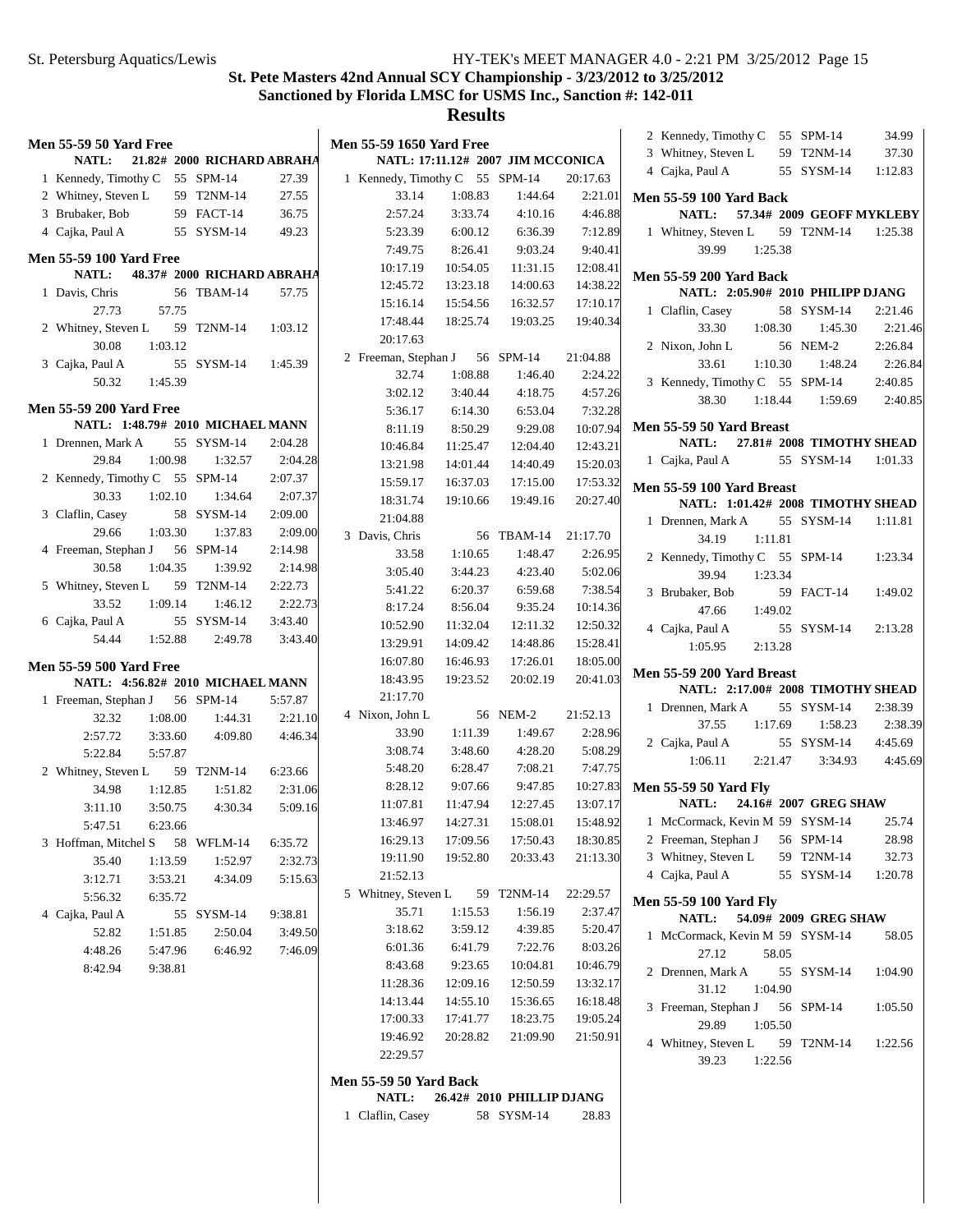$2:21.46$ 2:21.46  $2:26.84$ 2:26.84  $2:40.85$ 2:40.85

# **St. Pete Masters 42nd Annual SCY Championship - 3/23/2012 to 3/25/2012 Sanctioned by Florida LMSC for USMS Inc., Sanction #: 142-011**

| <b>Men 55-59 50 Yard Free</b><br><b>NATL:</b> | 21.82# 2000 RICHARD ABRAHA | <b>Men 55-59 1650 Yard Free</b> |          | NATL: 17:11.12# 2007 JIM MCCONICA |          | 2 Kennedy, Timothy C 55 SPM-14<br>34.99<br>3 Whitney, Steven L<br>59 T2NM-14<br>37.30 |
|-----------------------------------------------|----------------------------|---------------------------------|----------|-----------------------------------|----------|---------------------------------------------------------------------------------------|
| 1 Kennedy, Timothy C 55 SPM-14                | 27.39                      | 1 Kennedy, Timothy C 55 SPM-14  |          |                                   | 20:17.63 | 4 Cajka, Paul A<br>55 SYSM-14<br>1:12.83                                              |
| 2 Whitney, Steven L                           | 59 T2NM-14<br>27.55        | 33.14                           | 1:08.83  | 1:44.64                           | 2:21.01  | <b>Men 55-59 100 Yard Back</b>                                                        |
| 59 FACT-14<br>3 Brubaker, Bob                 | 36.75                      | 2:57.24                         | 3:33.74  | 4:10.16                           | 4:46.88  | 57.34# 2009 GEOFF MYKLEBY<br><b>NATL:</b>                                             |
| 4 Cajka, Paul A                               | 49.23<br>55 SYSM-14        | 5:23.39                         | 6:00.12  | 6:36.39                           | 7:12.89  | 1 Whitney, Steven L<br>59 T2NM-14<br>1:25.38                                          |
|                                               |                            | 7:49.75                         | 8:26.41  | 9:03.24                           | 9:40.41  | 39.99<br>1:25.38                                                                      |
| <b>Men 55-59 100 Yard Free</b>                |                            | 10:17.19                        | 10:54.05 | 11:31.15                          | 12:08.41 |                                                                                       |
| <b>NATL:</b>                                  | 48.37# 2000 RICHARD ABRAHA | 12:45.72                        | 13:23.18 | 14:00.63                          | 14:38.22 | <b>Men 55-59 200 Yard Back</b>                                                        |
| 1 Davis, Chris                                | 56 TBAM-14<br>57.75        | 15:16.14                        | 15:54.56 | 16:32.57                          | 17:10.17 | NATL: 2:05.90# 2010 PHILIPP DJANG                                                     |
| 27.73<br>57.75                                | 1:03.12                    | 17:48.44                        | 18:25.74 | 19:03.25                          | 19:40.34 | 1 Claflin, Casey<br>58 SYSM-14<br>2:21.46                                             |
| 2 Whitney, Steven L                           | 59 T2NM-14                 | 20:17.63                        |          |                                   |          | 33.30<br>1:08.30<br>1:45.30<br>2:21.46                                                |
| 1:03.12<br>30.08                              |                            | 2 Freeman, Stephan J            |          | 56 SPM-14                         | 21:04.88 | 2:26.84<br>2 Nixon, John L<br>56 NEM-2                                                |
| 3 Cajka, Paul A                               | 55 SYSM-14<br>1:45.39      | 32.74                           | 1:08.88  | 1:46.40                           | 2:24.22  | 33.61<br>1:10.30<br>1:48.24<br>2:26.84                                                |
| 1:45.39<br>50.32                              |                            | 3:02.12                         | 3:40.44  | 4:18.75                           | 4:57.26  | 3 Kennedy, Timothy C 55 SPM-14<br>2:40.85                                             |
| <b>Men 55-59 200 Yard Free</b>                |                            | 5:36.17                         | 6:14.30  | 6:53.04                           | 7:32.28  | 38.30<br>2:40.85<br>1:18.44<br>1:59.69                                                |
| NATL: 1:48.79# 2010 MICHAEL MANN              |                            | 8:11.19                         | 8:50.29  | 9:29.08                           | 10:07.94 | Men 55-59 50 Yard Breast                                                              |
| 1 Drennen, Mark A                             | 55 SYSM-14<br>2:04.28      | 10:46.84                        | 11:25.47 | 12:04.40                          | 12:43.21 | 27.81# 2008 TIMOTHY SHEAD<br><b>NATL:</b>                                             |
| 1:00.98<br>29.84                              | 1:32.57<br>2:04.28         | 13:21.98                        | 14:01.44 | 14:40.49                          | 15:20.03 | 1 Cajka, Paul A<br>55 SYSM-14<br>1:01.33                                              |
| 2 Kennedy, Timothy C 55 SPM-14                | 2:07.37                    | 15:59.17                        | 16:37.03 | 17:15.00                          | 17:53.32 |                                                                                       |
| 30.33<br>1:02.10                              | 2:07.37<br>1:34.64         | 18:31.74                        | 19:10.66 | 19:49.16                          | 20:27.40 | Men 55-59 100 Yard Breast<br>NATL: 1:01.42# 2008 TIMOTHY SHEAD                        |
| 3 Claflin, Casey                              | 58 SYSM-14<br>2:09.00      | 21:04.88                        |          |                                   |          | 1 Drennen, Mark A<br>55 SYSM-14<br>1:11.81                                            |
| 29.66<br>1:03.30                              | 1:37.83<br>2:09.00         | 3 Davis, Chris                  |          | 56 TBAM-14                        | 21:17.70 | 34.19<br>1:11.81                                                                      |
| 4 Freeman, Stephan J<br>56 SPM-14             | 2:14.98                    | 33.58                           | 1:10.65  | 1:48.47                           | 2:26.95  |                                                                                       |
| 30.58<br>1:04.35                              | 1:39.92<br>2:14.98         | 3:05.40                         | 3:44.23  | 4:23.40                           | 5:02.06  | 2 Kennedy, Timothy C 55 SPM-14<br>1:23.34<br>39.94<br>1:23.34                         |
| 5 Whitney, Steven L                           | 2:22.73<br>59 T2NM-14      | 5:41.22                         | 6:20.37  | 6:59.68                           | 7:38.54  |                                                                                       |
| 33.52<br>1:09.14                              | 2:22.73<br>1:46.12         | 8:17.24                         | 8:56.04  | 9:35.24                           | 10:14.36 | 3 Brubaker, Bob<br>59 FACT-14<br>1:49.02<br>1:49.02                                   |
| 6 Cajka, Paul A                               | 55 SYSM-14<br>3:43.40      | 10:52.90                        | 11:32.04 | 12:11.32                          | 12:50.32 | 47.66                                                                                 |
| 1:52.88<br>54.44                              | 2:49.78<br>3:43.40         | 13:29.91                        | 14:09.42 | 14:48.86                          | 15:28.41 | 4 Cajka, Paul A<br>55 SYSM-14<br>2:13.28                                              |
|                                               |                            | 16:07.80                        | 16:46.93 | 17:26.01                          | 18:05.00 | 2:13.28<br>1:05.95                                                                    |
| <b>Men 55-59 500 Yard Free</b>                |                            | 18:43.95                        | 19:23.52 | 20:02.19                          | 20:41.03 | Men 55-59 200 Yard Breast                                                             |
| NATL: 4:56.82# 2010 MICHAEL MANN              |                            | 21:17.70                        |          |                                   |          | NATL: 2:17.00# 2008 TIMOTHY SHEAD                                                     |
| 1 Freeman, Stephan J<br>56 SPM-14             | 5:57.87                    | 4 Nixon, John L                 |          | 56 NEM-2                          | 21:52.13 | 1 Drennen, Mark A<br>55 SYSM-14<br>2:38.39                                            |
| 1:08.00<br>32.32                              |                            |                                 |          |                                   |          |                                                                                       |
|                                               | 2:21.10<br>1:44.31         |                                 |          |                                   |          | 37.55<br>1:17.69<br>2:38.39<br>1:58.23                                                |
| 2:57.72<br>3:33.60                            | 4:46.34<br>4:09.80         | 33.90                           | 1:11.39  | 1:49.67                           | 2:28.96  | 2 Cajka, Paul A<br>55 SYSM-14<br>4:45.69                                              |
| 5:22.84<br>5:57.87                            |                            | 3:08.74                         | 3:48.60  | 4:28.20                           | 5:08.29  | 4:45.69<br>1:06.11<br>2:21.47<br>3:34.93                                              |
| 2 Whitney, Steven L                           | 59 T2NM-14<br>6:23.66      | 5:48.20                         | 6:28.47  | 7:08.21                           | 7:47.75  |                                                                                       |
| 34.98<br>1:12.85                              | 1:51.82<br>2:31.06         | 8:28.12                         | 9:07.66  | 9:47.85                           | 10:27.83 | <b>Men 55-59 50 Yard Fly</b>                                                          |
| 3:11.10<br>3:50.75                            | 4:30.34<br>5:09.16         | 11:07.81                        | 11:47.94 | 12:27.45                          | 13:07.17 | <b>NATL:</b><br>24.16# 2007 GREG SHAW                                                 |
| 5:47.51<br>6:23.66                            |                            | 13:46.97                        | 14:27.31 | 15:08.01                          | 15:48.92 | 25.74<br>1 McCormack, Kevin M 59 SYSM-14                                              |
| 3 Hoffman, Mitchel S                          | 58 WFLM-14<br>6:35.72      | 16:29.13                        | 17:09.56 | 17:50.43                          | 18:30.85 | 2 Freeman, Stephan J<br>56 SPM-14<br>28.98                                            |
| 35.40<br>1:13.59                              | 2:32.73<br>1:52.97         | 19:11.90                        | 19:52.80 | 20:33.43                          | 21:13.30 | 3 Whitney, Steven L<br>59 T2NM-14<br>32.73                                            |
| 3:12.71<br>3:53.21                            | 4:34.09<br>5:15.63         | 21:52.13                        |          |                                   |          | 4 Cajka, Paul A<br>55 SYSM-14<br>1:20.78                                              |
| 5:56.32<br>6:35.72                            |                            | 5 Whitney, Steven L             |          | 59 T2NM-14                        | 22:29.57 | <b>Men 55-59 100 Yard Fly</b>                                                         |
| 4 Cajka, Paul A                               | 9:38.81<br>55 SYSM-14      | 35.71                           | 1:15.53  | 1:56.19                           | 2:37.47  | 54.09# 2009 GREG SHAW<br><b>NATL:</b>                                                 |
| 52.82<br>1:51.85                              | 2:50.04<br>3:49.50         | 3:18.62                         | 3:59.12  | 4:39.85                           | 5:20.47  | 1 McCormack, Kevin M 59 SYSM-14<br>58.05                                              |
| 4:48.26<br>5:47.96                            | 6:46.92<br>7:46.09         | 6:01.36                         | 6:41.79  | 7:22.76                           | 8:03.26  | 27.12<br>58.05                                                                        |
| 8:42.94<br>9:38.81                            |                            | 8:43.68                         | 9:23.65  | 10:04.81                          | 10:46.79 | 2 Drennen, Mark A<br>55 SYSM-14<br>1:04.90                                            |
|                                               |                            | 11:28.36                        | 12:09.16 | 12:50.59                          | 13:32.17 | 31.12<br>1:04.90                                                                      |
|                                               |                            | 14:13.44                        | 14:55.10 | 15:36.65                          | 16:18.48 | 3 Freeman, Stephan J<br>56 SPM-14<br>1:05.50                                          |
|                                               |                            | 17:00.33                        | 17:41.77 | 18:23.75                          | 19:05.24 | 29.89<br>1:05.50                                                                      |
|                                               |                            | 19:46.92                        | 20:28.82 | 21:09.90                          | 21:50.91 | 4 Whitney, Steven L<br>59 T2NM-14<br>1:22.56                                          |
|                                               |                            | 22:29.57                        |          |                                   |          | 39.23<br>1:22.56                                                                      |
|                                               |                            | <b>Men 55-59 50 Yard Back</b>   |          |                                   |          |                                                                                       |
|                                               |                            | NATL:                           |          | 26.42# 2010 PHILLIP DJANG         |          |                                                                                       |
|                                               |                            | 1 Claflin, Casey                |          | 58 SYSM-14                        | 28.83    |                                                                                       |
|                                               |                            |                                 |          |                                   |          |                                                                                       |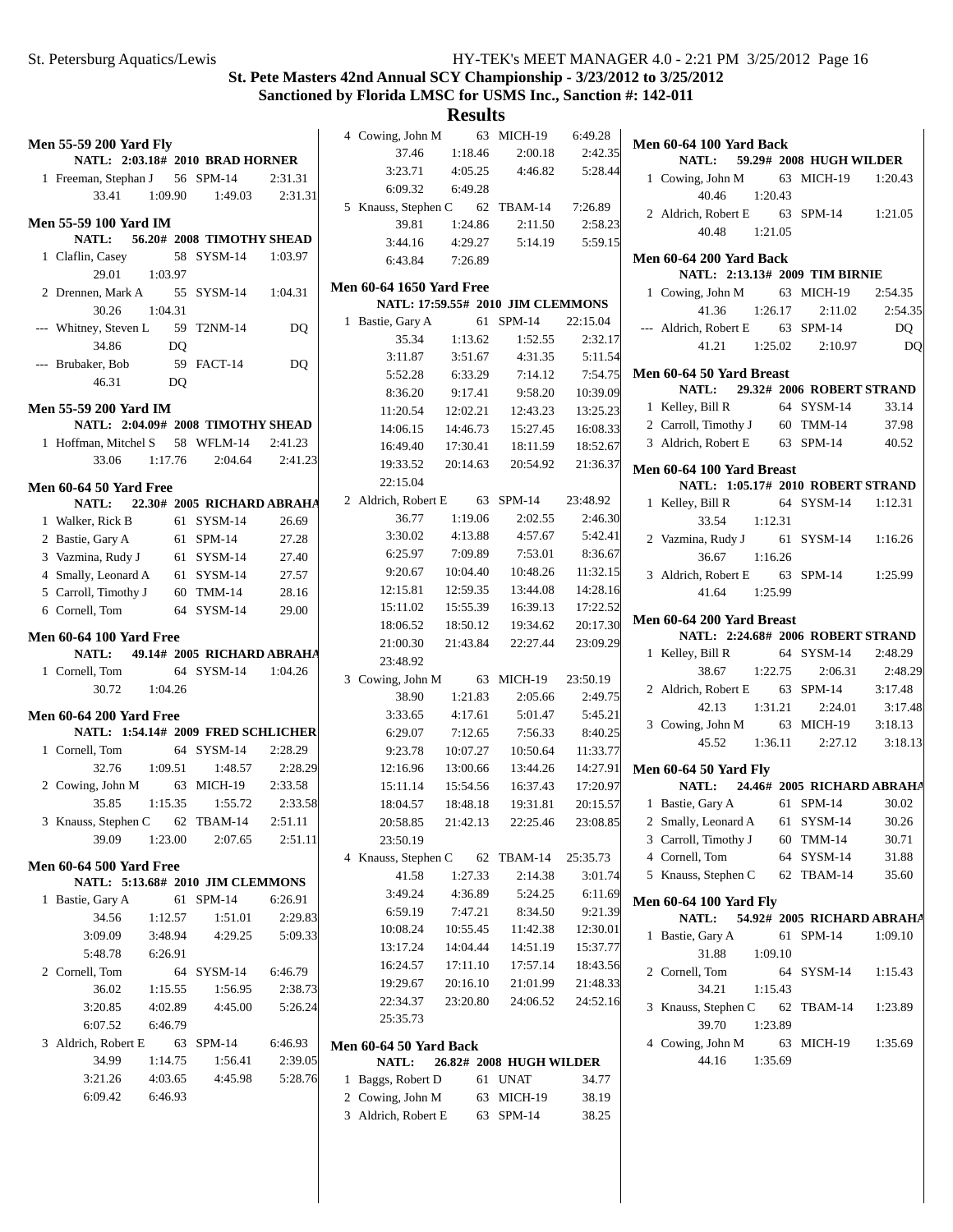## **Results**

| Men 55-59 200 Yard Fly                                                                                                                                                                    |                    |                                                          |         |
|-------------------------------------------------------------------------------------------------------------------------------------------------------------------------------------------|--------------------|----------------------------------------------------------|---------|
|                                                                                                                                                                                           |                    | NATL: 2:03.18# 2010 BRAD HORNER                          |         |
| 1 Freeman, Stephan J 56 SPM-14 2:31.31                                                                                                                                                    |                    |                                                          |         |
|                                                                                                                                                                                           |                    | 33.41   1:09.90   1:49.03   2:31.31                      |         |
| Men 55-59 100 Yard IM                                                                                                                                                                     |                    |                                                          |         |
|                                                                                                                                                                                           |                    | NATL: 56.20# 2008 TIMOTHY SHEAD                          |         |
| 1 Claflin, Casey                                                                                                                                                                          |                    | 58 SYSM-14 1:03.97                                       |         |
|                                                                                                                                                                                           | $29.01$ 1:03.97    |                                                          |         |
| 2 Drennen, Mark A 55 SYSM-14 1:04.31                                                                                                                                                      |                    |                                                          |         |
|                                                                                                                                                                                           | 30.26 1:04.31      |                                                          |         |
| --- Whitney, Steven L 59 T2NM-14                                                                                                                                                          |                    |                                                          | DQ      |
|                                                                                                                                                                                           | 34.86 DQ           |                                                          |         |
| --- Brubaker, Bob                                                                                                                                                                         |                    | 59 FACT-14                                               | DQ      |
|                                                                                                                                                                                           | 46.31 DQ           |                                                          |         |
|                                                                                                                                                                                           |                    |                                                          |         |
| <b>Men 55-59 200 Yard IM</b>                                                                                                                                                              |                    |                                                          |         |
| 1 Hoffman, Mitchel S 58 WFLM-14 2:41.23                                                                                                                                                   |                    | NATL: 2:04.09# 2008 TIMOTHY SHEAD                        |         |
|                                                                                                                                                                                           |                    | 33.06 1:17.76 2:04.64 2:41.23                            |         |
|                                                                                                                                                                                           |                    |                                                          |         |
| <b>Men 60-64 50 Yard Free</b>                                                                                                                                                             |                    |                                                          |         |
|                                                                                                                                                                                           |                    | NATL: 22.30# 2005 RICHARD ABRAHA                         |         |
| 1 Walker, Rick B 61 SYSM-14 26.69                                                                                                                                                         |                    |                                                          |         |
| 2 Bastie, Gary A 61 SPM-14 27.28<br>3 Vazmina, Rudy J 61 SYSM-14 27.40<br>4 Smally, Leonard A 61 SYSM-14 27.57<br>5 Carroll, Timothy J 60 TMM-14 28.16<br>6 Cornell, Tom 64 SYSM-14 29.00 |                    |                                                          |         |
|                                                                                                                                                                                           |                    |                                                          |         |
|                                                                                                                                                                                           |                    |                                                          |         |
|                                                                                                                                                                                           |                    |                                                          |         |
|                                                                                                                                                                                           |                    |                                                          |         |
|                                                                                                                                                                                           |                    |                                                          |         |
| <b>Men 60-64 100 Yard Free</b>                                                                                                                                                            |                    |                                                          |         |
|                                                                                                                                                                                           |                    | NATL: 49.14# 2005 RICHARD ABRAHA                         |         |
| 1 Cornell, Tom 64 SYSM-14 1:04.26                                                                                                                                                         |                    |                                                          |         |
|                                                                                                                                                                                           | 30.72  1:04.26     |                                                          |         |
|                                                                                                                                                                                           |                    |                                                          |         |
| <b>Men 60-64 200 Yard Free</b>                                                                                                                                                            |                    |                                                          |         |
| 1 Cornell, Tom                                                                                                                                                                            |                    | NATL: 1:54.14# 2009 FRED SCHLICHER<br>64 SYSM-14 2:28.29 |         |
|                                                                                                                                                                                           |                    |                                                          | 2:28.29 |
| 2 Cowing, John M 63 MICH-19 2:33.58                                                                                                                                                       |                    | 32.76 1:09.51 1:48.57                                    |         |
|                                                                                                                                                                                           |                    | 35.85 1:15.35 1:55.72 2:33.58                            |         |
|                                                                                                                                                                                           |                    |                                                          |         |
| 3 Knauss, Stephen C 62 TBAM-14 2:51.11                                                                                                                                                    |                    | 39.09 1:23.00 2:07.65 2:51.11                            |         |
|                                                                                                                                                                                           |                    |                                                          |         |
| <b>Men 60-64 500 Yard Free</b>                                                                                                                                                            |                    |                                                          |         |
|                                                                                                                                                                                           |                    | NATL: 5:13.68# 2010 JIM CLEMMONS                         |         |
| 1 Bastie, Gary A                                                                                                                                                                          |                    | 61 SPM-14                                                | 6:26.91 |
| 34.56                                                                                                                                                                                     | 1:12.57            | 1:51.01                                                  | 2:29.83 |
|                                                                                                                                                                                           |                    | 3:09.09 3:48.94 4:29.25 5:09.33                          |         |
|                                                                                                                                                                                           | 5:48.78 6:26.91    |                                                          |         |
| 2 Cornell, Tom                                                                                                                                                                            |                    | 64 SYSM-14 6:46.79                                       |         |
|                                                                                                                                                                                           | 36.02 1:15.55      | 1:56.95                                                  | 2:38.73 |
| 3:20.85                                                                                                                                                                                   | 4:02.89            | 4:45.00                                                  | 5:26.24 |
|                                                                                                                                                                                           | 6:07.52 6:46.79    |                                                          |         |
| 3 Aldrich, Robert E 63 SPM-14                                                                                                                                                             |                    |                                                          | 6:46.93 |
| 34.99                                                                                                                                                                                     | 1:14.75            | 1:56.41                                                  | 2:39.05 |
| 3:21.26<br>6:09.42                                                                                                                                                                        | 4:03.65<br>6:46.93 | 4:45.98                                                  | 5:28.76 |

|              | 4 Cowing, John M 63 MICH-19            |          |                                           | 6:49.28           |
|--------------|----------------------------------------|----------|-------------------------------------------|-------------------|
|              | 37.46                                  | 1:18.46  | 2:00.18                                   | 2:42.35           |
|              |                                        |          | 3:23.71 4:05.25 4:46.82 5:28.44           |                   |
|              | 6:09.32 6:49.28                        |          |                                           |                   |
|              | 5 Knauss, Stephen C 62 TBAM-14 7:26.89 |          |                                           |                   |
|              |                                        |          | 39.81   1:24.86   2:11.50   2:58.23       |                   |
|              |                                        |          | 3:44.16  4:29.27  5:14.19  5:59.15        |                   |
|              | 6:43.84 7:26.89                        |          |                                           |                   |
|              | <b>Men 60-64 1650 Yard Free</b>        |          |                                           |                   |
|              |                                        |          | NATL: 17:59.55# 2010 JIM CLEMMONS         |                   |
| $\mathbf{1}$ | Bastie, Gary A 61 SPM-14 22:15.04      |          |                                           |                   |
|              | 35.34                                  |          | $1:13.62$ $1:52.55$                       | 2:32.17           |
|              |                                        |          |                                           |                   |
|              |                                        |          | 5:52.28 6:33.29 7:14.12 7:54.75           |                   |
|              |                                        |          | 8:36.20  9:17.41  9:58.20  10:39.09       |                   |
|              |                                        |          | 11:20.54   12:02.21   12:43.23   13:25.23 |                   |
|              |                                        |          | 14:06.15  14:46.73  15:27.45  16:08.33    |                   |
|              |                                        |          | 16:49.40  17:30.41  18:11.59  18:52.67    |                   |
|              |                                        |          | 19:33.52  20:14.63  20:54.92  21:36.37    |                   |
|              | 22:15.04                               |          |                                           |                   |
|              | 2 Aldrich, Robert E 63 SPM-14 23:48.92 |          |                                           |                   |
|              | 36.77                                  | 1:19.06  | 2:02.55                                   | 2:46.30           |
|              |                                        |          | $3:30.02$ $4:13.88$ $4:57.67$ $5:42.41$   |                   |
|              |                                        |          | 6:25.97 7:09.89 7:53.01 8:36.67           |                   |
|              |                                        |          | 9:20.67  10:04.40  10:48.26  11:32.15     |                   |
|              |                                        |          | 12:15.81  12:59.35  13:44.08  14:28.16    |                   |
|              |                                        |          | 15:11.02  15:55.39  16:39.13  17:22.52    |                   |
|              |                                        |          | 18:06.52  18:50.12  19:34.62  20:17.30    |                   |
|              |                                        |          | 21:00.30 21:43.84 22:27.44 23:09.29       |                   |
|              | 23:48.92                               |          |                                           |                   |
|              | 3 Cowing, John M 63 MICH-19 23:50.19   |          |                                           |                   |
|              | 38.90                                  | 1:21.83  | 2:05.66                                   | 2:49.75           |
|              | 3:33.65                                | 4:17.61  | 5:01.47                                   | 5:45.21           |
|              | $6:29.07$ $7:12.65$                    |          |                                           | $7:56.33$ 8:40.25 |
|              |                                        |          | 9:23.78  10:07.27  10:50.64  11:33.77     |                   |
|              |                                        |          | 12:16.96  13:00.66  13:44.26  14:27.91    |                   |
|              |                                        |          | 15:11.14  15:54.56  16:37.43  17:20.97    |                   |
|              |                                        |          | 18:04.57  18:48.18  19:31.81  20:15.57    |                   |
|              | 20:58.85<br>23:50.19                   |          | 21:42.13 22:25.46                         | 23:08.85          |
|              | 4 Knauss, Stephen C 62 TBAM-14         |          |                                           | 25:35.73          |
|              | 41.58                                  | 1:27.33  | 2:14.38                                   | 3:01.74           |
|              | 3:49.24                                | 4:36.89  | 5:24.25                                   | 6:11.69           |
|              | 6:59.19                                | 7:47.21  | 8:34.50                                   | 9:21.39           |
|              | 10:08.24                               | 10:55.45 | 11:42.38                                  | 12:30.01          |
|              | 13:17.24                               | 14:04.44 | 14:51.19                                  | 15:37.77          |
|              | 16:24.57                               | 17:11.10 | 17:57.14                                  | 18:43.56          |
|              | 19:29.67                               | 20:16.10 | 21:01.99                                  | 21:48.33          |
|              | 22:34.37                               | 23:20.80 | 24:06.52                                  | 24:52.16          |
|              | 25:35.73                               |          |                                           |                   |
|              | <b>Men 60-64 50 Yard Back</b>          |          |                                           |                   |
|              | <b>NATL:</b>                           |          | 26.82# 2008 HUGH WILDER                   |                   |
| 1            | Baggs, Robert D                        |          | 61 UNAT                                   | 34.77             |

2 Cowing, John M 63 MICH-19 38.19 3 38.25 Aldrich, Robert E 63 SPM-14

|                          | <b>Men 60-64 100 Yard Back</b>                                     |                 |               |                                   |         |  |  |  |  |
|--------------------------|--------------------------------------------------------------------|-----------------|---------------|-----------------------------------|---------|--|--|--|--|
|                          |                                                                    |                 |               | NATL: 59.29# 2008 HUGH WILDER     |         |  |  |  |  |
|                          | 1 Cowing, John M 63 MICH-19 1:20.43                                |                 |               |                                   |         |  |  |  |  |
|                          |                                                                    | 40.46 1:20.43   |               |                                   |         |  |  |  |  |
|                          | 2 Aldrich, Robert E 63 SPM-14 1:21.05                              |                 |               |                                   |         |  |  |  |  |
|                          |                                                                    | 40.48 1:21.05   |               |                                   |         |  |  |  |  |
|                          | <b>Men 60-64 200 Yard Back</b>                                     |                 |               |                                   |         |  |  |  |  |
|                          |                                                                    |                 |               | NATL: 2:13.13# 2009 TIM BIRNIE    |         |  |  |  |  |
|                          | 1 Cowing, John M 63 MICH-19 2:54.35                                |                 |               |                                   |         |  |  |  |  |
|                          | 41.36                                                              |                 |               | $1:26.17$ $2:11.02$ $2:54.35$     |         |  |  |  |  |
|                          | --- Aldrich, Robert E $63$ SPM-14                                  |                 |               |                                   | DQ      |  |  |  |  |
|                          |                                                                    |                 |               | 41.21  1:25.02  2:10.97           | DQ      |  |  |  |  |
| Men 60-64 50 Yard Breast |                                                                    |                 |               |                                   |         |  |  |  |  |
|                          |                                                                    |                 |               | NATL: 29.32# 2006 ROBERT STRAND   |         |  |  |  |  |
|                          | 1 Kelley, Bill R                                                   |                 |               | 64 SYSM-14                        | 33.14   |  |  |  |  |
|                          | 2 Carroll, Timothy J 60 TMM-14 37.98                               |                 |               |                                   |         |  |  |  |  |
|                          | 3 Aldrich, Robert E 63 SPM-14 40.52                                |                 |               |                                   |         |  |  |  |  |
|                          | Men 60-64 100 Yard Breast                                          |                 |               |                                   |         |  |  |  |  |
|                          |                                                                    |                 |               | NATL: 1:05.17# 2010 ROBERT STRAND |         |  |  |  |  |
|                          | 1 Kelley, Bill R 64 SYSM-14 1:12.31                                |                 |               |                                   |         |  |  |  |  |
|                          |                                                                    | 33.54 1:12.31   |               |                                   |         |  |  |  |  |
|                          | 2 Vazmina, Rudy J 61 SYSM-14 1:16.26                               |                 |               |                                   |         |  |  |  |  |
|                          |                                                                    | $36.67$ 1:16.26 |               |                                   |         |  |  |  |  |
|                          | 3 Aldrich, Robert E 63 SPM-14 1:25.99                              |                 |               |                                   |         |  |  |  |  |
|                          |                                                                    | 41.64 1:25.99   |               |                                   |         |  |  |  |  |
|                          |                                                                    |                 |               |                                   |         |  |  |  |  |
|                          |                                                                    |                 |               |                                   |         |  |  |  |  |
|                          | Men 60-64 200 Yard Breast                                          |                 |               | NATL: 2:24.68# 2006 ROBERT STRAND |         |  |  |  |  |
|                          |                                                                    |                 |               |                                   |         |  |  |  |  |
|                          | 1 Kelley, Bill R 64 SYSM-14 2:48.29                                |                 |               |                                   |         |  |  |  |  |
|                          |                                                                    |                 |               | 38.67 1:22.75 2:06.31 2:48.29     |         |  |  |  |  |
|                          | 2 Aldrich, Robert E 63 SPM-14 3:17.48                              |                 |               | 42.13 1:31.21 2:24.01             |         |  |  |  |  |
|                          | 3 Cowing, John M 63 MICH-19 3:18.13                                |                 |               |                                   |         |  |  |  |  |
|                          |                                                                    |                 |               | 45.52 1:36.11 2:27.12 3:18.13     |         |  |  |  |  |
|                          |                                                                    |                 |               |                                   |         |  |  |  |  |
|                          | <b>Men 60-64 50 Yard Fly</b>                                       |                 |               | NATL: 24.46# 2005 RICHARD ABRAHA  |         |  |  |  |  |
|                          |                                                                    |                 |               |                                   |         |  |  |  |  |
|                          | 1 Bastie, Gary A 61 SPM-14 30.02<br>2 Smally, Leonard A 61 SYSM-14 |                 |               |                                   | 30.26   |  |  |  |  |
|                          | 3 Carroll, Timothy J                                               |                 |               | 60 TMM-14                         | 30.71   |  |  |  |  |
|                          | 4 Cornell, Tom                                                     |                 | 64            | SYSM-14                           | 31.88   |  |  |  |  |
| 5                        | Knauss, Stephen C                                                  |                 |               | 62 TBAM-14                        | 35.60   |  |  |  |  |
|                          | Men 60-64 100 Yard Fly                                             |                 |               |                                   |         |  |  |  |  |
|                          |                                                                    |                 |               | NATL: 54.92# 2005 RICHARD ABRAHA  |         |  |  |  |  |
| $\mathbf{1}$             | Bastie, Gary A                                                     |                 | 61            | $SPM-14$                          | 1:09.10 |  |  |  |  |
|                          | 31.88                                                              |                 | 1:09.10       |                                   |         |  |  |  |  |
| 2                        | Cornell, Tom                                                       |                 | 64            | SYSM-14                           | 1:15.43 |  |  |  |  |
|                          | 34.21                                                              | 1:15.43         |               |                                   |         |  |  |  |  |
| 3                        | Knauss, Stephen C 62                                               |                 |               | TBAM-14                           | 1:23.89 |  |  |  |  |
|                          | 39.70                                                              |                 | 1:23.89       |                                   | 3:17.48 |  |  |  |  |
|                          | 4 Cowing, John M<br>44.16                                          |                 | 63<br>1:35.69 | MICH-19                           | 1:35.69 |  |  |  |  |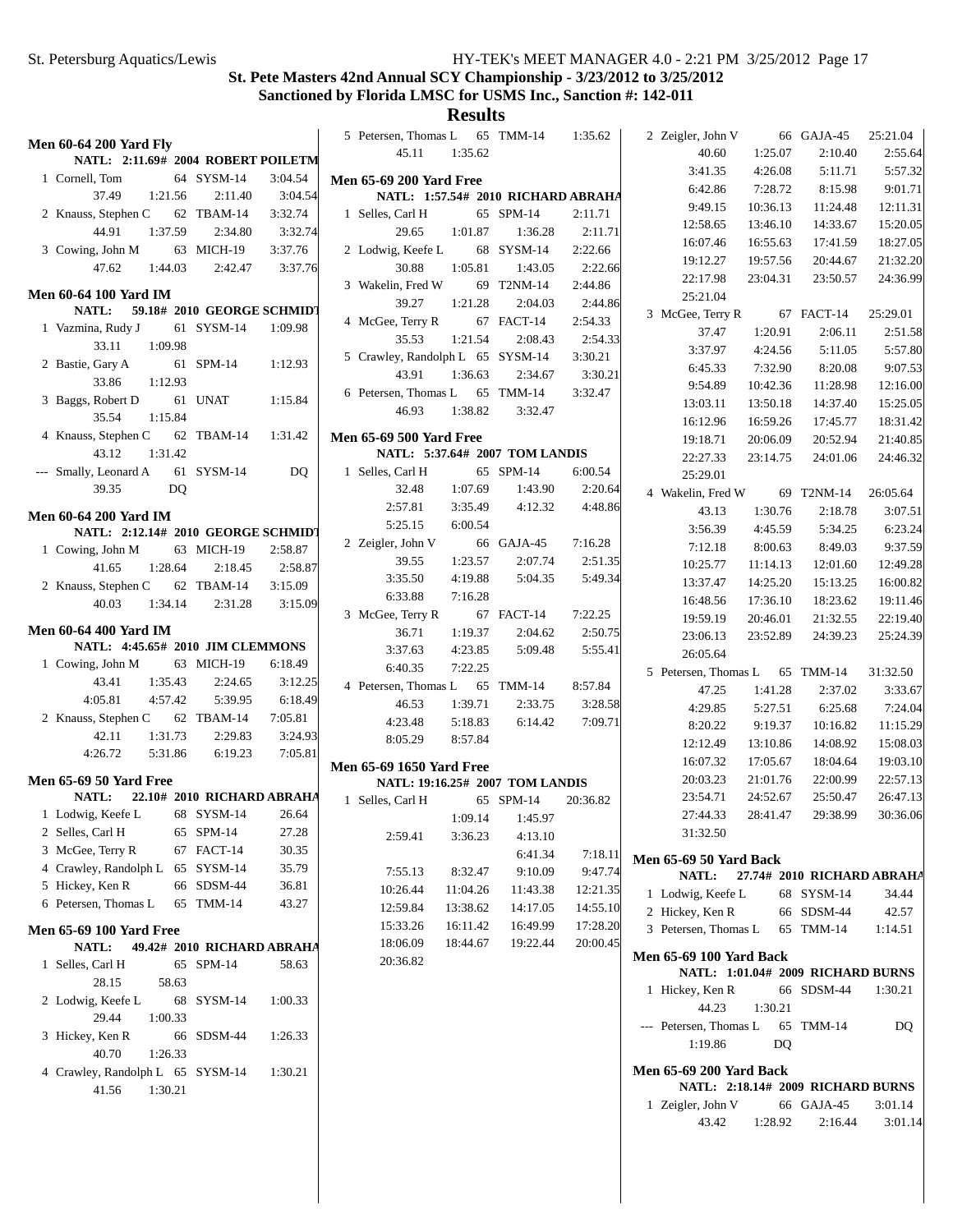#### **St. Pete Masters 42nd Annual SCY Championship - 3/23/2012 to 3/25/2012 Sanctioned by Florida LMSC for USMS Inc., Sanction #: 142-011**

| <b>Men 60-64 200 Yard Fly</b>                                                | 5 Petersen, Thomas L             | 65 TMM-14<br>1:35.62               | 2 Zeigler, John V                | 25:21.04<br>66 GAJA-45            |
|------------------------------------------------------------------------------|----------------------------------|------------------------------------|----------------------------------|-----------------------------------|
| NATL: 2:11.69# 2004 ROBERT POILETM                                           | 45.11<br>1:35.62                 |                                    | 40.60<br>1:25.07                 | 2:10.40<br>2:55.64                |
| 64 SYSM-14<br>3:04.54<br>1 Cornell, Tom                                      | <b>Men 65-69 200 Yard Free</b>   |                                    | 3:41.35<br>4:26.08               | 5:57.32<br>5:11.71                |
| 37.49<br>3:04.54<br>1:21.56<br>2:11.40                                       |                                  | NATL: 1:57.54# 2010 RICHARD ABRAHA | 7:28.72<br>6:42.86               | 9:01.71<br>8:15.98                |
| 3:32.74<br>2 Knauss, Stephen C<br>62 TBAM-14                                 | 1 Selles, Carl H                 | 65 SPM-14<br>2:11.71               | 9:49.15<br>10:36.13              | 11:24.48<br>12:11.31              |
| 44.91<br>1:37.59<br>2:34.80<br>3:32.74                                       | 29.65<br>1:01.87                 | 1:36.28<br>2:11.71                 | 12:58.65<br>13:46.10             | 14:33.67<br>15:20.05              |
| 3 Cowing, John M<br>63 MICH-19<br>3:37.76                                    | 2 Lodwig, Keefe L                | 2:22.66<br>68 SYSM-14              | 16:55.63<br>16:07.46             | 18:27.05<br>17:41.59              |
| 47.62<br>1:44.03<br>2:42.47<br>3:37.76                                       | 30.88<br>1:05.81                 | 1:43.05<br>2:22.66                 | 19:12.27<br>19:57.56             | 20:44.67<br>21:32.20              |
|                                                                              | 3 Wakelin, Fred W                | 2:44.86<br>69 T2NM-14              | 23:04.31<br>22:17.98             | 23:50.57<br>24:36.99              |
| <b>Men 60-64 100 Yard IM</b>                                                 | 39.27<br>1:21.28                 | 2:04.03<br>2:44.86                 | 25:21.04                         |                                   |
| 59.18# 2010 GEORGE SCHMIDT<br><b>NATL:</b>                                   | 4 McGee, Terry R                 | 67 FACT-14<br>2:54.33              | 3 McGee, Terry R                 | 67 FACT-14<br>25:29.01            |
| 61 SYSM-14<br>1:09.98<br>1 Vazmina, Rudy J                                   | 35.53<br>1:21.54                 | 2:08.43<br>2:54.33                 | 1:20.91<br>37.47                 | 2:06.11<br>2:51.58                |
| 33.11<br>1:09.98                                                             | 5 Crawley, Randolph L 65 SYSM-14 | 3:30.21                            | 3:37.97<br>4:24.56               | 5:57.80<br>5:11.05                |
| 2 Bastie, Gary A<br>61 SPM-14<br>1:12.93                                     | 1:36.63<br>43.91                 | 2:34.67<br>3:30.21                 | 6:45.33<br>7:32.90               | 9:07.53<br>8:20.08                |
| 33.86<br>1:12.93                                                             | 6 Petersen, Thomas L 65 TMM-14   | 3:32.47                            | 9:54.89<br>10:42.36              | 11:28.98<br>12:16.00              |
| 3 Baggs, Robert D<br>61 UNAT<br>1:15.84                                      | 46.93<br>1:38.82                 | 3:32.47                            | 13:50.18<br>13:03.11             | 15:25.05<br>14:37.40              |
| 35.54<br>1:15.84                                                             |                                  |                                    | 16:12.96<br>16:59.26             | 18:31.42<br>17:45.77              |
| 4 Knauss, Stephen C<br>62 TBAM-14<br>1:31.42                                 | <b>Men 65-69 500 Yard Free</b>   |                                    | 19:18.71<br>20:06.09             | 20:52.94<br>21:40.85              |
| 1:31.42<br>43.12                                                             | NATL: 5:37.64# 2007 TOM LANDIS   |                                    | 22:27.33<br>23:14.75             | 24:01.06<br>24:46.32              |
| 61 SYSM-14<br>--- Smally, Leonard A<br>D <sub>O</sub>                        | 1 Selles, Carl H                 | 65 SPM-14<br>6:00.54               | 25:29.01                         |                                   |
| <b>DQ</b><br>39.35                                                           | 32.48<br>1:07.69                 | 1:43.90<br>2:20.64                 | 4 Wakelin, Fred W                | 69 T2NM-14<br>26:05.64            |
| <b>Men 60-64 200 Yard IM</b>                                                 | 2:57.81<br>3:35.49               | 4:48.86<br>4:12.32                 | 1:30.76<br>43.13                 | 3:07.51<br>2:18.78                |
| NATL: 2:12.14# 2010 GEORGE SCHMIDT                                           | 6:00.54<br>5:25.15               |                                    | 3:56.39<br>4:45.59               | 5:34.25<br>6:23.24                |
| 2:58.87<br>1 Cowing, John M<br>63 MICH-19                                    | 2 Zeigler, John V                | 66 GAJA-45<br>7:16.28              | 8:00.63<br>7:12.18               | 9:37.59<br>8:49.03                |
| 41.65<br>1:28.64<br>2:18.45<br>2:58.87                                       | 39.55<br>1:23.57                 | 2:51.35<br>2:07.74                 | 10:25.77<br>11:14.13             | 12:01.60<br>12:49.28              |
| 2 Knauss, Stephen C<br>3:15.09<br>62 TBAM-14                                 | 3:35.50<br>4:19.88               | 5:04.35<br>5:49.34                 | 13:37.47<br>14:25.20             | 15:13.25<br>16:00.82              |
| 40.03<br>1:34.14<br>2:31.28<br>3:15.09                                       | 6:33.88<br>7:16.28               |                                    | 16:48.56<br>17:36.10             | 18:23.62<br>19:11.46              |
|                                                                              | 3 McGee, Terry R                 | 67 FACT-14<br>7:22.25              | 19:59.19<br>20:46.01             | 22:19.40<br>21:32.55              |
| <b>Men 60-64 400 Yard IM</b>                                                 | 36.71<br>1:19.37                 | 2:04.62<br>2:50.75                 | 23:06.13<br>23:52.89             | 24:39.23<br>25:24.39              |
| NATL: 4:45.65# 2010 JIM CLEMMONS                                             | 3:37.63<br>4:23.85               | 5:55.41<br>5:09.48                 | 26:05.64                         |                                   |
| 63 MICH-19<br>6:18.49<br>1 Cowing, John M                                    | 7:22.25<br>6:40.35               |                                    | 5 Petersen, Thomas L             | 31:32.50<br>65 TMM-14             |
| 43.41<br>1:35.43<br>2:24.65<br>3:12.25                                       | 4 Petersen, Thomas L             | 65 TMM-14<br>8:57.84               | 47.25<br>1:41.28                 | 2:37.02<br>3:33.67                |
| 4:05.81<br>4:57.42<br>5:39.95<br>6:18.49                                     | 1:39.71<br>46.53                 | 2:33.75<br>3:28.58                 | 4:29.85<br>5:27.51               | 6:25.68<br>7:24.04                |
| 2 Knauss, Stephen C<br>62 TBAM-14<br>7:05.81                                 | 4:23.48<br>5:18.83               | 7:09.71<br>6:14.42                 | 8:20.22<br>9:19.37               | 10:16.82<br>11:15.29              |
| 42.11<br>1:31.73<br>2:29.83<br>3:24.93                                       | 8:05.29<br>8:57.84               |                                    | 12:12.49<br>13:10.86             | 14:08.92<br>15:08.03              |
| 4:26.72<br>6:19.23<br>7:05.81<br>5:31.86                                     |                                  |                                    | 16:07.32<br>17:05.67             | 18:04.64<br>19:03.10              |
|                                                                              | <b>Men 65-69 1650 Yard Free</b>  |                                    |                                  | 22:57.13                          |
| <b>Men 65-69 50 Yard Free</b><br><b>NATL:</b>                                | NATL: 19:16.25# 2007 TOM LANDIS  |                                    | 20:03.23<br>21:01.76<br>23:54.71 | 22:00.99                          |
| 22.10# 2010 RICHARD ABRAHA                                                   | 1 Selles, Carl H                 | 65 SPM-14<br>20:36.82              | 24:52.67                         |                                   |
|                                                                              |                                  |                                    |                                  | 25:50.47<br>26:47.13              |
| 1 Lodwig, Keefe L<br>68 SYSM-14<br>26.64                                     | 1:09.14                          | 1:45.97                            | 27:44.33<br>28:41.47             | 30:36.06<br>29:38.99              |
| 2 Selles, Carl H<br>65 SPM-14<br>27.28                                       | 2:59.41<br>3:36.23               | 4:13.10                            | 31:32.50                         |                                   |
| 3 McGee, Terry R<br>67 FACT-14<br>30.35                                      |                                  | 6:41.34<br>7:18.11                 | Men 65-69 50 Yard Back           |                                   |
| 4 Crawley, Randolph L<br>65 SYSM-14<br>35.79                                 | 7:55.13<br>8:32.47               | 9:47.74<br>9:10.09                 | <b>NATL:</b>                     | 27.74# 2010 RICHARD ABRAHA        |
| 5 Hickey, Ken R<br>66 SDSM-44<br>36.81                                       | 10:26.44<br>11:04.26             | 12:21.35<br>11:43.38               | 1 Lodwig, Keefe L                | 68 SYSM-14<br>34.44               |
| 6 Petersen, Thomas L<br>65 TMM-14<br>43.27                                   | 12:59.84<br>13:38.62             | 14:17.05<br>14:55.10               | 2 Hickey, Ken R                  | 66 SDSM-44<br>42.57               |
|                                                                              | 15:33.26<br>16:11.42             | 16:49.99<br>17:28.20               | 3 Petersen, Thomas L             | 65 TMM-14<br>1:14.51              |
| <b>Men 65-69 100 Yard Free</b><br><b>NATL:</b><br>49.42# 2010 RICHARD ABRAHA | 18:06.09<br>18:44.67             | 19:22.44<br>20:00.45               |                                  |                                   |
| 1 Selles, Carl H<br>65 SPM-14<br>58.63                                       | 20:36.82                         |                                    | <b>Men 65-69 100 Yard Back</b>   |                                   |
| 28.15<br>58.63                                                               |                                  |                                    |                                  | NATL: 1:01.04# 2009 RICHARD BURNS |
| 2 Lodwig, Keefe L<br>68 SYSM-14<br>1:00.33                                   |                                  |                                    | 1 Hickey, Ken R                  | 66 SDSM-44<br>1:30.21             |
| 29.44<br>1:00.33                                                             |                                  |                                    | 44.23<br>1:30.21                 |                                   |
| 1:26.33                                                                      |                                  |                                    | --- Petersen, Thomas L           | 65 TMM-14<br>DQ                   |
| 3 Hickey, Ken R<br>66 SDSM-44<br>40.70<br>1:26.33                            |                                  |                                    | 1:19.86<br>DQ                    |                                   |
|                                                                              |                                  |                                    |                                  |                                   |
| 4 Crawley, Randolph L 65 SYSM-14<br>1:30.21                                  |                                  |                                    | <b>Men 65-69 200 Yard Back</b>   | NATL: 2:18.14# 2009 RICHARD BURNS |
| 41.56<br>1:30.21                                                             |                                  |                                    | 1 Zeigler, John V                | 66 GAJA-45<br>3:01.14             |
|                                                                              |                                  |                                    | 43.42<br>1:28.92                 | 3:01.14<br>2:16.44                |
|                                                                              |                                  |                                    |                                  |                                   |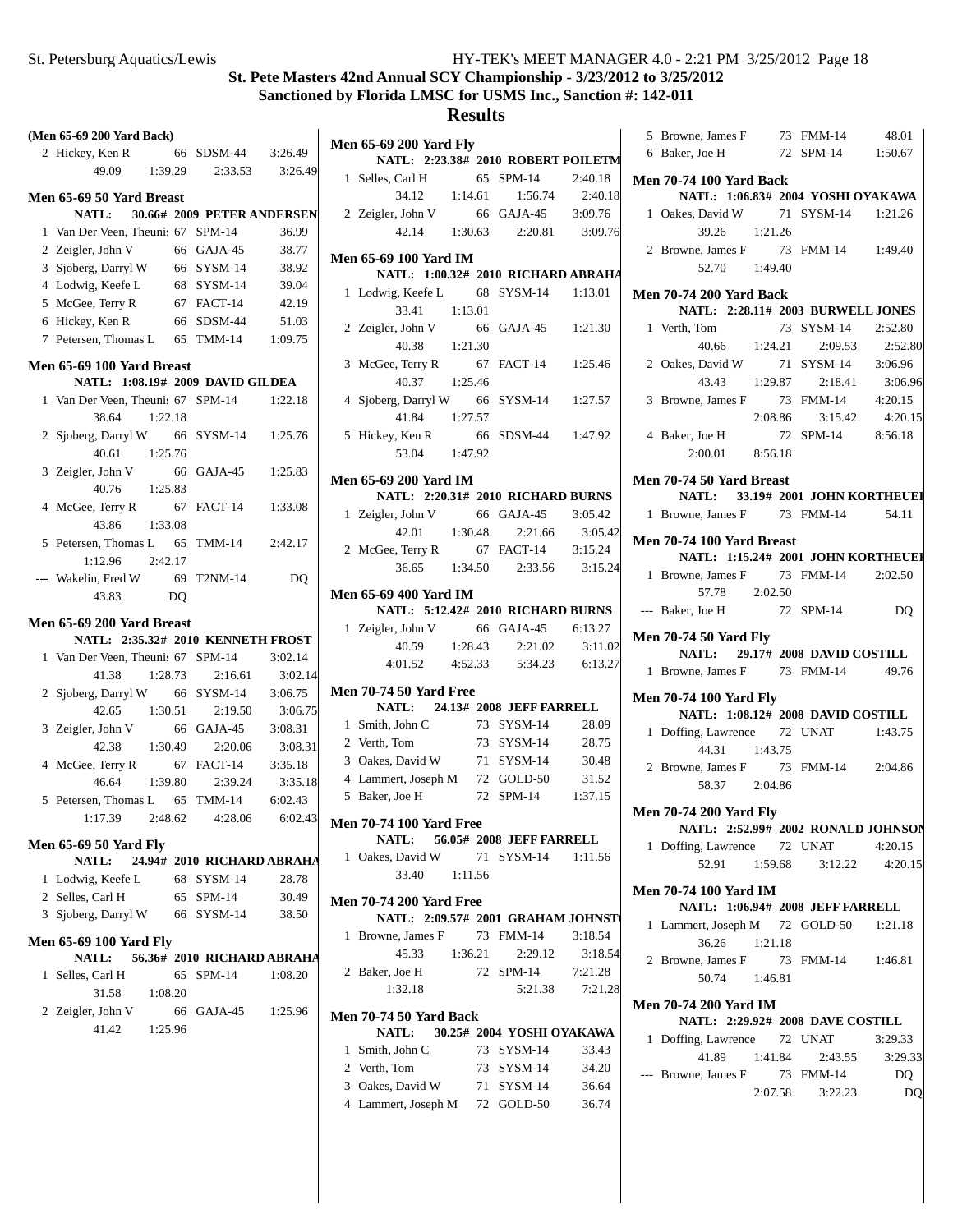# **Results**

|     | (Men 65-69 200 Yard Back)                |         |    |                            |                    |
|-----|------------------------------------------|---------|----|----------------------------|--------------------|
|     | 2 Hickey, Ken R                          |         |    | 66 SDSM-44                 | 3:26.49            |
|     | 49.09 1:39.29                            |         |    | 2:33.53                    | 3:26.49            |
|     |                                          |         |    |                            |                    |
|     | Men 65-69 50 Yard Breast<br><b>NATL:</b> |         |    | 30.66# 2009 PETER ANDERSEN |                    |
|     | 1 Van Der Veen, Theunis 67 SPM-14        |         |    |                            | 36.99              |
|     | 2 Zeigler, John V                        |         |    | 66 GAJA-45                 | 38.77              |
|     | 3 Sjoberg, Darryl W 66 SYSM-14           |         |    |                            | 38.92              |
|     | 4 Lodwig, Keefe L                        |         |    | 68 SYSM-14                 | 39.04              |
|     | 5 McGee, Terry R                         |         |    | 67 FACT-14                 | 42.19              |
| 6   | Hickey, Ken R                            |         |    | 66 SDSM-44                 | 51.03              |
| 7   | Petersen, Thomas L 65 TMM-14             |         |    |                            | 1:09.75            |
|     |                                          |         |    |                            |                    |
|     | Men 65-69 100 Yard Breast                |         |    |                            |                    |
|     | NATL: 1:08.19# 2009 DAVID GILDEA         |         |    |                            |                    |
|     | 1 Van Der Veen, Theunis 67 SPM-14        |         |    |                            | 1:22.18            |
|     | 38.64                                    | 1:22.18 |    |                            |                    |
|     | 2 Sjoberg, Darryl W 66                   |         |    | SYSM-14                    | 1:25.76            |
|     | 40.61                                    | 1:25.76 |    |                            |                    |
|     | 3 Zeigler, John V<br>40.76               |         | 66 | GAJA-45                    | 1:25.83            |
| 4   |                                          | 1:25.83 | 67 | FACT-14                    | 1:33.08            |
|     | McGee, Terry R<br>43.86                  | 1:33.08 |    |                            |                    |
|     | 5 Petersen, Thomas L 65 TMM-14           |         |    |                            | 2:42.17            |
|     | 1:12.96                                  | 2:42.17 |    |                            |                    |
| --- | Wakelin, Fred W                          | 69      |    | T2NM-14                    | <b>DQ</b>          |
|     | 43.83                                    |         | DQ |                            |                    |
|     |                                          |         |    |                            |                    |
|     | Men 65-69 200 Yard Breast                |         |    |                            |                    |
|     | NATL: 2:35.32# 2010 KENNETH FROST        |         |    |                            |                    |
| 1   | Van Der Veen, Theunis 67 SPM-14          |         |    |                            | 3:02.14            |
|     | 41.38                                    | 1:28.73 |    | 2:16.61                    | 3:02.14            |
|     | 2 Sjoberg, Darryl W 66 SYSM-14           |         |    |                            | 3:06.75            |
|     | 42.65                                    | 1:30.51 |    | 2:19.50                    | 3:06.75<br>3:08.31 |
|     | 3 Zeigler, John V                        |         |    | 66 GAJA-45                 |                    |
|     | 42.38<br>4 McGee, Terry R                | 1:30.49 |    | 2:20.06<br>67 FACT-14      | 3:08.31<br>3:35.18 |
|     | 46.64                                    |         |    | $1:39.80$ $2:39.24$        | 3:35.18            |
|     | 5 Petersen, Thomas L 65 TMM-14           |         |    |                            | 6:02.43            |
|     | 1:17.39                                  | 2:48.62 |    | 4:28.06                    | 6:02.43            |
|     |                                          |         |    |                            |                    |
|     | Men 65-69 50 Yard Fly                    |         |    |                            |                    |
|     | NATL:                                    |         |    | 24.94# 2010 RICHARD ABRAHA |                    |
|     | 1 Lodwig, Keefe L                        |         |    | 68 SYSM-14                 | 28.78              |
|     | 2 Selles, Carl H                         |         |    | 65 SPM-14                  | 30.49              |
|     | 3 Sjoberg, Darryl W 66 SYSM-14           |         |    |                            | 38.50              |
|     | Men 65-69 100 Yard Fly                   |         |    |                            |                    |
|     | <b>NATL:</b>                             |         |    | 56.36# 2010 RICHARD ABRAHA |                    |
| 1   | Selles, Carl H                           |         |    | 65 SPM-14                  | 1:08.20            |
|     | 31.58                                    | 1:08.20 |    |                            |                    |
|     | 2 Zeigler, John V                        |         |    | 66 GAJA-45                 | 1:25.96            |
|     | 41.42                                    | 1:25.96 |    |                            |                    |
|     |                                          |         |    |                            |                    |

|              | <b>Men 65-69 200 Yard Fly</b>                                       |         |                                                                |         |
|--------------|---------------------------------------------------------------------|---------|----------------------------------------------------------------|---------|
|              | NATL: 2:23.38# 2010 ROBERT POILETM                                  |         |                                                                |         |
| 1            | Selles, Carl H 65 SPM-14<br>34.12 1:14.61 1:56.74                   |         |                                                                | 2:40.18 |
|              |                                                                     |         |                                                                | 2:40.18 |
|              | 2 Zeigler, John V                                                   |         | 66 GAJA-45 3:09.76                                             |         |
|              |                                                                     |         | $42.14$ 1:30.63 2:20.81                                        | 3:09.76 |
|              | Men 65-69 100 Yard IM                                               |         |                                                                |         |
|              | NATL: 1:00.32# 2010 RICHARD ABRAHA                                  |         |                                                                |         |
| $\mathbf{1}$ | Lodwig, Keefe L 68 SYSM-14 1:13.01                                  |         |                                                                |         |
|              | 33.41                                                               | 1:13.01 |                                                                |         |
|              | 2 Zeigler, John V 66 GAJA-45 1:21.30                                |         |                                                                |         |
|              | 40.38 1:21.30                                                       |         |                                                                |         |
| 3            |                                                                     |         |                                                                | 1:25.46 |
|              | McGee, Terry R 67 FACT-14<br>40.37 1:25.46                          |         |                                                                |         |
|              | 4 Sjoberg, Darryl W 66 SYSM-14                                      |         |                                                                | 1:27.57 |
|              | 41.84                                                               | 1:27.57 |                                                                |         |
|              | 5 Hickey, Ken R                                                     |         | 66 SDSM-44 1:47.92                                             |         |
|              | 53.04 1:47.92                                                       |         |                                                                |         |
|              | <b>Men 65-69 200 Yard IM</b>                                        |         |                                                                |         |
|              | NATL: 2:20.31# 2010 RICHARD BURNS                                   |         |                                                                |         |
|              | 1 Zeigler, John V 66 GAJA-45                                        |         |                                                                |         |
|              |                                                                     |         |                                                                | 3:05.42 |
|              | 2 McGee, Terry R                                                    |         | (1.30.48 cm 3:05.4<br>$\frac{42.01}{7}$ 1:30.48 2:21.66 3:05.4 |         |
|              |                                                                     |         | $36.65$ 1:34.50 2:33.56                                        | 3:15.24 |
|              |                                                                     |         |                                                                |         |
|              | <b>Men 65-69 400 Yard IM</b>                                        |         |                                                                |         |
|              | NATL: 5:12.42# 2010 RICHARD BURNS                                   |         |                                                                |         |
|              | 1 Zeigler, John V 66 GAJA-45 6:13.27                                |         |                                                                |         |
|              |                                                                     |         | 40.59 1:28.43 2:21.02<br>4:01.52  4:52.33  5:34.23  6:13.27    | 3:11.02 |
|              |                                                                     |         |                                                                |         |
|              | <b>Men 70-74 50 Yard Free</b>                                       |         |                                                                |         |
|              | NATL: 24.13# 2008 JEFF FARRELL                                      |         |                                                                |         |
|              | 1 Smith, John C                                                     |         | 73 SYSM-14                                                     | 28.09   |
|              | 2 Verth, Tom                                                        |         | 73 SYSM-14 28.75                                               |         |
|              | 3 Oakes, David W 71 SYSM-14 30.48                                   |         |                                                                |         |
|              | 4 Lammert, Joseph M 72 GOLD-50                                      |         |                                                                | 31.52   |
|              | 5 Baker, Joe H                                                      |         | 72 SPM-14 1:37.15                                              |         |
|              | <b>Men 70-74 100 Yard Free</b>                                      |         |                                                                |         |
|              | <b>NATL:</b>                                                        |         | 56.05# 2008 JEFF FARRELL                                       |         |
|              | 1 Oakes, David W                                                    |         | 71 SYSM-14 1:11.56                                             |         |
|              | 33.40 1:11.56                                                       |         |                                                                |         |
|              |                                                                     |         |                                                                |         |
|              | <b>Men 70-74 200 Yard Free</b><br>NATL: 2:09.57# 2001 GRAHAM JOHNST |         |                                                                |         |
|              | 1 Browne, James F 73 FMM-14                                         |         |                                                                | 3:18.54 |
|              | 45.33                                                               |         | $1:36.21$ $2:29.12$                                            | 3:18.54 |
|              | 2 Baker, Joe H                                                      |         | 72 SPM-14                                                      | 7:21.28 |
|              | 1:32.18                                                             |         | 5:21.38                                                        | 7:21.28 |
|              |                                                                     |         |                                                                |         |
|              | <b>Men 70-74 50 Yard Back</b>                                       |         |                                                                |         |
|              | NATL: 30.25# 2004 YOSHI OYAKAWA                                     |         |                                                                |         |
| 1            | Smith, John C                                                       |         | 73 SYSM-14                                                     | 33.43   |
|              | 2 Verth, Tom                                                        |         | 73 SYSM-14                                                     | 34.20   |

3 Oakes, David W 71 SYSM-14 36.64 4 36.74 Lammert, Joseph M 72 GOLD-50

|   | 5 Browne, James F 73 FMM-14 48.01                                   |         |                                             |         |
|---|---------------------------------------------------------------------|---------|---------------------------------------------|---------|
|   | 6 Baker, Joe H 72 SPM-14 1:50.67                                    |         |                                             |         |
|   |                                                                     |         |                                             |         |
|   | <b>Men 70-74 100 Yard Back</b><br>NATL: 1:06.83# 2004 YOSHI OYAKAWA |         |                                             |         |
|   | 1 Oakes, David W                                                    |         |                                             |         |
|   |                                                                     |         | David W 71 SYSM-14 1:21.26<br>39.26 1:21.26 |         |
|   | 2 Browne, James F 73 FMM-14 1:49.40                                 |         |                                             |         |
|   | 52.70 1:49.40                                                       |         |                                             |         |
|   |                                                                     |         |                                             |         |
|   | <b>Men 70-74 200 Yard Back</b>                                      |         |                                             |         |
|   | NATL: 2:28.11# 2003 BURWELL JONES                                   |         |                                             |         |
|   | 1 Verth, Tom                                                        |         | 73 SYSM-14 2:52.80                          |         |
|   |                                                                     |         | 40.66 1:24.21 2:09.53 2:52.80               |         |
|   | 2 Oakes, David W 71<br>43.43 1:29.87                                |         | 71 SYSM-14 3:06.96                          |         |
|   |                                                                     |         | 2:18.41                                     | 3:06.96 |
|   | 3 Browne, James F 73 FMM-14 4:20.15                                 |         |                                             |         |
|   |                                                                     |         | 2:08.86 3:15.42                             | 4:20.15 |
|   | 4 Baker, Joe H                                                      |         | 72 SPM-14 8:56.18                           |         |
|   | $2:00.01$ 8:56.18                                                   |         |                                             |         |
|   | Men 70-74 50 Yard Breast                                            |         |                                             |         |
|   | NATL: 33.19# 2001 JOHN KORTHEUEI                                    |         |                                             |         |
|   | 1 Browne, James F 73 FMM-14 54.11                                   |         |                                             |         |
|   |                                                                     |         |                                             |         |
|   | Men 70-74 100 Yard Breast                                           |         |                                             |         |
|   | NATL: 1:15.24# 2001 JOHN KORTHEUEI                                  |         |                                             |         |
|   | 1 Browne, James F 73 FMM-14 2:02.50                                 |         |                                             |         |
|   | 57.78 2:02.50                                                       |         |                                             |         |
|   | --- Baker, Joe H 72 SPM-14                                          |         |                                             | DQ      |
|   | <b>Men 70-74 50 Yard Fly</b>                                        |         |                                             |         |
|   | NATL: 29.17# 2008 DAVID COSTILL                                     |         |                                             |         |
|   |                                                                     |         |                                             |         |
|   |                                                                     |         |                                             |         |
|   | 1 Browne, James F 73 FMM-14 49.76                                   |         |                                             |         |
|   | <b>Men 70-74 100 Yard Fly</b>                                       |         |                                             |         |
|   | NATL: 1:08.12# 2008 DAVID COSTILL                                   |         |                                             |         |
|   | 1 Doffing, Lawrence 72 UNAT 1:43.75                                 |         |                                             |         |
|   | 44.31 1:43.75                                                       |         |                                             |         |
|   | 2 Browne, James F 73 FMM-14 2:04.86                                 |         |                                             |         |
|   | 58.37 2:04.86                                                       |         |                                             |         |
|   |                                                                     |         |                                             |         |
|   | <b>Men 70-74 200 Yard Fly</b><br>NATL: 2:52.99# 2002 RONALD JOHNSON |         |                                             |         |
|   | 1 Doffing, Lawrence 72 UNAT                                         |         |                                             | 4:20.15 |
|   | 52.91                                                               | 1:59.68 | 3:12.22                                     | 4:20.15 |
|   |                                                                     |         |                                             |         |
|   | <b>Men 70-74 100 Yard IM</b>                                        |         |                                             |         |
|   | NATL: 1:06.94# 2008 JEFF FARRELL                                    |         |                                             |         |
| 1 | Lammert, Joseph M 72 GOLD-50                                        |         |                                             | 1:21.18 |
|   | 36.26 1:21.18                                                       |         |                                             |         |
|   | 2 Browne, James F 73 FMM-14 1:46.81                                 |         |                                             |         |
|   | 50.74 1:46.81                                                       |         |                                             |         |
|   | <b>Men 70-74 200 Yard IM</b>                                        |         |                                             |         |
|   | NATL: 2:29.92# 2008 DAVE COSTILL                                    |         |                                             |         |
|   | 1 Doffing, Lawrence 72 UNAT                                         |         |                                             | 3:29.33 |
|   | 41.89                                                               | 1:41.84 | 2:43.55                                     | 3:29.33 |
|   | --- Browne, James F                                                 |         | 73 FMM-14                                   | DQ      |
|   |                                                                     | 2:07.58 | 3:22.23                                     | DQ      |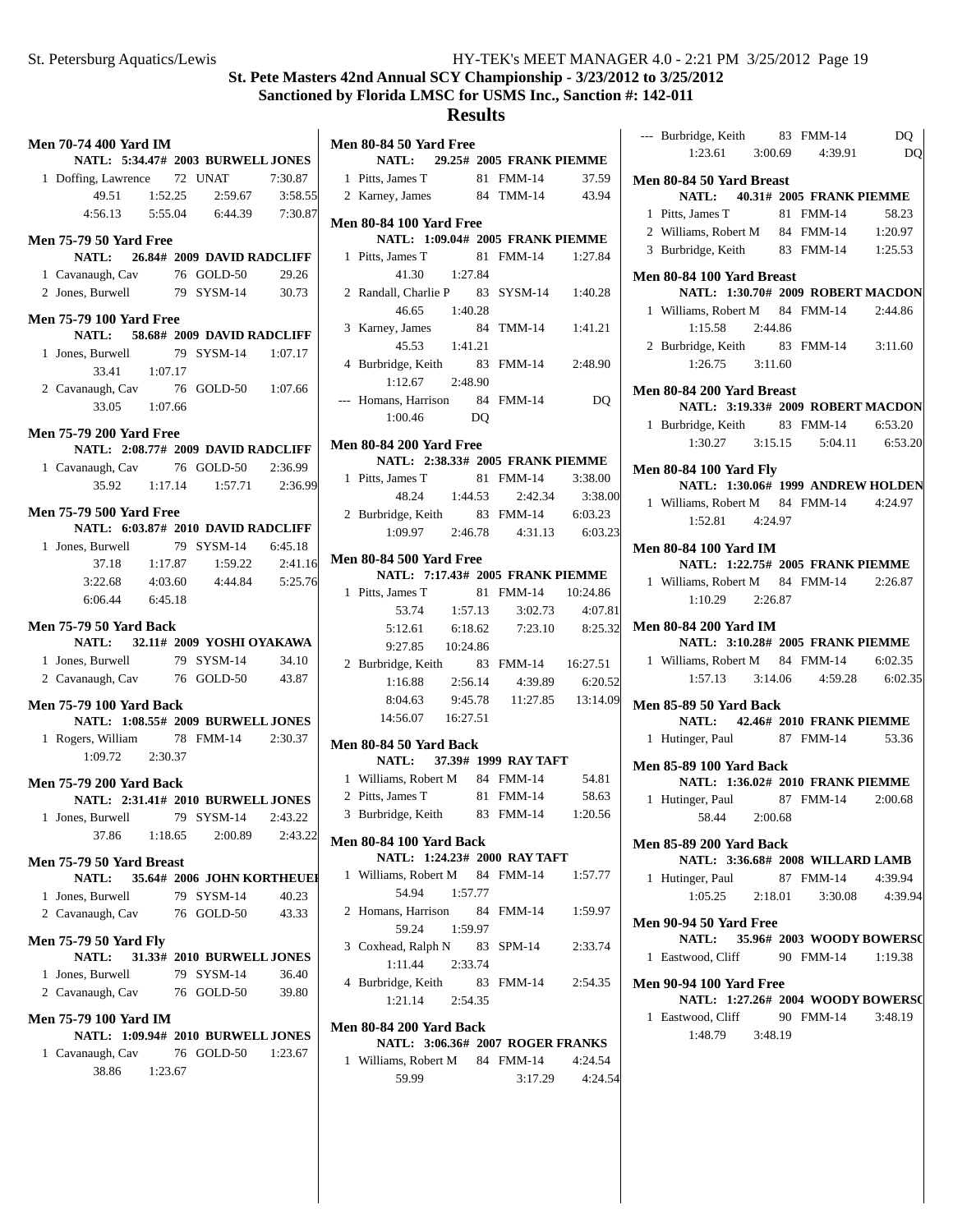#### **Results**

| Men 70-74 400 Yard IM<br>NATL: 5:34.47# 2003 BURWELL JONES           |         |                                  |         |
|----------------------------------------------------------------------|---------|----------------------------------|---------|
| 1 Doffing, Lawrence 72 UNAT 7:30.87                                  |         |                                  |         |
|                                                                      |         | 49.51  1:52.25  2:59.67  3:58.55 |         |
|                                                                      |         | 4:56.13 5:55.04 6:44.39 7:30.87  |         |
|                                                                      |         |                                  |         |
| <b>Men 75-79 50 Yard Free</b><br>NATL: 26.84# 2009 DAVID RADCLIFF    |         |                                  |         |
| 1 Cavanaugh, Cav 76 GOLD-50                                          |         |                                  | 29.26   |
| 2 Jones, Burwell 79 SYSM-14 30.73                                    |         |                                  |         |
|                                                                      |         |                                  |         |
| <b>Men 75-79 100 Yard Free</b><br>NATL: 58.68# 2009 DAVID RADCLIFF   |         |                                  |         |
| 1 Jones, Burwell 79 SYSM-14 1:07.17                                  |         |                                  |         |
| 33.41 1:07.17                                                        |         |                                  |         |
| 2 Cavanaugh, Cav 76 GOLD-50 1:07.66                                  |         |                                  |         |
| 33.05 1:07.66                                                        |         |                                  |         |
|                                                                      |         |                                  |         |
| <b>Men 75-79 200 Yard Free</b>                                       |         |                                  |         |
| NATL: 2:08.77# 2009 DAVID RADCLIFF                                   |         |                                  |         |
| 1 Cavanaugh, Cav 76 GOLD-50 2:36.99                                  |         |                                  |         |
|                                                                      |         | 35.92 1:17.14 1:57.71 2:36.99    |         |
|                                                                      |         |                                  |         |
| <b>Men 75-79 500 Yard Free</b><br>NATL: 6:03.87# 2010 DAVID RADCLIFF |         |                                  |         |
|                                                                      |         |                                  |         |
| 1 Jones, Burwell 79 SYSM-14 6:45.18                                  |         |                                  |         |
| 37.18                                                                |         | $1:17.87$ $1:59.22$ $2:41.16$    |         |
| 3:22.68                                                              | 4:03.60 | 4:44.84   5:25.76                |         |
| 6:06.44    6:45.18                                                   |         |                                  |         |
|                                                                      |         |                                  |         |
| <b>Men 75-79 50 Yard Back</b>                                        |         |                                  |         |
| NATL: 32.11# 2009 YOSHI OYAKAWA                                      |         |                                  |         |
| 1 Jones, Burwell 79 SYSM-14 34.10                                    |         |                                  |         |
| 2 Cavanaugh, Cav 76 GOLD-50 43.87                                    |         |                                  |         |
| Men 75-79 100 Yard Back                                              |         |                                  |         |
| NATL: 1:08.55# 2009 BURWELL JONES                                    |         |                                  |         |
| 1 Rogers, William 78 FMM-14 2:30.37                                  |         |                                  |         |
| $1:09.72$ $2:30.37$                                                  |         |                                  |         |
|                                                                      |         |                                  |         |
| <b>Men 75-79 200 Yard Back</b>                                       |         |                                  |         |
| NATL: 2:31.41# 2010 BURWELL JONES                                    |         |                                  |         |
| 1 Jones, Burwell 79 SYSM-14 2:43.22                                  |         |                                  |         |
| 37.86                                                                |         | 1:18.65 2:00.89 2:43.22          |         |
|                                                                      |         |                                  |         |
| Men 75-79 50 Yard Breast                                             |         |                                  |         |
| NATL: 35.64# 2006 JOHN KORTHEUEI                                     |         |                                  |         |
| 1 Jones, Burwell                                                     |         | 79 SYSM-14                       | 40.23   |
| 2 Cavanaugh, Cav 76 GOLD-50                                          |         |                                  | 43.33   |
|                                                                      |         |                                  |         |
| <b>Men 75-79 50 Yard Fly</b>                                         |         |                                  |         |
| NATL:                                                                |         | 31.33# 2010 BURWELL JONES        |         |
| 1 Jones, Burwell                                                     |         | 79 SYSM-14                       | 36.40   |
| 2 Cavanaugh, Cav 76 GOLD-50                                          |         |                                  | 39.80   |
| <b>Men 75-79 100 Yard IM</b>                                         |         |                                  |         |
| NATL: 1:09.94# 2010 BURWELL JONES                                    |         |                                  |         |
|                                                                      |         |                                  |         |
| 1 Cavanaugh, Cav 76 GOLD-50                                          |         |                                  | 1:23.67 |
| 38.86 1:23.67                                                        |         |                                  |         |
|                                                                      |         |                                  |         |
|                                                                      |         |                                  |         |

|              | Men 80-84 50 Yard Free                                                                                                                          |         |                                         |         |
|--------------|-------------------------------------------------------------------------------------------------------------------------------------------------|---------|-----------------------------------------|---------|
|              |                                                                                                                                                 |         | NATL: 29.25# 2005 FRANK PIEMME          |         |
|              | 1 Pitts, James T                                                                                                                                |         | 81 FMM-14 37.59                         |         |
|              | 2 Karney, James 84 TMM-14 43.94                                                                                                                 |         |                                         |         |
|              | <b>Men 80-84 100 Yard Free</b>                                                                                                                  |         |                                         |         |
|              | NATL: 1:09.04# 2005 FRANK PIEMME                                                                                                                |         |                                         |         |
|              | 1 Pitts, James T                                                                                                                                |         | 81 FMM-14 1:27.84                       |         |
|              | 41.30 1:27.84                                                                                                                                   |         |                                         |         |
|              | 2 Randall, Charlie P 83 SYSM-14 1:40.28                                                                                                         |         |                                         |         |
|              | 46.65 1:40.28                                                                                                                                   |         |                                         |         |
|              | 3 Karney, James                                                                                                                                 |         | 84 TMM-14 1:41.21                       |         |
|              | 45.53 1:41.21                                                                                                                                   |         |                                         |         |
|              | 4 Burbridge, Keith 83 FMM-14 2:48.90                                                                                                            |         |                                         |         |
|              | $1:12.67$ $2:48.90$                                                                                                                             |         |                                         |         |
|              | --- Homans, Harrison 84 FMM-14                                                                                                                  |         |                                         | DQ      |
|              | 1:00.46 DQ                                                                                                                                      |         |                                         |         |
|              | <b>Men 80-84 200 Yard Free</b>                                                                                                                  |         |                                         |         |
|              | NATL: 2:38.33# 2005 FRANK PIEMME                                                                                                                |         |                                         |         |
|              | 1 Pitts, James T 81 FMM-14 3:38.00                                                                                                              |         |                                         |         |
|              |                                                                                                                                                 |         | 48.24 1:44.53 2:42.34 3:38.00           |         |
|              | 2 Burbridge, Keith 83 FMM-14 6:03.23                                                                                                            |         |                                         |         |
|              |                                                                                                                                                 |         | $1:09.97$ $2:46.78$ $4:31.13$ $6:03.23$ |         |
|              | <b>Men 80-84 500 Yard Free</b>                                                                                                                  |         |                                         |         |
|              | NATL: 7:17.43# 2005 FRANK PIEMME                                                                                                                |         |                                         |         |
|              | 1 Pitts, James T                                                                                                                                |         | 81 FMM-14 10:24.86                      |         |
|              |                                                                                                                                                 |         | 53.74 1:57.13 3:02.73 4:07.81           |         |
|              | 5:12.61                                                                                                                                         | 6:18.62 | 7:23.10 8:25.32                         |         |
|              | $9:27.85$ $10:24.86$                                                                                                                            |         |                                         |         |
|              | 2 Burbridge, Keith 83 FMM-14 16:27.51                                                                                                           |         |                                         |         |
|              |                                                                                                                                                 |         | $1:16.88$ $2:56.14$ $4:39.89$ $6:20.52$ |         |
|              |                                                                                                                                                 |         | 8:04.63 9:45.78 11:27.85 13:14.09       |         |
|              | 14:56.07  16:27.51                                                                                                                              |         |                                         |         |
|              | <b>Men 80-84 50 Yard Back</b>                                                                                                                   |         |                                         |         |
|              | NATL: 37.39# 1999 RAY TAFT                                                                                                                      |         |                                         |         |
|              | 1 Williams, Robert M $\begin{array}{r}\n 84 \text{ FMM-14}\n \end{array}$<br>2 Nie Lense T $\begin{array}{r}\n 81 \text{ FMM-14}\n \end{array}$ |         |                                         | 54.81   |
|              | 2 Pitts, James T 81 FMM-14 58.63<br>3 Burbridge, Keith 83 FMM-14 1:20.56                                                                        |         |                                         |         |
|              |                                                                                                                                                 |         |                                         |         |
|              | Men 80-84 100 Yard Back                                                                                                                         |         |                                         |         |
|              |                                                                                                                                                 |         | NATL: 1:24.23# 2000 RAY TAFT            |         |
|              | 1 Williams, Robert M 84 FMM-14                                                                                                                  |         |                                         | 1:57.77 |
|              | 54.94                                                                                                                                           | 1:57.77 |                                         |         |
| $\mathbf{2}$ | Homans, Harrison 84 FMM-14                                                                                                                      |         |                                         | 1:59.97 |
|              | 59.24                                                                                                                                           | 1:59.97 |                                         |         |
|              | 3 Coxhead, Ralph N 83 SPM-14                                                                                                                    |         |                                         | 2:33.74 |
|              | $1:11.44$ $2:33.74$                                                                                                                             |         |                                         |         |

4 2:54.35 Burbridge, Keith 83 FMM-14 1:21.14 2:54.35

# **Men 80-84 200 Yard Back NATL: 3:06.36# 2007 ROGER FRANKS**

| 1 Williams, Robert M | 84 FMM-14 | 4:24.54 |
|----------------------|-----------|---------|
| 59.99                | 3:17.29   | 4:24.54 |

|   | --- Burbridge, Keith 83 FMM-14                         |  |                                         | DQ      |
|---|--------------------------------------------------------|--|-----------------------------------------|---------|
|   |                                                        |  | 1:23.61 3:00.69 4:39.91                 | DQ      |
|   | Men 80-84 50 Yard Breast                               |  |                                         |         |
|   |                                                        |  | NATL: 40.31# 2005 FRANK PIEMME          |         |
|   | 1 Pitts, James T                                       |  | 81 FMM-14                               | 58.23   |
|   | 2 Williams, Robert M 84 FMM-14 1:20.97                 |  |                                         |         |
|   | 3 Burbridge, Keith 83 FMM-14 1:25.53                   |  |                                         |         |
|   |                                                        |  |                                         |         |
|   | Men 80-84 100 Yard Breast                              |  | NATL: 1:30.70# 2009 ROBERT MACDON       |         |
|   | 1 Williams, Robert M 84 FMM-14 2:44.86                 |  |                                         |         |
|   | 1:15.58  2:44.86                                       |  |                                         |         |
|   | 2 Burbridge, Keith 83 FMM-14 3:11.60                   |  |                                         |         |
|   | $1:26.75$ $3:11.60$                                    |  |                                         |         |
|   |                                                        |  |                                         |         |
|   | Men 80-84 200 Yard Breast                              |  |                                         |         |
|   |                                                        |  | NATL: 3:19.33# 2009 ROBERT MACDON       |         |
|   | 1 Burbridge, Keith 83 FMM-14 6:53.20                   |  | $1:30.27$ $3:15.15$ $5:04.11$ $6:53.20$ |         |
|   |                                                        |  |                                         |         |
|   | <b>Men 80-84 100 Yard Fly</b>                          |  |                                         |         |
|   |                                                        |  | NATL: 1:30.06# 1999 ANDREW HOLDEN       |         |
|   | 1 Williams, Robert M 84 FMM-14 4:24.97                 |  |                                         |         |
|   | 1:52.81 4:24.97                                        |  |                                         |         |
|   | Men 80-84 100 Yard IM                                  |  |                                         |         |
|   |                                                        |  | NATL: 1:22.75# 2005 FRANK PIEMME        |         |
|   | 1 Williams, Robert M 84 FMM-14 2:26.87                 |  |                                         |         |
|   | $1:10.29$ $2:26.87$                                    |  |                                         |         |
|   | <b>Men 80-84 200 Yard IM</b>                           |  |                                         |         |
|   |                                                        |  | NATL: 3:10.28# 2005 FRANK PIEMME        |         |
|   | 1 Williams, Robert M 84 FMM-14 6:02.35                 |  |                                         |         |
|   |                                                        |  | $1:57.13$ $3:14.06$ $4:59.28$ $6:02.35$ |         |
|   | <b>Men 85-89 50 Yard Back</b>                          |  |                                         |         |
|   |                                                        |  | NATL: 42.46# 2010 FRANK PIEMME          |         |
| 1 | Hutinger, Paul 87 FMM-14 53.36                         |  |                                         |         |
|   |                                                        |  |                                         |         |
|   | <b>Men 85-89 100 Yard Back</b>                         |  | NATL: 1:36.02# 2010 FRANK PIEMME        |         |
|   | 1 Hutinger, Paul 87 FMM-14 2:00.68                     |  |                                         |         |
|   | 58.44 2:00.68                                          |  |                                         |         |
|   |                                                        |  |                                         |         |
|   | <b>Men 85-89 200 Yard Back</b>                         |  |                                         |         |
|   |                                                        |  | NATL: 3:36.68# 2008 WILLARD LAMB        | 4:39.94 |
|   | 1 Hutinger, Paul 87 FMM-14                             |  | $1:05.25$ $2:18.01$ $3:30.08$           | 4:39.94 |
|   |                                                        |  |                                         |         |
|   | Men 90-94 50 Yard Free                                 |  |                                         |         |
|   |                                                        |  | NATL: 35.96# 2003 WOODY BOWERS(         |         |
|   | 1 Eastwood, Cliff 90 FMM-14 1:19.38                    |  |                                         |         |
|   | <b>Men 90-94 100 Yard Free</b>                         |  |                                         |         |
|   |                                                        |  | NATL: 1:27.26# 2004 WOODY BOWERSO       |         |
|   | 1 Eastwood, Cliff 90 FMM-14 3:48.19<br>1:48.79 3:48.19 |  |                                         |         |
|   |                                                        |  |                                         |         |
|   |                                                        |  |                                         |         |
|   |                                                        |  |                                         |         |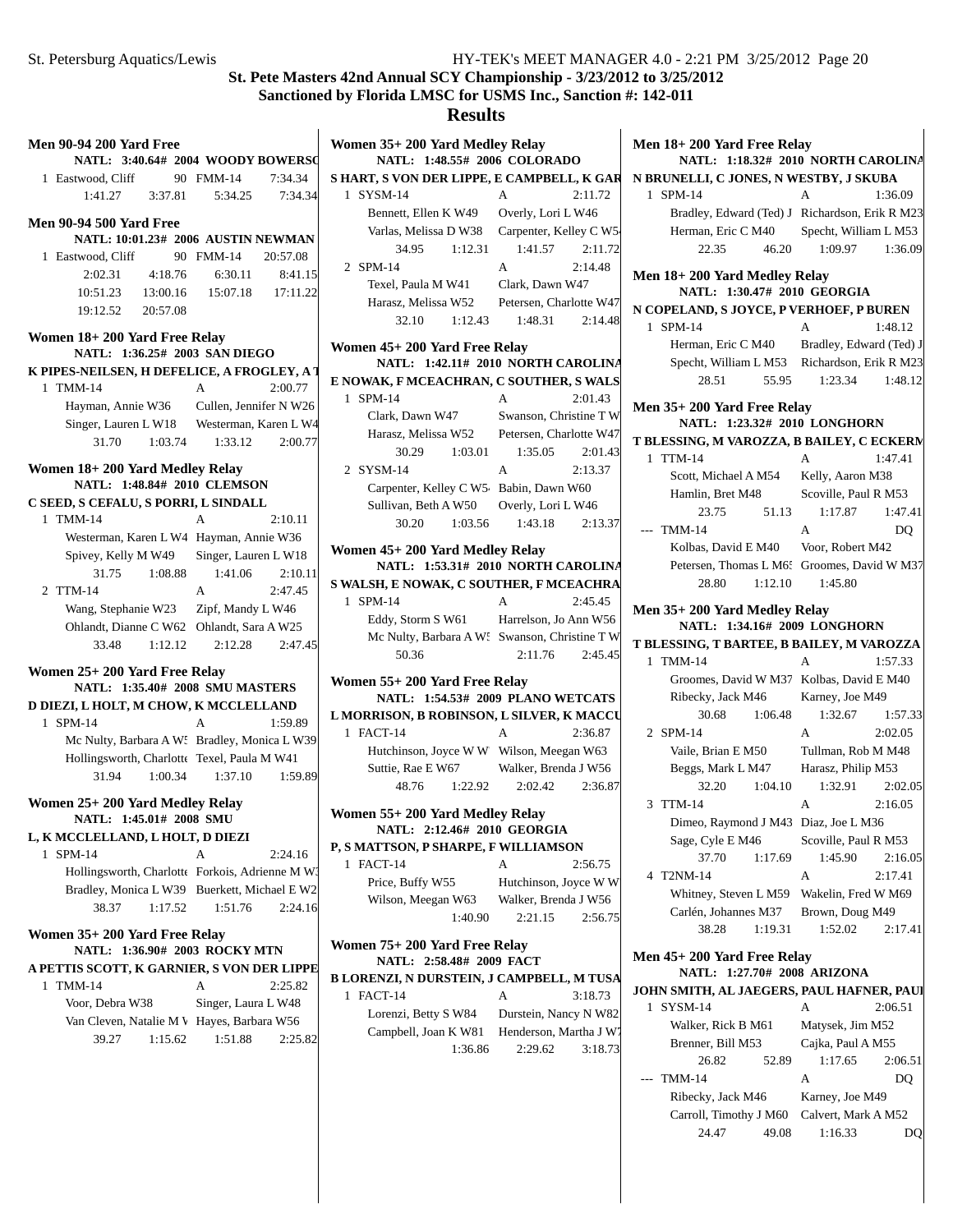| <b>Men 90-94 200 Yard Free</b><br>NATL: 3:40.64# 2004 WOODY BOWERSO        |                       |  |  |
|----------------------------------------------------------------------------|-----------------------|--|--|
| 1 Eastwood, Cliff                                                          | 90 FMM-14<br>7:34.34  |  |  |
|                                                                            | 7:34.34<br>5:34.25    |  |  |
|                                                                            |                       |  |  |
| <b>Men 90-94 500 Yard Free</b>                                             |                       |  |  |
| NATL: 10:01.23# 2006 AUSTIN NEWMAN                                         |                       |  |  |
| 1 Eastwood, Cliff                                                          | 90 FMM-14<br>20:57.08 |  |  |
| 2:02.31<br>4:18.76                                                         | 6:30.11<br>8:41.15    |  |  |
| 10:51.23<br>13:00.16                                                       | 15:07.18 17:11.22     |  |  |
| 19:12.52<br>20:57.08                                                       |                       |  |  |
| Women 18+200 Yard Free Relay                                               |                       |  |  |
| NATL: 1:36.25# 2003 SAN DIEGO                                              |                       |  |  |
| K PIPES-NEILSEN, H DEFELICE, A FROGLEY, A 7                                |                       |  |  |
| 1 TMM-14                                                                   | 2:00.77<br>A          |  |  |
| Hayman, Annie W36 Cullen, Jennifer N W26                                   |                       |  |  |
| Singer, Lauren L W18 Westerman, Karen L W4                                 |                       |  |  |
| 31.70<br>1:03.74                                                           | 1:33.12<br>2:00.77    |  |  |
| Women 18+200 Yard Medley Relay                                             |                       |  |  |
| NATL: 1:48.84# 2010 CLEMSON                                                |                       |  |  |
| C SEED, S CEFALU, S PORRI, L SINDALL                                       |                       |  |  |
| 1 TMM-14                                                                   | A<br>2:10.11          |  |  |
| Westerman, Karen L W4 Hayman, Annie W36                                    |                       |  |  |
| Spivey, Kelly M W49                                                        | Singer, Lauren L W18  |  |  |
| 31.75<br>1:08.88                                                           | 1:41.06<br>2:10.11    |  |  |
| 2 TTM-14                                                                   | 2:47.45<br>A          |  |  |
| Wang, Stephanie W23    Zipf, Mandy L W46                                   |                       |  |  |
| Ohlandt, Dianne C W62 Ohlandt, Sara A W25                                  |                       |  |  |
| 33.48<br>1:12.12                                                           | 2:12.28 2:47.45       |  |  |
| Women 25+200 Yard Free Relay                                               |                       |  |  |
| <b>NATL: 1:35.40# 2008 SMU MASTERS</b>                                     |                       |  |  |
| D DIEZI, L HOLT, M CHOW, K MCCLELLAND                                      |                       |  |  |
| 1 SPM-14                                                                   | A<br>1:59.89          |  |  |
| Mc Nulty, Barbara A W: Bradley, Monica L W39                               |                       |  |  |
| Hollingsworth, Charlotte Texel, Paula M W41                                |                       |  |  |
| 1:00.34<br>31.94                                                           | 1:37.10<br>1:59.89    |  |  |
| Women 25+200 Yard Medley Relay                                             |                       |  |  |
| NATL: 1:45.01# 2008 SMU                                                    |                       |  |  |
| L, K MCCLELLAND, L HOLT, D DIEZI                                           |                       |  |  |
| $SPM-14$<br>1                                                              | 2:24.16<br>A          |  |  |
| Hollingsworth, Charlotte Forkois, Adrienne M W.                            |                       |  |  |
| Bradley, Monica L W39 Buerkett, Michael E W2                               |                       |  |  |
| 1:17.52<br>38.37                                                           | 1:51.76<br>2:24.16    |  |  |
| Women 35+200 Yard Free Relay                                               |                       |  |  |
|                                                                            |                       |  |  |
| NATL: 1:36.90# 2003 ROCKYMTN<br>A PETTIS SCOTT, K GARNIER, S VON DER LIPPE |                       |  |  |
| <b>TMM-14</b><br>1                                                         | 2:25.82<br>A          |  |  |
| Voor, Debra W38                                                            | Singer, Laura L W48   |  |  |
| Van Cleven, Natalie M V Hayes, Barbara W56                                 |                       |  |  |
| 1:15.62<br>39.27                                                           | 1:51.88<br>2:25.82    |  |  |
|                                                                            |                       |  |  |
|                                                                            |                       |  |  |

| Women 35+200 Yard Medley Relay<br>NATL: 1:48.55# 2006 COLORADO |                         |         |  |
|----------------------------------------------------------------|-------------------------|---------|--|
| S HART, S VON DER LIPPE, E CAMPBELL, K GAR                     |                         |         |  |
| 1 SYSM-14                                                      | A                       | 2:11.72 |  |
| Bennett, Ellen K W49                                           | Overly, Lori L W46      |         |  |
| Varlas, Melissa D W38                                          | Carpenter, Kelley C W5  |         |  |
| 34.95<br>1:12.31                                               | 1:41.57                 | 2:11.72 |  |
| 2 SPM-14                                                       | A                       | 2:14.48 |  |
| Texel, Paula M W41                                             | Clark, Dawn W47         |         |  |
| Harasz, Melissa W52                                            | Petersen, Charlotte W47 |         |  |
| 32.10<br>1:12.43                                               | 1:48.31                 | 2:14.48 |  |
| Women 45+ 200 Yard Free Relay                                  |                         |         |  |
| NATL: 1:42.11# 2010 NORTH CAROLINA                             |                         |         |  |
| E NOWAK, F MCEACHRAN, C SOUTHER, S WALS                        |                         |         |  |
| $SPM-14$<br>$\mathbf{1}$                                       | A                       | 2:01.43 |  |
| Clark, Dawn W47                                                | Swanson, Christine T W  |         |  |
| Harasz, Melissa W52 Petersen, Charlotte W47                    |                         |         |  |
| 30.29<br>1:03.01                                               | 1:35.05                 | 2:01.43 |  |
| 2 SYSM-14                                                      | A                       | 2:13.37 |  |
| Carpenter, Kelley C W5 Babin, Dawn W60                         |                         |         |  |
| Sullivan, Beth A W50 Overly, Lori L W46                        |                         |         |  |
| 30.20<br>1:03.56                                               | 1:43.18                 | 2:13.37 |  |
| Women 45+200 Yard Medley Relay                                 |                         |         |  |
| NATL: 1:53.31# 2010 NORTH CAROLINA                             |                         |         |  |
| S WALSH, E NOWAK, C SOUTHER, F MCEACHRA                        |                         |         |  |
| 1 SPM-14                                                       | A                       | 2:45.45 |  |
| Eddy, Storm S W61 Harrelson, Jo Ann W56                        |                         |         |  |
| Mc Nulty, Barbara A W: Swanson, Christine T W                  |                         |         |  |
| 50.36                                                          | 2:11.76                 | 2:45.45 |  |
|                                                                |                         |         |  |
| Women 55+ 200 Yard Free Relay                                  |                         |         |  |
| NATL: 1:54.53# 2009 PLANO WETCATS                              |                         |         |  |
| L MORRISON, B ROBINSON, L SILVER, K MACCU                      |                         |         |  |
| 1 FACT-14                                                      | A                       | 2:36.87 |  |
| Hutchinson, Joyce W W Wilson, Meegan W63                       |                         |         |  |
| Suttie, Rae E W67 Walker, Brenda J W56                         |                         |         |  |
| 48.76<br>1:22.92                                               | 2:02.42                 | 2:36.87 |  |
| Women 55+200 Yard Medley Relay                                 |                         |         |  |
| <b>NATL: 2:12.46# 2010 GEORGIA</b>                             |                         |         |  |
| P, S MATTSON, P SHARPE, F WILLIAMSON                           |                         |         |  |
| FACT-14<br>1                                                   | A                       | 2:56.75 |  |
| Price, Buffy W55                                               | Hutchinson, Joyce W W   |         |  |
| Wilson, Meegan W63                                             | Walker, Brenda J W56    |         |  |
| 1:40.90                                                        | 2:21.15                 | 2:56.75 |  |
| Women 75+ 200 Yard Free Relay                                  |                         |         |  |
| NATL: 2:58.48# 2009 FACT                                       |                         |         |  |
| B LORENZI, N DURSTEIN, J CAMPBELL, M TUSA                      |                         |         |  |
| FACT-14<br>1.                                                  | A                       | 3:18.73 |  |
| Lorenzi, Betty S W84                                           | Durstein, Nancy N W82   |         |  |
| Campbell, Joan K W81 Henderson, Martha J W7                    |                         |         |  |
| 1:36.86                                                        | 2:29.62                 | 3:18.73 |  |
|                                                                |                         |         |  |

| Men 18+200 Yard Free Relay<br>NATL: 1:18.32# 2010 NORTH CAROLINA |                                         |  |  |
|------------------------------------------------------------------|-----------------------------------------|--|--|
| N BRUNELLI, C JONES, N WESTBY, J SKUBA                           |                                         |  |  |
| 1 SPM-14                                                         | 1:36.09<br>А                            |  |  |
| Bradley, Edward (Ted) J Richardson, Erik R M23                   |                                         |  |  |
| Herman, Eric C M40 Specht, William L M53                         |                                         |  |  |
| 46.20<br>22.35                                                   | 1:09.97<br>1:36.09                      |  |  |
|                                                                  |                                         |  |  |
| Men 18+200 Yard Medley Relay<br>NATL: 1:30.47# 2010 GEORGIA      |                                         |  |  |
| N COPELAND, S JOYCE, P VERHOEF, P BUREN                          |                                         |  |  |
| 1 SPM-14                                                         | 1:48.12<br>А                            |  |  |
| Herman, Eric C M40                                               | Bradley, Edward (Ted) J                 |  |  |
| Specht, William L M53 Richardson, Erik R M23                     |                                         |  |  |
| 28.51<br>55.95                                                   | 1:23.34<br>1:48.12                      |  |  |
| Men 35+ 200 Yard Free Relay                                      |                                         |  |  |
| NATL: 1:23.32# 2010 LONGHORN                                     |                                         |  |  |
| T BLESSING, M VAROZZA, B BAILEY, C ECKERM<br>1 TTM-14            | 1:47.41<br>А                            |  |  |
| Scott, Michael A M54                                             | Kelly, Aaron M38                        |  |  |
| Hamlin, Bret M48                                                 | Scoville, Paul R M53                    |  |  |
| 23.75<br>51.13                                                   | 1:47.41<br>1:17.87                      |  |  |
| --- TMM-14                                                       | A<br>DO.                                |  |  |
| Kolbas, David E M40 Voor, Robert M42                             |                                         |  |  |
| Petersen, Thomas L M6: Groomes, David W M37                      |                                         |  |  |
| 1:12.10<br>28.80                                                 | 1:45.80                                 |  |  |
|                                                                  |                                         |  |  |
| Men 35+ 200 Yard Medley Relay                                    |                                         |  |  |
| NATL: 1:34.16# 2009 LONGHORN                                     |                                         |  |  |
| T BLESSING, T BARTEE, B BAILEY, M VAROZZA                        |                                         |  |  |
| 1 TMM-14                                                         | 1:57.33<br>A                            |  |  |
| Groomes, David W M37 Kolbas, David E M40                         |                                         |  |  |
| Ribecky, Jack M46                                                | Karney, Joe M49                         |  |  |
| 1:06.48<br>30.68                                                 | 1:32.67<br>1:57.33                      |  |  |
| 2 SPM-14                                                         | A<br>2:02.05                            |  |  |
| Vaile, Brian E M50                                               | Tullman, Rob M M48                      |  |  |
| Beggs, Mark L M47                                                | Harasz, Philip M53                      |  |  |
| 32.20<br>1:04.10                                                 | 1:32.91<br>2:02.05                      |  |  |
| 3 TTM-14                                                         | 2:16.05<br>А                            |  |  |
|                                                                  |                                         |  |  |
| Dimeo, Raymond J M43                                             | Diaz, Joe L M36                         |  |  |
| Sage, Cyle E M46                                                 | Scoville, Paul R M53                    |  |  |
| 37.70<br>1:17.69                                                 | 1:45.90<br>2:16.05                      |  |  |
| T2NM-14<br>4                                                     | A<br>2:17.41                            |  |  |
| Whitney, Steven L M59                                            | Wakelin, Fred W M69                     |  |  |
| Carlén, Johannes M37                                             | Brown, Doug M49                         |  |  |
| 38.28<br>1:19.31                                                 | 1:52.02<br>2:17.41                      |  |  |
| Men 45+ 200 Yard Free Relay                                      |                                         |  |  |
| NATL: 1:27.70# 2008 ARIZONA                                      |                                         |  |  |
| SYSM-14<br>1                                                     | A                                       |  |  |
| JOHN SMITH, AL JAEGERS, PAUL HAFNER, PAUI                        | 2:06.51<br>Matysek, Jim M52             |  |  |
| Walker, Rick B M61<br>Brenner, Bill M53                          |                                         |  |  |
| 26.82<br>52.89                                                   | Cajka, Paul A M55<br>1:17.65<br>2:06.51 |  |  |
| <b>TMM-14</b><br>$---$                                           | A<br>DQ                                 |  |  |
|                                                                  |                                         |  |  |
| Ribecky, Jack M46<br>Carroll, Timothy J M60                      | Karney, Joe M49<br>Calvert, Mark A M52  |  |  |